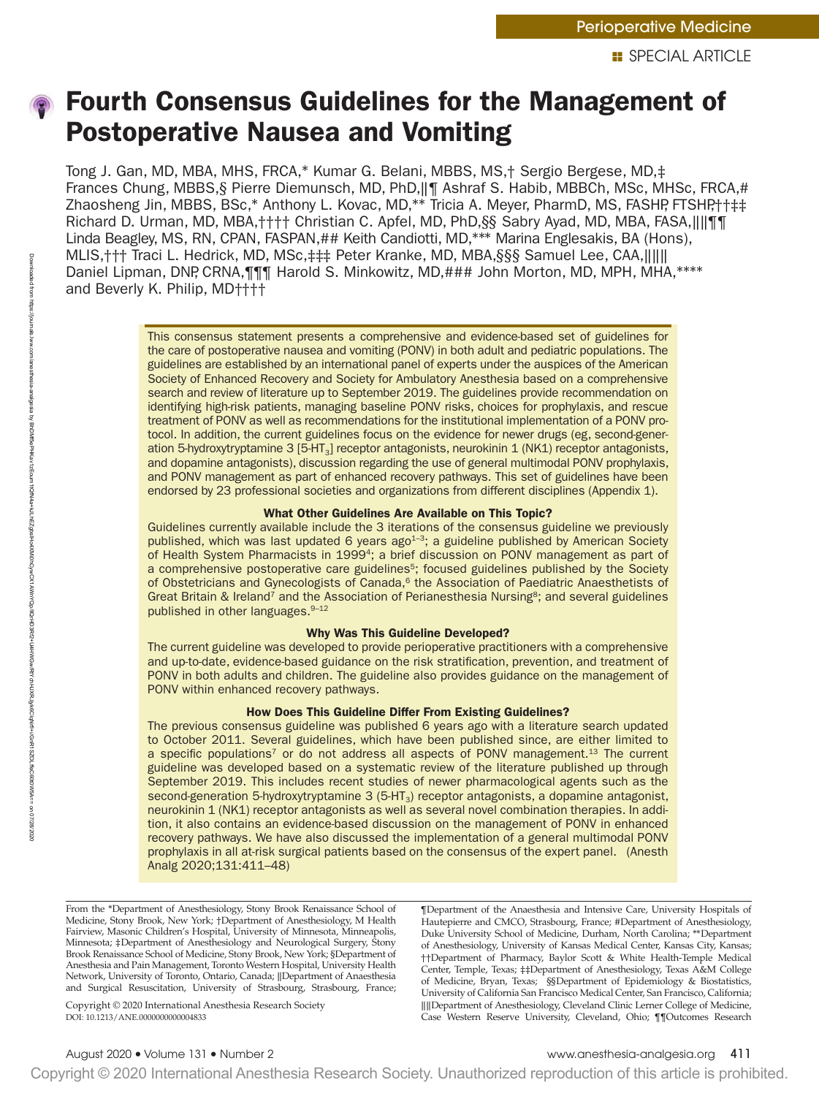# Fourth Consensus Guidelines for the Management of Postoperative Nausea and Vomiting

Tong J. Gan, MD, MBA, MHS, FRCA,\* Kumar G. Belani, MBBS, MS,† Sergio Bergese, MD,‡ Frances Chung, MBBS,§ Pierre Diemunsch, MD, PhD,‖¶ Ashraf S. Habib, MBBCh, MSc, MHSc, FRCA,# Zhaosheng Jin, MBBS, BSc,\* Anthony L. Kovac, MD,\*\* Tricia A. Meyer, PharmD, MS, FASHP, FTSHP,††‡‡ Richard D. Urman, MD, MBA,†††† Christian C. Apfel, MD, PhD,§§ Sabry Ayad, MD, MBA, FASA,‖‖¶¶ Linda Beagley, MS, RN, CPAN, FASPAN,## Keith Candiotti, MD,\*\*\* Marina Englesakis, BA (Hons), MLIS,††† Traci L. Hedrick, MD, MSc,‡‡‡ Peter Kranke, MD, MBA,§§§ Samuel Lee, CAA,‖‖‖ Daniel Lipman, DNP, CRNA, TT Harold S. Minkowitz, MD, ### John Morton, MD, MPH, MHA,\*\*\*\* and Beverly K. Philip, MD††††

> This consensus statement presents a comprehensive and evidence-based set of guidelines for the care of postoperative nausea and vomiting (PONV) in both adult and pediatric populations. The guidelines are established by an international panel of experts under the auspices of the American Society of Enhanced Recovery and Society for Ambulatory Anesthesia based on a comprehensive search and review of literature up to September 2019. The guidelines provide recommendation on identifying high-risk patients, managing baseline PONV risks, choices for prophylaxis, and rescue treatment of PONV as well as recommendations for the institutional implementation of a PONV protocol. In addition, the current guidelines focus on the evidence for newer drugs (eg, second-generation 5-hydroxytryptamine 3 [5-HT3] receptor antagonists, neurokinin 1 (NK1) receptor antagonists, and dopamine antagonists), discussion regarding the use of general multimodal PONV prophylaxis, and PONV management as part of enhanced recovery pathways. This set of guidelines have been endorsed by 23 professional societies and organizations from different disciplines (Appendix 1).

# What Other Guidelines Are Available on This Topic?

Guidelines currently available include the 3 iterations of the consensus guideline we previously published, which was last updated 6 years ago<sup>1-3</sup>; a guideline published by American Society of Health System Pharmacists in 1999<sup>4</sup>; a brief discussion on PONV management as part of a comprehensive postoperative care guidelines<sup>5</sup>; focused guidelines published by the Society of Obstetricians and Gynecologists of Canada,<sup>6</sup> the Association of Paediatric Anaesthetists of Great Britain & Ireland<sup>7</sup> and the Association of Perianesthesia Nursing<sup>8</sup>; and several guidelines published in other languages. 9-12

# Why Was This Guideline Developed?

The current guideline was developed to provide perioperative practitioners with a comprehensive and up-to-date, evidence-based guidance on the risk stratification, prevention, and treatment of PONV in both adults and children. The guideline also provides guidance on the management of PONV within enhanced recovery pathways.

# How Does This Guideline Differ From Existing Guidelines?

The previous consensus guideline was published 6 years ago with a literature search updated to October 2011. Several guidelines, which have been published since, are either limited to a specific populations<sup>7</sup> or do not address all aspects of PONV management.<sup>13</sup> The current guideline was developed based on a systematic review of the literature published up through September 2019. This includes recent studies of newer pharmacological agents such as the second-generation 5-hydroxytryptamine  $3$  (5-HT<sub>3</sub>) receptor antagonists, a dopamine antagonist, neurokinin 1 (NK1) receptor antagonists as well as several novel combination therapies. In addition, it also contains an evidence-based discussion on the management of PONV in enhanced recovery pathways. We have also discussed the implementation of a general multimodal PONV prophylaxis in all at-risk surgical patients based on the consensus of the expert panel. (Anesth Analg 2020;131:411–48)

From the \*Department of Anesthesiology, Stony Brook Renaissance School of Medicine, Stony Brook, New York; †Department of Anesthesiology, M Health Fairview, Masonic Children's Hospital, University of Minnesota, Minneapolis, Minnesota; ‡Department of Anesthesiology and Neurological Surgery, Stony Brook Renaissance School of Medicine, Stony Brook, New York; §Department of Anesthesia and Pain Management, Toronto Western Hospital, University Health Network, University of Toronto, Ontario, Canada; ‖Department of Anaesthesia and Surgical Resuscitation, University of Strasbourg, Strasbourg, France;

DOI: 10.1213/ANE.0000000000004833 Copyright © 2020 International Anesthesia Research Society

¶Department of the Anaesthesia and Intensive Care, University Hospitals of Hautepierre and CMCO, Strasbourg, France; #Department of Anesthesiology, Duke University School of Medicine, Durham, North Carolina; \*\*Department of Anesthesiology, University of Kansas Medical Center, Kansas City, Kansas; ††Department of Pharmacy, Baylor Scott & White Health-Temple Medical Center, Temple, Texas; ‡‡Department of Anesthesiology, Texas A&M College of Medicine, Bryan, Texas; §§Department of Epidemiology & Biostatistics, University of California San Francisco Medical Center, San Francisco, California; ‖‖Department of Anesthesiology, Cleveland Clinic Lerner College of Medicine, Case Western Reserve University, Cleveland, Ohio; ¶¶Outcomes Research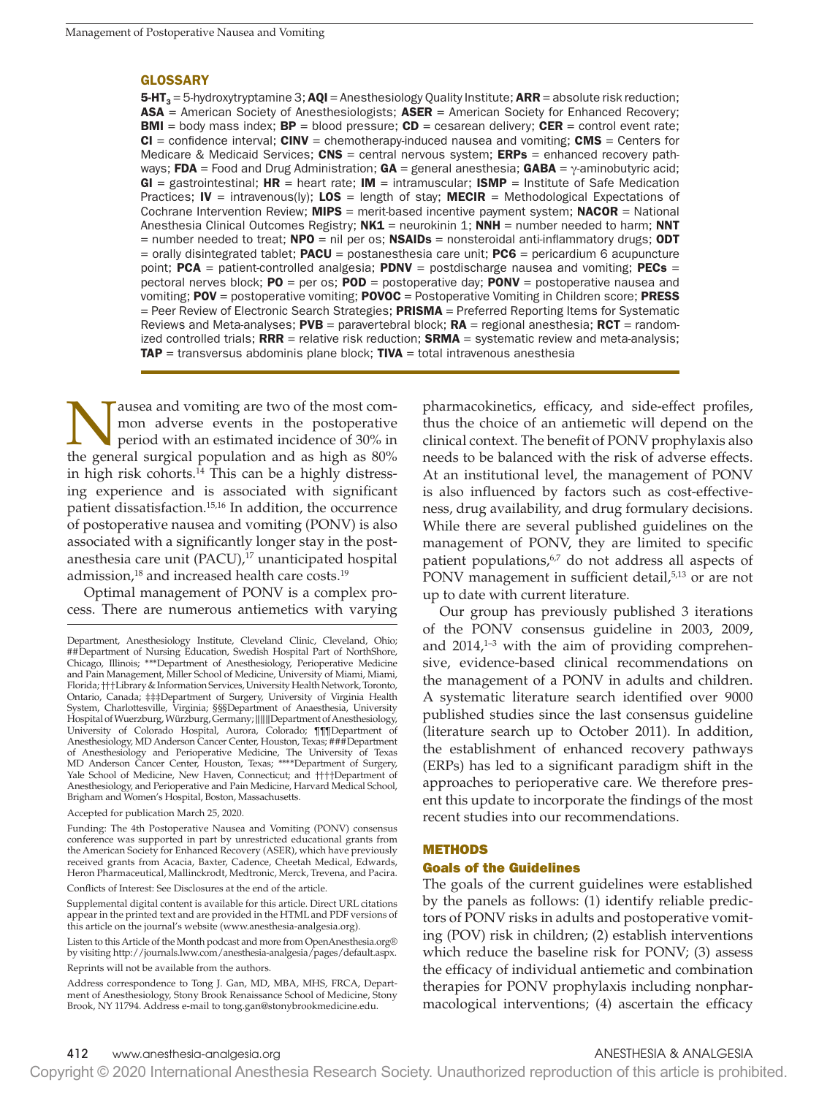### GLOSSARY

**5-HT**<sub>3</sub> = 5-hydroxytryptamine 3; **AQI** = Anesthesiology Quality Institute; **ARR** = absolute risk reduction;  $ASA =$  American Society of Anesthesiologists;  $ASER =$  American Society for Enhanced Recovery; **BMI** = body mass index;  $BP =$  blood pressure;  $CD =$  cesarean delivery;  $CER =$  control event rate;  $CI =$  confidence interval;  $CINV =$  chemotherapy-induced nausea and vomiting;  $CMS =$  Centers for Medicare & Medicaid Services;  $CNS =$  central nervous system;  $ERPs =$  enhanced recovery pathways; FDA = Food and Drug Administration; GA = general anesthesia; GABA =  $\gamma$ -aminobutyric acid;  $GI =$  gastrointestinal;  $HR =$  heart rate;  $IM =$  intramuscular;  $ISMP =$  Institute of Safe Medication Practices; IV = intravenous(ly); LOS = length of stay; MECIR = Methodological Expectations of Cochrane Intervention Review;  $MIPS$  = merit-based incentive payment system;  $NACOR$  = National Anesthesia Clinical Outcomes Registry;  $NKL =$  neurokinin 1; NNH = number needed to harm; NNT  $=$  number needed to treat; **NPO** = nil per os; **NSAIDs** = nonsteroidal anti-inflammatory drugs; **ODT**  $=$  orally disintegrated tablet; **PACU** = postanesthesia care unit; **PC6** = pericardium 6 acupuncture point;  $PCA = patient-controlled analogesia; PDNV = postdischarge nausea and vomiting; PECs =$ pectoral nerves block;  $PO = per os$ ;  $POD = postoperative day$ ;  $PONV = postoperative$  nausea and vomiting; POV = postoperative vomiting; POVOC = Postoperative Vomiting in Children score; PRESS  $=$  Peer Review of Electronic Search Strategies; **PRISMA**  $=$  Preferred Reporting Items for Systematic Reviews and Meta-analyses;  $PVB =$  paravertebral block;  $RA =$  regional anesthesia;  $RCT =$  randomized controlled trials;  $RRR$  = relative risk reduction;  $SRMA$  = systematic review and meta-analysis;  $TAP =$  transversus abdominis plane block;  $TIVA =$  total intravenous anesthesia

ausea and vomiting are two of the most common adverse events in the postoperative period with an estimated incidence of 30% in the general surgical population and as high as 80% in high risk cohorts. $14$  This can be a highly distressing experience and is associated with significant patient dissatisfaction.15,16 In addition, the occurrence of postoperative nausea and vomiting (PONV) is also associated with a significantly longer stay in the postanesthesia care unit (PACU),<sup>17</sup> unanticipated hospital admission,<sup>18</sup> and increased health care costs.<sup>19</sup>

Optimal management of PONV is a complex process. There are numerous antiemetics with varying

Conflicts of Interest: See Disclosures at the end of the article.

Supplemental digital content is available for this article. Direct URL citations appear in the printed text and are provided in the HTML and PDF versions of this article on the journal's website ([www.anesthesia-analgesia.org\)](http:\\www.anesthesia-analgesia.org).

Listen to this Article of the Month podcast and more from OpenAnesthesia.org® by visiting http://journals.lww.com/anesthesia-analgesia/pages/default.aspx. Reprints will not be available from the authors.

pharmacokinetics, efficacy, and side-effect profiles, thus the choice of an antiemetic will depend on the clinical context. The benefit of PONV prophylaxis also needs to be balanced with the risk of adverse effects. At an institutional level, the management of PONV is also influenced by factors such as cost-effectiveness, drug availability, and drug formulary decisions. While there are several published guidelines on the management of PONV, they are limited to specific patient populations,<sup>6,7</sup> do not address all aspects of PONV management in sufficient detail,<sup>5,13</sup> or are not up to date with current literature.

Our group has previously published 3 iterations of the PONV consensus guideline in 2003, 2009, and  $2014<sub>1</sub><sup>1–3</sup>$  with the aim of providing comprehensive, evidence-based clinical recommendations on the management of a PONV in adults and children. A systematic literature search identified over 9000 published studies since the last consensus guideline (literature search up to October 2011). In addition, the establishment of enhanced recovery pathways (ERPs) has led to a significant paradigm shift in the approaches to perioperative care. We therefore present this update to incorporate the findings of the most recent studies into our recommendations.

### METHODS

### Goals of the Guidelines

The goals of the current guidelines were established by the panels as follows: (1) identify reliable predictors of PONV risks in adults and postoperative vomiting (POV) risk in children; (2) establish interventions which reduce the baseline risk for PONV; (3) assess the efficacy of individual antiemetic and combination therapies for PONV prophylaxis including nonpharmacological interventions; (4) ascertain the efficacy

Department, Anesthesiology Institute, Cleveland Clinic, Cleveland, Ohio; ##Department of Nursing Education, Swedish Hospital Part of NorthShore, Chicago, Illinois; \*\*\*Department of Anesthesiology, Perioperative Medicine and Pain Management, Miller School of Medicine, University of Miami, Miami, Florida; †††Library & Information Services, University Health Network, Toronto, Ontario, Canada; ‡‡‡Department of Surgery, University of Virginia Health System, Charlottesville, Virginia; §§§Department of Anaesthesia, University Hospital of Wuerzburg, Würzburg, Germany; ‖‖‖Department of Anesthesiology, University of Colorado Hospital, Aurora, Colorado; ¶¶¶Department of Anesthesiology, MD Anderson Cancer Center, Houston, Texas; ###Department of Anesthesiology and Perioperative Medicine, The University of Texas MD Anderson Cancer Center, Houston, Texas; \*\*\*\*Department of Surgery, Yale School of Medicine, New Haven, Connecticut; and ††††Department of Anesthesiology, and Perioperative and Pain Medicine, Harvard Medical School, Brigham and Women's Hospital, Boston, Massachusetts.

Accepted for publication March 25, 2020.

Funding: The 4th Postoperative Nausea and Vomiting (PONV) consensus conference was supported in part by unrestricted educational grants from the American Society for Enhanced Recovery (ASER), which have previously received grants from Acacia, Baxter, Cadence, Cheetah Medical, Edwards, Heron Pharmaceutical, Mallinckrodt, Medtronic, Merck, Trevena, and Pacira.

Address correspondence to Tong J. Gan, MD, MBA, MHS, FRCA, Department of Anesthesiology, Stony Brook Renaissance School of Medicine, Stony Brook, NY 11794. Address e-mail to [tong.gan@stonybrookmedicine.edu.](mailto:tong.gan@stonybrookmedicine.edu)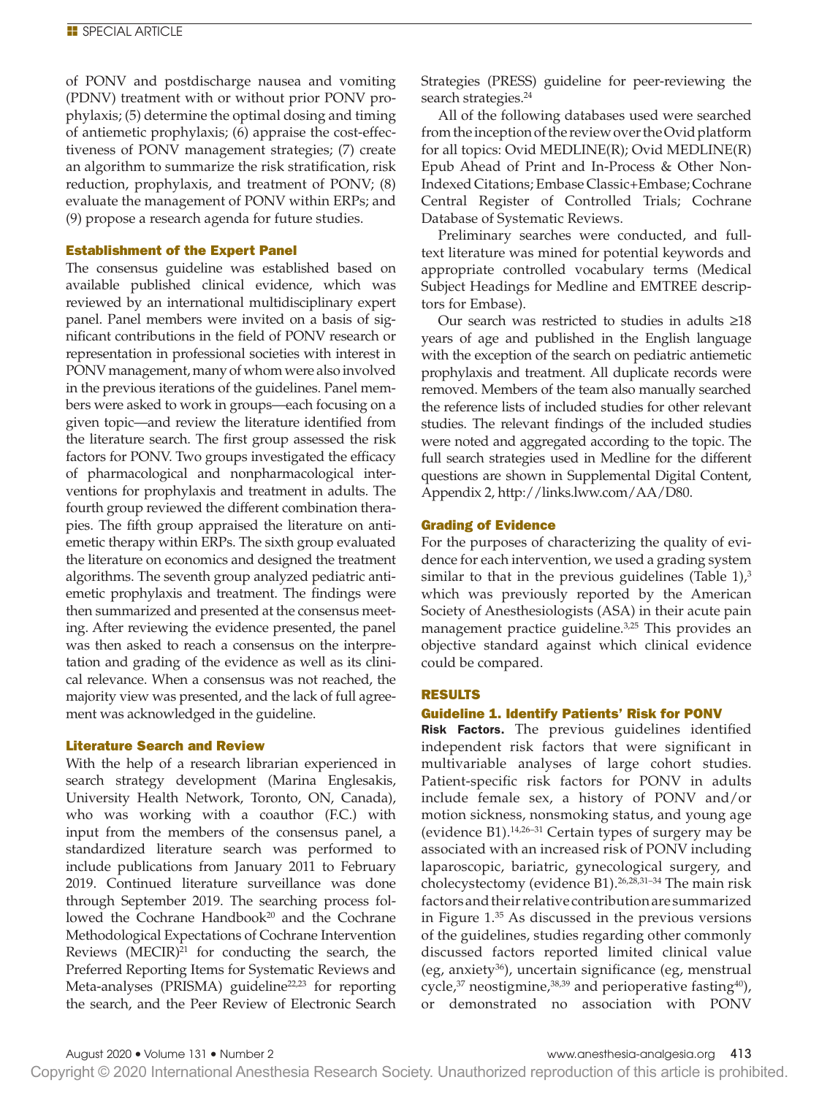of PONV and postdischarge nausea and vomiting (PDNV) treatment with or without prior PONV prophylaxis; (5) determine the optimal dosing and timing of antiemetic prophylaxis; (6) appraise the cost-effectiveness of PONV management strategies; (7) create an algorithm to summarize the risk stratification, risk reduction, prophylaxis, and treatment of PONV; (8) evaluate the management of PONV within ERPs; and (9) propose a research agenda for future studies.

### Establishment of the Expert Panel

The consensus guideline was established based on available published clinical evidence, which was reviewed by an international multidisciplinary expert panel. Panel members were invited on a basis of significant contributions in the field of PONV research or representation in professional societies with interest in PONV management, many of whom were also involved in the previous iterations of the guidelines. Panel members were asked to work in groups—each focusing on a given topic—and review the literature identified from the literature search. The first group assessed the risk factors for PONV. Two groups investigated the efficacy of pharmacological and nonpharmacological interventions for prophylaxis and treatment in adults. The fourth group reviewed the different combination therapies. The fifth group appraised the literature on antiemetic therapy within ERPs. The sixth group evaluated the literature on economics and designed the treatment algorithms. The seventh group analyzed pediatric antiemetic prophylaxis and treatment. The findings were then summarized and presented at the consensus meeting. After reviewing the evidence presented, the panel was then asked to reach a consensus on the interpretation and grading of the evidence as well as its clinical relevance. When a consensus was not reached, the majority view was presented, and the lack of full agreement was acknowledged in the guideline.

# Literature Search and Review

With the help of a research librarian experienced in search strategy development (Marina Englesakis, University Health Network, Toronto, ON, Canada), who was working with a coauthor (F.C.) with input from the members of the consensus panel, a standardized literature search was performed to include publications from January 2011 to February 2019. Continued literature surveillance was done through September 2019. The searching process followed the Cochrane Handbook<sup>20</sup> and the Cochrane Methodological Expectations of Cochrane Intervention Reviews  $(MECIR)^{21}$  for conducting the search, the Preferred Reporting Items for Systematic Reviews and Meta-analyses (PRISMA) guideline<sup>22,23</sup> for reporting the search, and the Peer Review of Electronic Search

Strategies (PRESS) guideline for peer-reviewing the search strategies.<sup>24</sup>

All of the following databases used were searched from the inception of the review over the Ovid platform for all topics: Ovid MEDLINE(R); Ovid MEDLINE(R) Epub Ahead of Print and In-Process & Other Non-Indexed Citations; Embase Classic+Embase; Cochrane Central Register of Controlled Trials; Cochrane Database of Systematic Reviews.

Preliminary searches were conducted, and fulltext literature was mined for potential keywords and appropriate controlled vocabulary terms (Medical Subject Headings for Medline and EMTREE descriptors for Embase).

Our search was restricted to studies in adults ≥18 years of age and published in the English language with the exception of the search on pediatric antiemetic prophylaxis and treatment. All duplicate records were removed. Members of the team also manually searched the reference lists of included studies for other relevant studies. The relevant findings of the included studies were noted and aggregated according to the topic. The full search strategies used in Medline for the different questions are shown in Supplemental Digital Content, Appendix 2, [http://links.lww.com/AA/D80.](http://links.lww.com/AA/D80)

### Grading of Evidence

For the purposes of characterizing the quality of evidence for each intervention, we used a grading system similar to that in the previous guidelines (Table  $1$ ),<sup>3</sup> which was previously reported by the American Society of Anesthesiologists (ASA) in their acute pain management practice guideline.<sup>3,25</sup> This provides an objective standard against which clinical evidence could be compared.

### RESULTS

### Guideline 1. Identify Patients' Risk for PONV

Risk Factors. The previous guidelines identified independent risk factors that were significant in multivariable analyses of large cohort studies. Patient-specific risk factors for PONV in adults include female sex, a history of PONV and/or motion sickness, nonsmoking status, and young age (evidence B1).14,26–31 Certain types of surgery may be associated with an increased risk of PONV including laparoscopic, bariatric, gynecological surgery, and cholecystectomy (evidence B1).<sup>26,28,31-34</sup> The main risk factors and their relative contribution are summarized in Figure 1. 35 As discussed in the previous versions of the guidelines, studies regarding other commonly discussed factors reported limited clinical value (eg, anxiety36), uncertain significance (eg, menstrual cycle, $37$  neostigmine, $38,39$  and perioperative fasting $40$ ), or demonstrated no association with PONV

August 2020 • Volume 131 • Number 2 www.anesthesia-analgesia.org 413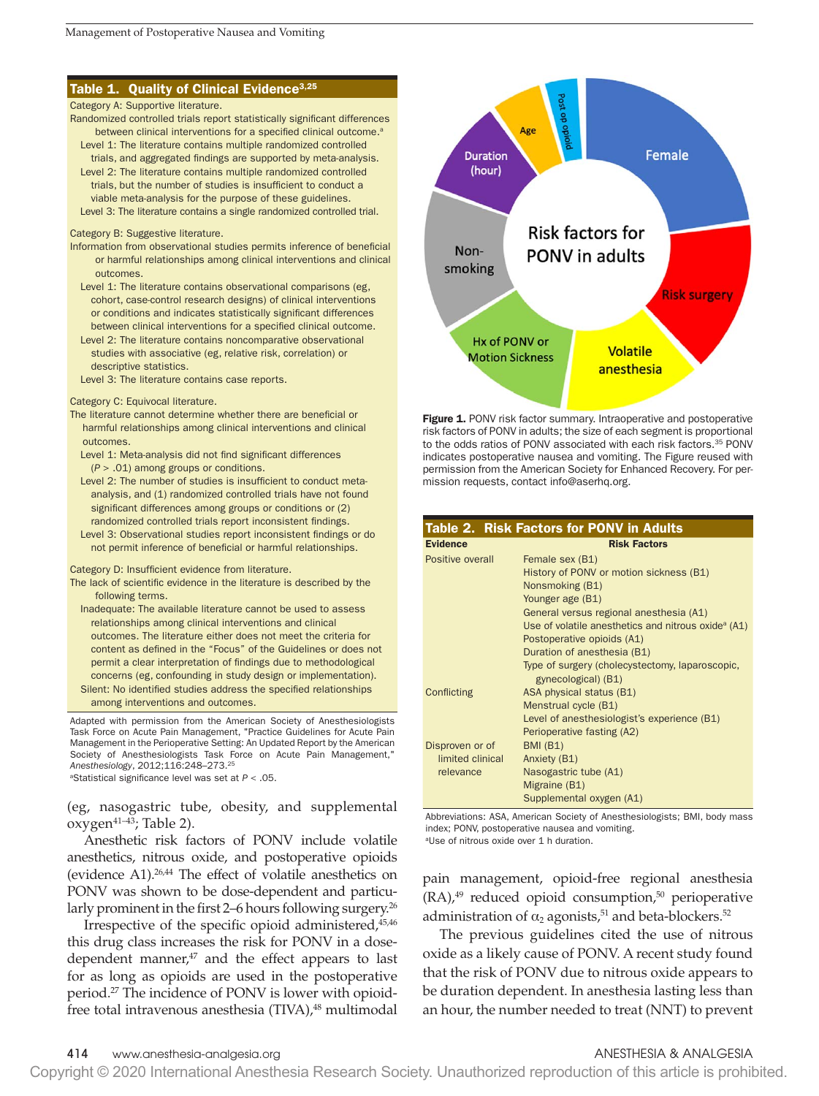### Table 1. Quality of Clinical Evidence<sup>3,25</sup>

### Category A: Supportive literature.

- Randomized controlled trials report statistically significant differences between clinical interventions for a specified clinical outcome.<sup>a</sup> Level 1: The literature contains multiple randomized controlled
- trials, and aggregated findings are supported by meta-analysis. Level 2: The literature contains multiple randomized controlled trials, but the number of studies is insufficient to conduct a

viable meta-analysis for the purpose of these guidelines.

Level 3: The literature contains a single randomized controlled trial.

### Category B: Suggestive literature.

- Information from observational studies permits inference of beneficial or harmful relationships among clinical interventions and clinical outcomes.
	- Level 1: The literature contains observational comparisons (eg, cohort, case-control research designs) of clinical interventions or conditions and indicates statistically significant differences between clinical interventions for a specified clinical outcome.
	- Level 2: The literature contains noncomparative observational studies with associative (eg, relative risk, correlation) or descriptive statistics.
	- Level 3: The literature contains case reports.

### Category C: Equivocal literature.

- The literature cannot determine whether there are beneficial or harmful relationships among clinical interventions and clinical outcomes.
	- Level 1: Meta-analysis did not find significant differences (*P* > .01) among groups or conditions.
	- Level 2: The number of studies is insufficient to conduct metaanalysis, and (1) randomized controlled trials have not found significant differences among groups or conditions or (2) randomized controlled trials report inconsistent findings.
	- Level 3: Observational studies report inconsistent findings or do not permit inference of beneficial or harmful relationships.

### Category D: Insufficient evidence from literature.

- The lack of scientific evidence in the literature is described by the following terms.
	- Inadequate: The available literature cannot be used to assess relationships among clinical interventions and clinical outcomes. The literature either does not meet the criteria for content as defined in the "Focus" of the Guidelines or does not permit a clear interpretation of findings due to methodological concerns (eg, confounding in study design or implementation). Silent: No identified studies address the specified relationships among interventions and outcomes.

Adapted with permission from the American Society of Anesthesiologists Task Force on Acute Pain Management, "Practice Guidelines for Acute Pain Management in the Perioperative Setting: An Updated Report by the American Society of Anesthesiologists Task Force on Acute Pain Management," *Anesthesiology*, 2012;116:248–273.25

aStatistical significance level was set at *P* < .05.

(eg, nasogastric tube, obesity, and supplemental oxygen41–43; Table 2).

Anesthetic risk factors of PONV include volatile anesthetics, nitrous oxide, and postoperative opioids (evidence A1).26,44 The effect of volatile anesthetics on PONV was shown to be dose-dependent and particularly prominent in the first 2–6 hours following surgery.<sup>26</sup>

Irrespective of the specific opioid administered, 45,46 this drug class increases the risk for PONV in a dosedependent manner, $47$  and the effect appears to last for as long as opioids are used in the postoperative period.27 The incidence of PONV is lower with opioidfree total intravenous anesthesia (TIVA),<sup>48</sup> multimodal



Figure 1. PONV risk factor summary. Intraoperative and postoperative risk factors of PONV in adults; the size of each segment is proportional to the odds ratios of PONV associated with each risk factors.<sup>35</sup> PONV indicates postoperative nausea and vomiting. The Figure reused with permission from the American Society for Enhanced Recovery. For permission requests, contact info@aserhq.org.

|                                     | Table 2. Risk Factors for PONV in Adults                        |
|-------------------------------------|-----------------------------------------------------------------|
| <b>Evidence</b>                     | <b>Risk Factors</b>                                             |
| Positive overall                    | Female sex (B1)                                                 |
|                                     | History of PONV or motion sickness (B1)                         |
|                                     | Nonsmoking (B1)                                                 |
|                                     | Younger age (B1)                                                |
|                                     | General versus regional anesthesia (A1)                         |
|                                     | Use of volatile anesthetics and nitrous oxide <sup>a</sup> (A1) |
|                                     | Postoperative opioids (A1)                                      |
|                                     | Duration of anesthesia (B1)                                     |
|                                     | Type of surgery (cholecystectomy, laparoscopic,                 |
|                                     | gynecological) (B1)                                             |
| Conflicting                         | ASA physical status (B1)                                        |
|                                     | Menstrual cycle (B1)                                            |
|                                     | Level of anesthesiologist's experience (B1)                     |
|                                     | Perioperative fasting (A2)                                      |
| Disproven or of<br>limited clinical | <b>BMI (B1)</b>                                                 |
|                                     | Anxiety (B1)                                                    |
| relevance                           | Nasogastric tube (A1)                                           |
|                                     | Migraine (B1)                                                   |
|                                     | Supplemental oxygen (A1)                                        |

Abbreviations: ASA, American Society of Anesthesiologists; BMI, body mass index; PONV, postoperative nausea and vomiting. <sup>a</sup>Use of nitrous oxide over 1 h duration.

pain management, opioid-free regional anesthesia  $(RA)$ ,<sup>49</sup> reduced opioid consumption,<sup>50</sup> perioperative administration of  $\alpha_2$  agonists,<sup>51</sup> and beta-blockers.<sup>52</sup>

The previous guidelines cited the use of nitrous oxide as a likely cause of PONV. A recent study found that the risk of PONV due to nitrous oxide appears to be duration dependent. In anesthesia lasting less than an hour, the number needed to treat (NNT) to prevent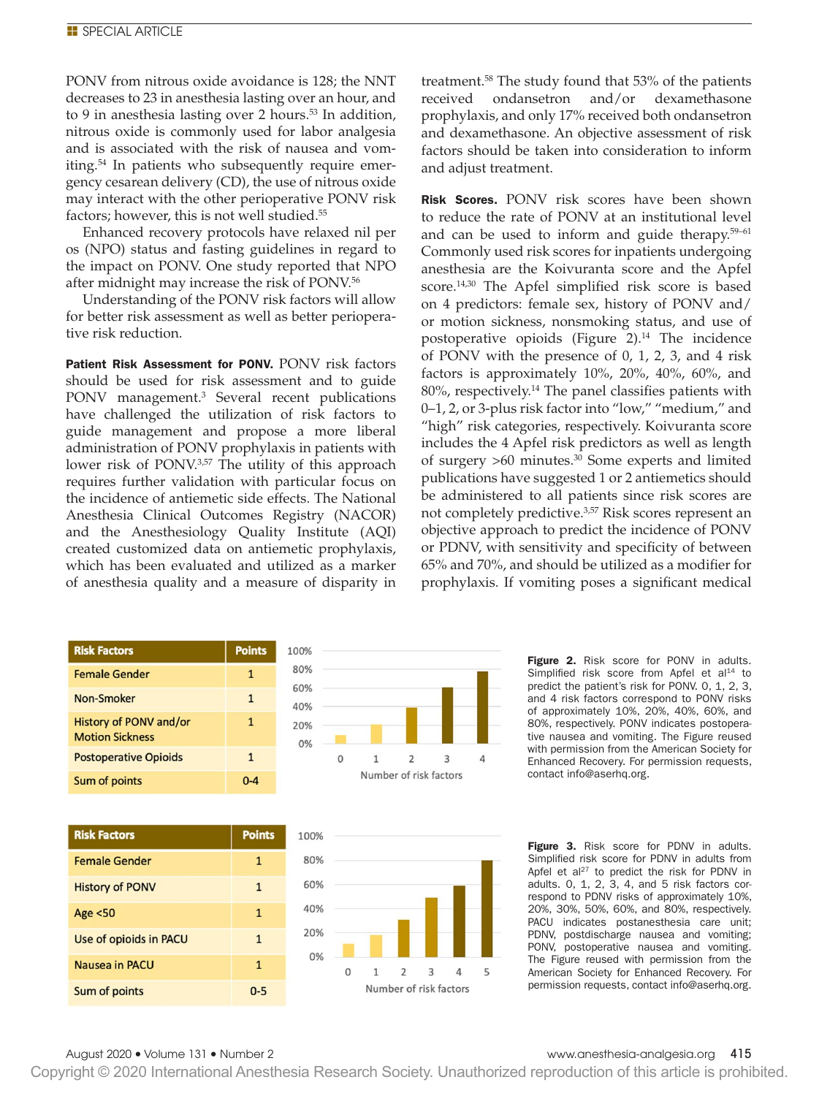PONV from nitrous oxide avoidance is 128; the NNT decreases to 23 in anesthesia lasting over an hour, and to 9 in anesthesia lasting over 2 hours.<sup>53</sup> In addition, nitrous oxide is commonly used for labor analgesia and is associated with the risk of nausea and vomiting.54 In patients who subsequently require emergency cesarean delivery (CD), the use of nitrous oxide may interact with the other perioperative PONV risk factors; however, this is not well studied.55

Enhanced recovery protocols have relaxed nil per os (NPO) status and fasting guidelines in regard to the impact on PONV. One study reported that NPO after midnight may increase the risk of PONV.56

Understanding of the PONV risk factors will allow for better risk assessment as well as better perioperative risk reduction.

Patient Risk Assessment for PONV. PONV risk factors should be used for risk assessment and to guide PONV management.<sup>3</sup> Several recent publications have challenged the utilization of risk factors to guide management and propose a more liberal administration of PONV prophylaxis in patients with lower risk of PONV.<sup>3,57</sup> The utility of this approach requires further validation with particular focus on the incidence of antiemetic side effects. The National Anesthesia Clinical Outcomes Registry (NACOR) and the Anesthesiology Quality Institute (AQI) created customized data on antiemetic prophylaxis, which has been evaluated and utilized as a marker of anesthesia quality and a measure of disparity in

**Points** 

 $0 - 5$ 

treatment.58 The study found that 53% of the patients received ondansetron and/or dexamethasone prophylaxis, and only 17% received both ondansetron and dexamethasone. An objective assessment of risk factors should be taken into consideration to inform and adjust treatment.

Risk Scores. PONV risk scores have been shown to reduce the rate of PONV at an institutional level and can be used to inform and guide therapy.<sup>59-61</sup> Commonly used risk scores for inpatients undergoing anesthesia are the Koivuranta score and the Apfel score.14,30 The Apfel simplified risk score is based on 4 predictors: female sex, history of PONV and/ or motion sickness, nonsmoking status, and use of postoperative opioids (Figure  $2$ ).<sup>14</sup> The incidence of PONV with the presence of 0, 1, 2, 3, and 4 risk factors is approximately 10%, 20%, 40%, 60%, and 80%, respectively.<sup>14</sup> The panel classifies patients with 0–1, 2, or 3-plus risk factor into "low," "medium," and "high" risk categories, respectively. Koivuranta score includes the 4 Apfel risk predictors as well as length of surgery >60 minutes.30 Some experts and limited publications have suggested 1 or 2 antiemetics should be administered to all patients since risk scores are not completely predictive.3,57 Risk scores represent an objective approach to predict the incidence of PONV or PDNV, with sensitivity and specificity of between 65% and 70%, and should be utilized as a modifier for prophylaxis. If vomiting poses a significant medical

| remale Genier                                    | ┸             |  |
|--------------------------------------------------|---------------|--|
| Non-Smoker                                       | $\mathbf{1}$  |  |
| History of PONV and/or<br><b>Motion Sickness</b> | $\mathbf{1}$  |  |
| <b>Postoperative Opioids</b>                     | $\mathbf{1}$  |  |
| Sum of points                                    | $0 - 4$       |  |
|                                                  |               |  |
|                                                  |               |  |
| <b>Risk Factors</b>                              | <b>Points</b> |  |
| <b>Female Gender</b>                             | $\mathbf{1}$  |  |
| <b>History of PONV</b>                           | $\mathbf{1}$  |  |
| Age <50                                          | $\mathbf{1}$  |  |
| Use of opioids in PACU                           | $\mathbf{1}$  |  |

**Risk Factors** 

 $\mathbf{L}$   $\mathbf{A}$   $\mathbf{A}$ 





Figure 2. Risk score for PONV in adults. Simplified risk score from Apfel et al<sup>14</sup> to predict the patient's risk for PONV. 0, 1, 2, 3, and 4 risk factors correspond to PONV risks of approximately 10%, 20%, 40%, 60%, and 80%, respectively. PONV indicates postoperative nausea and vomiting. The Figure reused with permission from the American Society for Enhanced Recovery. For permission requests, contact info@aserhq.org.

Figure 3. Risk score for PDNV in adults. Simplified risk score for PDNV in adults from Apfel et al $^{27}$  to predict the risk for PDNV in adults. 0, 1, 2, 3, 4, and 5 risk factors correspond to PDNV risks of approximately 10%, 20%, 30%, 50%, 60%, and 80%, respectively. PACU indicates postanesthesia care unit; PDNV, postdischarge nausea and vomiting; PONV, postoperative nausea and vomiting. The Figure reused with permission from the American Society for Enhanced Recovery. For permission requests, contact info@aserhq.org.

### August 2020 • Volume 131 • Number 2 www.anesthesia-analgesia.org 415

Sum of points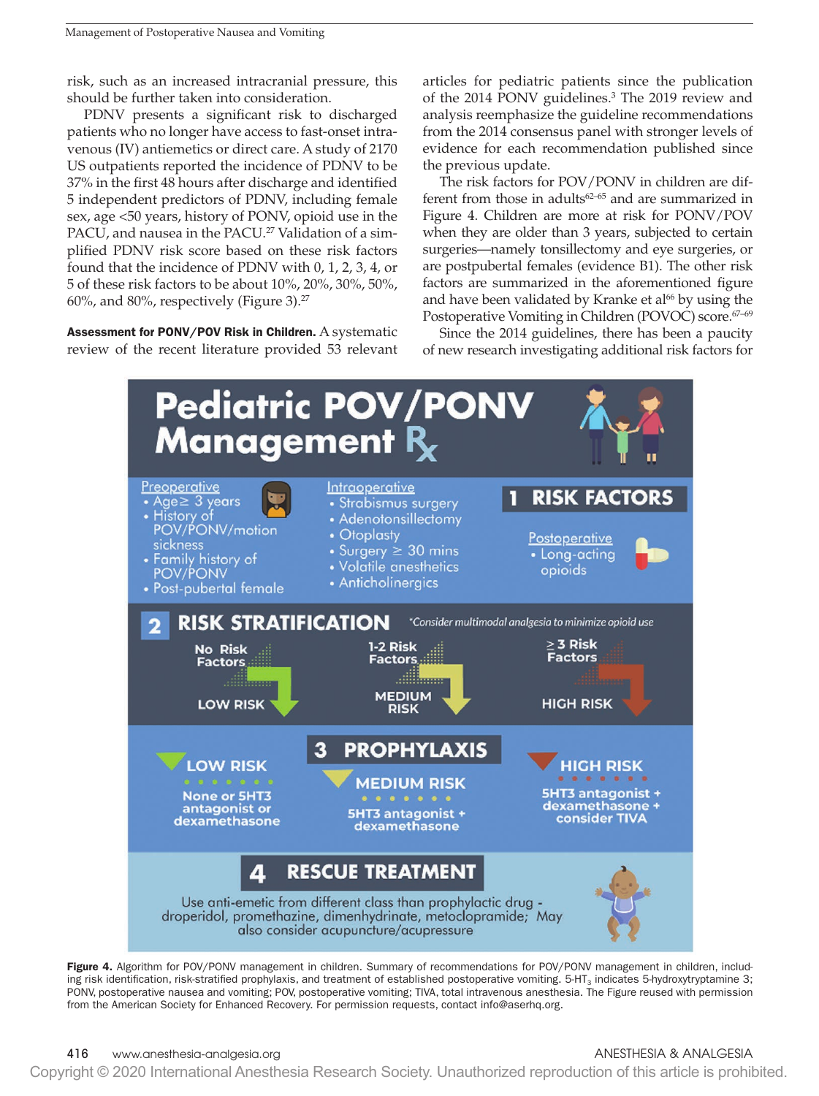risk, such as an increased intracranial pressure, this should be further taken into consideration.

PDNV presents a significant risk to discharged patients who no longer have access to fast-onset intravenous (IV) antiemetics or direct care. A study of 2170 US outpatients reported the incidence of PDNV to be 37% in the first 48 hours after discharge and identified 5 independent predictors of PDNV, including female sex, age <50 years, history of PONV, opioid use in the PACU, and nausea in the PACU.<sup>27</sup> Validation of a simplified PDNV risk score based on these risk factors found that the incidence of PDNV with 0, 1, 2, 3, 4, or 5 of these risk factors to be about 10%, 20%, 30%, 50%, 60%, and 80%, respectively (Figure 3).27

Assessment for PONV/POV Risk in Children. A systematic review of the recent literature provided 53 relevant articles for pediatric patients since the publication of the 2014 PONV guidelines.<sup>3</sup> The 2019 review and analysis reemphasize the guideline recommendations from the 2014 consensus panel with stronger levels of evidence for each recommendation published since the previous update.

The risk factors for POV/PONV in children are different from those in adults<sup>62-65</sup> and are summarized in Figure 4. Children are more at risk for PONV/POV when they are older than 3 years, subjected to certain surgeries—namely tonsillectomy and eye surgeries, or are postpubertal females (evidence B1). The other risk factors are summarized in the aforementioned figure and have been validated by Kranke et al<sup>66</sup> by using the Postoperative Vomiting in Children (POVOC) score.<sup>67-69</sup>

Since the 2014 guidelines, there has been a paucity of new research investigating additional risk factors for



Figure 4. Algorithm for POV/PONV management in children. Summary of recommendations for POV/PONV management in children, including risk identification, risk-stratified prophylaxis, and treatment of established postoperative vomiting.  $5-HT<sub>3</sub>$  indicates 5-hydroxytryptamine 3; PONV, postoperative nausea and vomiting; POV, postoperative vomiting; TIVA, total intravenous anesthesia. The Figure reused with permission from the American Society for Enhanced Recovery. For permission requests, contact info@aserhq.org.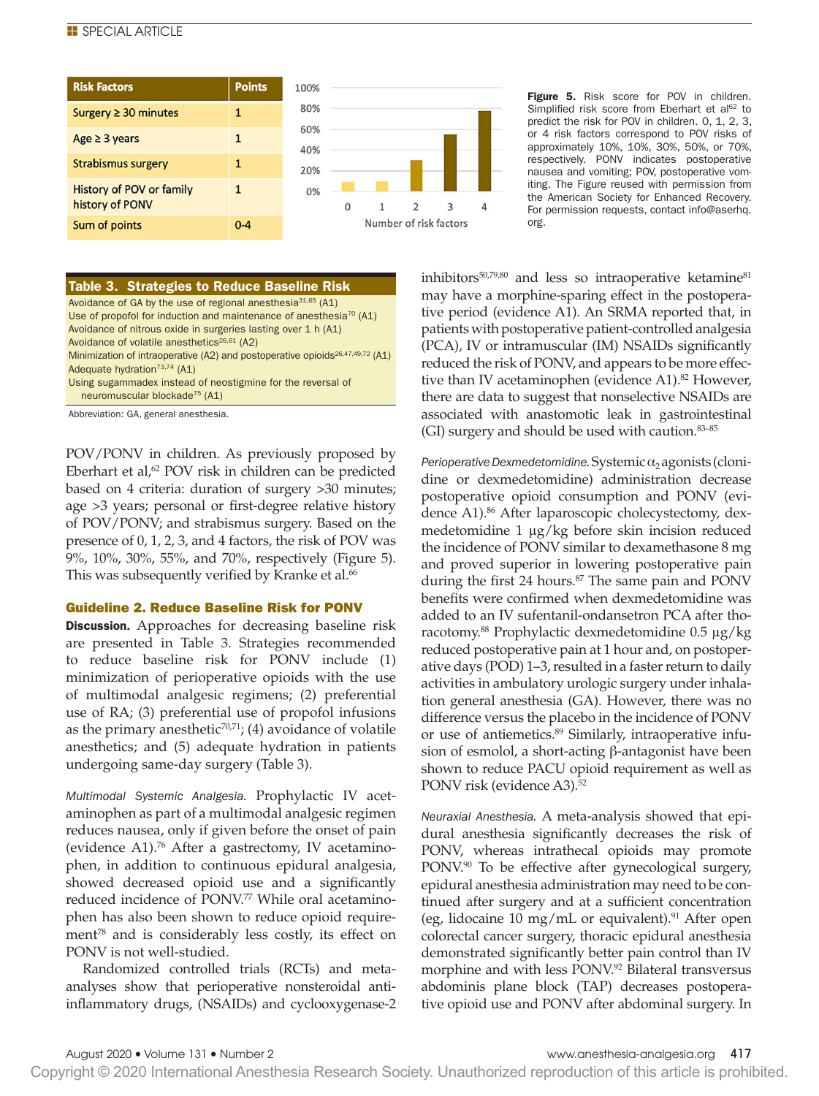

# Table 3. Strategies to Reduce Baseline Risk

Avoidance of GA by the use of regional anesthesia $31,65$  (A1) Use of propofol for induction and maintenance of anesthesia<sup>70</sup> (A1) Avoidance of nitrous oxide in surgeries lasting over 1 h (A1) Avoidance of volatile anesthetics $^{26,61}$  (A2) Minimization of intraoperative (A2) and postoperative opioids<sup>26,47,49,72</sup> (A1)

Adequate hydration<sup>73,74</sup> (A1)

Using sugammadex instead of neostigmine for the reversal of neuromuscular blockade75 (A1)

Abbreviation: GA, general anesthesia.

POV/PONV in children. As previously proposed by Eberhart et al,<sup>62</sup> POV risk in children can be predicted based on 4 criteria: duration of surgery >30 minutes; age >3 years; personal or first-degree relative history of POV/PONV; and strabismus surgery. Based on the presence of 0, 1, 2, 3, and 4 factors, the risk of POV was 9%, 10%, 30%, 55%, and 70%, respectively (Figure 5). This was subsequently verified by Kranke et al.<sup>66</sup>

### Guideline 2. Reduce Baseline Risk for PONV

Discussion. Approaches for decreasing baseline risk are presented in Table 3. Strategies recommended to reduce baseline risk for PONV include (1) minimization of perioperative opioids with the use of multimodal analgesic regimens; (2) preferential use of RA; (3) preferential use of propofol infusions as the primary anesthetic<sup>70,71</sup>; (4) avoidance of volatile anesthetics; and (5) adequate hydration in patients undergoing same-day surgery (Table 3).

*Multimodal Systemic Analgesia.* Prophylactic IV acetaminophen as part of a multimodal analgesic regimen reduces nausea, only if given before the onset of pain (evidence A1).76 After a gastrectomy, IV acetaminophen, in addition to continuous epidural analgesia, showed decreased opioid use and a significantly reduced incidence of PONV.<sup>77</sup> While oral acetaminophen has also been shown to reduce opioid requirement<sup>78</sup> and is considerably less costly, its effect on PONV is not well-studied.

Randomized controlled trials (RCTs) and metaanalyses show that perioperative nonsteroidal antiinflammatory drugs, (NSAIDs) and cyclooxygenase-2 Figure 5. Risk score for POV in children. Simplified risk score from Eberhart et al<sup>62</sup> to predict the risk for POV in children. 0, 1, 2, 3, or 4 risk factors correspond to POV risks of approximately 10%, 10%, 30%, 50%, or 70%, respectively. PONV indicates postoperative nausea and vomiting; POV, postoperative vomiting. The Figure reused with permission from the American Society for Enhanced Recovery. For permission requests, contact info@aserhq. org.

inhibitors<sup>50,79,80</sup> and less so intraoperative ketamine<sup>81</sup> may have a morphine-sparing effect in the postoperative period (evidence A1). An SRMA reported that, in patients with postoperative patient-controlled analgesia (PCA), IV or intramuscular (IM) NSAIDs significantly reduced the risk of PONV, and appears to be more effective than IV acetaminophen (evidence A1).<sup>82</sup> However, there are data to suggest that nonselective NSAIDs are associated with anastomotic leak in gastrointestinal (GI) surgery and should be used with caution.83–85

*Perioperative Dexmedetomidine.* Systemic  $\alpha_2$  agonists (clonidine or dexmedetomidine) administration decrease postoperative opioid consumption and PONV (evidence A1).86 After laparoscopic cholecystectomy, dexmedetomidine 1 μg/kg before skin incision reduced the incidence of PONV similar to dexamethasone 8 mg and proved superior in lowering postoperative pain during the first 24 hours.<sup>87</sup> The same pain and PONV benefits were confirmed when dexmedetomidine was added to an IV sufentanil-ondansetron PCA after thoracotomy.88 Prophylactic dexmedetomidine 0.5 μg/kg reduced postoperative pain at 1 hour and, on postoperative days (POD) 1–3, resulted in a faster return to daily activities in ambulatory urologic surgery under inhalation general anesthesia (GA). However, there was no difference versus the placebo in the incidence of PONV or use of antiemetics.<sup>89</sup> Similarly, intraoperative infusion of esmolol, a short-acting β-antagonist have been shown to reduce PACU opioid requirement as well as PONV risk (evidence A3).<sup>52</sup>

*Neuraxial Anesthesia.* A meta-analysis showed that epidural anesthesia significantly decreases the risk of PONV, whereas intrathecal opioids may promote PONV.<sup>90</sup> To be effective after gynecological surgery, epidural anesthesia administration may need to be continued after surgery and at a sufficient concentration (eg, lidocaine 10 mg/mL or equivalent).<sup>91</sup> After open colorectal cancer surgery, thoracic epidural anesthesia demonstrated significantly better pain control than IV morphine and with less PONV.92 Bilateral transversus abdominis plane block (TAP) decreases postoperative opioid use and PONV after abdominal surgery. In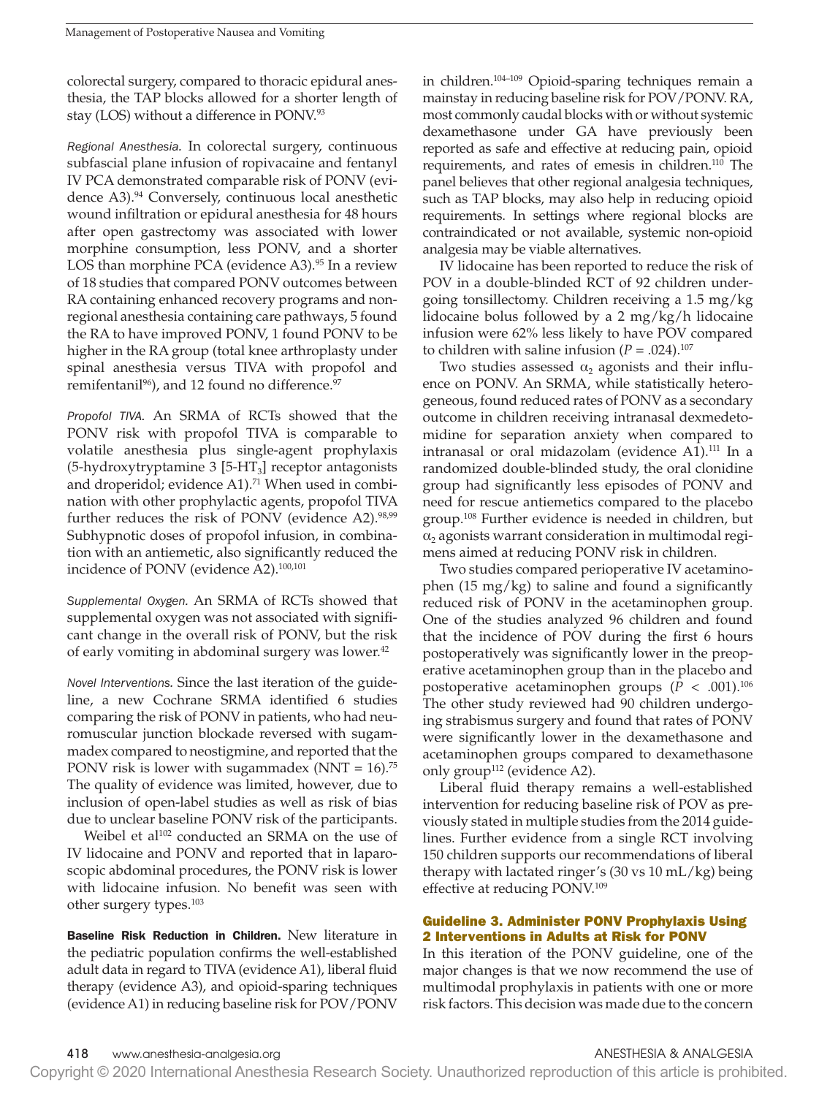colorectal surgery, compared to thoracic epidural anesthesia, the TAP blocks allowed for a shorter length of stay (LOS) without a difference in PONV.93

*Regional Anesthesia.* In colorectal surgery, continuous subfascial plane infusion of ropivacaine and fentanyl IV PCA demonstrated comparable risk of PONV (evidence A3).<sup>94</sup> Conversely, continuous local anesthetic wound infiltration or epidural anesthesia for 48 hours after open gastrectomy was associated with lower morphine consumption, less PONV, and a shorter LOS than morphine PCA (evidence A3). $95$  In a review of 18 studies that compared PONV outcomes between RA containing enhanced recovery programs and nonregional anesthesia containing care pathways, 5 found the RA to have improved PONV, 1 found PONV to be higher in the RA group (total knee arthroplasty under spinal anesthesia versus TIVA with propofol and remifentanil<sup>96</sup>), and 12 found no difference.<sup>97</sup>

*Propofol TIVA.* An SRMA of RCTs showed that the PONV risk with propofol TIVA is comparable to volatile anesthesia plus single-agent prophylaxis (5-hydroxytryptamine 3  $[5-HT_3]$  receptor antagonists and droperidol; evidence A1).<sup>71</sup> When used in combination with other prophylactic agents, propofol TIVA further reduces the risk of PONV (evidence A2).<sup>98,99</sup> Subhypnotic doses of propofol infusion, in combination with an antiemetic, also significantly reduced the incidence of PONV (evidence A2).100,101

*Supplemental Oxygen.* An SRMA of RCTs showed that supplemental oxygen was not associated with significant change in the overall risk of PONV, but the risk of early vomiting in abdominal surgery was lower.<sup>42</sup>

*Novel Interventions.* Since the last iteration of the guideline, a new Cochrane SRMA identified 6 studies comparing the risk of PONV in patients, who had neuromuscular junction blockade reversed with sugammadex compared to neostigmine, and reported that the PONV risk is lower with sugammadex (NNT =  $16$ ).<sup>75</sup> The quality of evidence was limited, however, due to inclusion of open-label studies as well as risk of bias due to unclear baseline PONV risk of the participants.

Weibel et al<sup>102</sup> conducted an SRMA on the use of IV lidocaine and PONV and reported that in laparoscopic abdominal procedures, the PONV risk is lower with lidocaine infusion. No benefit was seen with other surgery types.103

Baseline Risk Reduction in Children. New literature in the pediatric population confirms the well-established adult data in regard to TIVA (evidence A1), liberal fluid therapy (evidence A3), and opioid-sparing techniques (evidence A1) in reducing baseline risk for POV/PONV in children.104–109 Opioid-sparing techniques remain a mainstay in reducing baseline risk for POV/PONV. RA, most commonly caudal blocks with or without systemic dexamethasone under GA have previously been reported as safe and effective at reducing pain, opioid requirements, and rates of emesis in children.<sup>110</sup> The panel believes that other regional analgesia techniques, such as TAP blocks, may also help in reducing opioid requirements. In settings where regional blocks are contraindicated or not available, systemic non-opioid analgesia may be viable alternatives.

IV lidocaine has been reported to reduce the risk of POV in a double-blinded RCT of 92 children undergoing tonsillectomy. Children receiving a 1.5 mg/kg lidocaine bolus followed by a 2 mg/kg/h lidocaine infusion were 62% less likely to have POV compared to children with saline infusion  $(P = .024).^{107}$ 

Two studies assessed  $\alpha_2$  agonists and their influence on PONV. An SRMA, while statistically heterogeneous, found reduced rates of PONV as a secondary outcome in children receiving intranasal dexmedetomidine for separation anxiety when compared to intranasal or oral midazolam (evidence A1).111 In a randomized double-blinded study, the oral clonidine group had significantly less episodes of PONV and need for rescue antiemetics compared to the placebo group.<sup>108</sup> Further evidence is needed in children, but  $\alpha_2$  agonists warrant consideration in multimodal regimens aimed at reducing PONV risk in children.

Two studies compared perioperative IV acetaminophen (15 mg/kg) to saline and found a significantly reduced risk of PONV in the acetaminophen group. One of the studies analyzed 96 children and found that the incidence of POV during the first 6 hours postoperatively was significantly lower in the preoperative acetaminophen group than in the placebo and postoperative acetaminophen groups  $(P < .001).^{106}$ The other study reviewed had 90 children undergoing strabismus surgery and found that rates of PONV were significantly lower in the dexamethasone and acetaminophen groups compared to dexamethasone only group<sup>112</sup> (evidence A2).

Liberal fluid therapy remains a well-established intervention for reducing baseline risk of POV as previously stated in multiple studies from the 2014 guidelines. Further evidence from a single RCT involving 150 children supports our recommendations of liberal therapy with lactated ringer's (30 vs 10 mL/kg) being effective at reducing PONV.109

# Guideline 3. Administer PONV Prophylaxis Using 2 Interventions in Adults at Risk for PONV

In this iteration of the PONV guideline, one of the major changes is that we now recommend the use of multimodal prophylaxis in patients with one or more risk factors. This decision was made due to the concern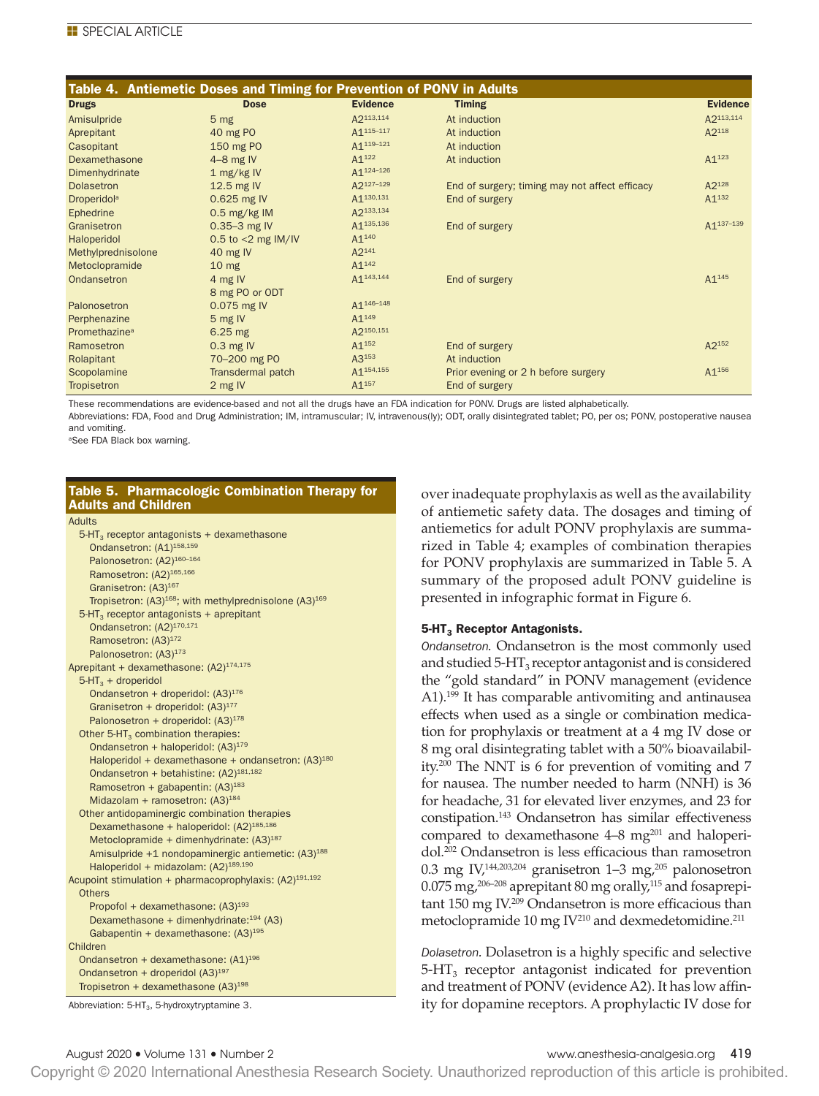| Table 4. Antiemetic Doses and Timing for Prevention of PONV in Adults |                       |                       |                                                |                        |  |  |  |  |
|-----------------------------------------------------------------------|-----------------------|-----------------------|------------------------------------------------|------------------------|--|--|--|--|
| <b>Drugs</b>                                                          | <b>Dose</b>           | <b>Evidence</b>       | <b>Timing</b>                                  | <b>Evidence</b>        |  |  |  |  |
| Amisulpride                                                           | 5 <sub>mg</sub>       | A2113,114             | At induction                                   | A2113,114              |  |  |  |  |
| Aprepitant                                                            | 40 mg PO              | A1115-117             | At induction                                   | A2118                  |  |  |  |  |
| Casopitant                                                            | 150 mg PO             | A1 <sup>119-121</sup> | At induction                                   |                        |  |  |  |  |
| Dexamethasone                                                         | $4-8$ mg IV           | $A1^{122}$            | At induction                                   | $A1^{123}$             |  |  |  |  |
| Dimenhydrinate                                                        | 1 mg/kg IV            | A1 <sup>124-126</sup> |                                                |                        |  |  |  |  |
| Dolasetron                                                            | 12.5 mg IV            | A2127-129             | End of surgery; timing may not affect efficacy | A2128                  |  |  |  |  |
| <b>Droperidol</b> <sup>a</sup>                                        | 0.625 mg IV           | A1 <sup>130,131</sup> | End of surgery                                 | $A1^{132}$             |  |  |  |  |
| Ephedrine                                                             | $0.5$ mg/kg IM        | A2133,134             |                                                |                        |  |  |  |  |
| Granisetron                                                           | $0.35 - 3$ mg IV      | A1 <sup>135,136</sup> | End of surgery                                 | A <sub>1</sub> 137-139 |  |  |  |  |
| Haloperidol                                                           | 0.5 to $<$ 2 mg IM/IV | $A1^{140}$            |                                                |                        |  |  |  |  |
| Methylprednisolone                                                    | 40 mg $IV$            | A2 <sup>141</sup>     |                                                |                        |  |  |  |  |
| Metoclopramide                                                        | 10 <sub>mg</sub>      | $A1^{142}$            |                                                |                        |  |  |  |  |
| Ondansetron                                                           | 4 mg IV               | A1 <sup>143,144</sup> | End of surgery                                 | $A1^{145}$             |  |  |  |  |
|                                                                       | 8 mg PO or ODT        |                       |                                                |                        |  |  |  |  |
| Palonosetron                                                          | 0.075 mg IV           | A1 <sup>146-148</sup> |                                                |                        |  |  |  |  |
| Perphenazine                                                          | 5 mg IV               | $A1^{149}$            |                                                |                        |  |  |  |  |
| Promethazine <sup>a</sup>                                             | $6.25$ mg             | A2150,151             |                                                |                        |  |  |  |  |
| Ramosetron                                                            | $0.3$ mg IV           | $A1^{152}$            | End of surgery                                 | $A2^{152}$             |  |  |  |  |
| Rolapitant                                                            | 70-200 mg PO          | $A3^{153}$            | At induction                                   |                        |  |  |  |  |
| Scopolamine                                                           | Transdermal patch     | A1 <sup>154,155</sup> | Prior evening or 2 h before surgery            | A1 <sup>156</sup>      |  |  |  |  |
| Tropisetron                                                           | 2 mg IV               | $A1^{157}$            | End of surgery                                 |                        |  |  |  |  |

These recommendations are evidence-based and not all the drugs have an FDA indication for PONV. Drugs are listed alphabetically.

Abbreviations: FDA, Food and Drug Administration; IM, intramuscular; IV, intravenous(ly); ODT, orally disintegrated tablet; PO, per os; PONV, postoperative nausea and vomiting.

<sup>a</sup>See FDA Black box warning.

### Table 5. Pharmacologic Combination Therapy for Adults and Children

### Adults

| $5-HT3$ receptor antagonists + dexamethasone                                   |
|--------------------------------------------------------------------------------|
| Ondansetron: (A1) <sup>158,159</sup>                                           |
| Palonosetron: (A2) <sup>160-164</sup>                                          |
| Ramosetron: (A2) <sup>165,166</sup>                                            |
| Granisetron: (A3) <sup>167</sup>                                               |
| Tropisetron: (A3) <sup>168</sup> ; with methylprednisolone (A3) <sup>169</sup> |
| $5-HT3$ receptor antagonists + aprepitant                                      |
| Ondansetron: (A2) <sup>170,171</sup>                                           |
| Ramosetron: (A3) <sup>172</sup>                                                |
| Palonosetron: (A3) <sup>173</sup>                                              |
| Aprepitant + dexamethasone: (A2) <sup>174,175</sup>                            |
| $5-HT3 + droperidol$                                                           |
| Ondansetron + droperidol: (A3) <sup>176</sup>                                  |
| Granisetron + droperidol: (A3) <sup>177</sup>                                  |
| Palonosetron + droperidol: $(A3)^{178}$                                        |
| Other 5-HT <sub>3</sub> combination therapies:                                 |
| Ondansetron + haloperidol: (A3) <sup>179</sup>                                 |
| Haloperidol + dexamethasone + ondansetron: $(A3)^{180}$                        |
| Ondansetron + betahistine: (A2) <sup>181,182</sup>                             |
| Ramosetron + gabapentin: $(A3)^{183}$                                          |
| Midazolam + ramosetron: $(A3)^{184}$                                           |
| Other antidopaminergic combination therapies                                   |
| Dexamethasone + haloperidol: (A2) <sup>185,186</sup>                           |
| Metoclopramide + dimenhydrinate: $(A3)^{187}$                                  |
| Amisulpride +1 nondopaminergic antiemetic: (A3) <sup>188</sup>                 |
| Haloperidol + midazolam: (A2) <sup>189,190</sup>                               |
| Acupoint stimulation + pharmacoprophylaxis: $(A2)^{191,192}$                   |
| <b>Others</b>                                                                  |
| Propofol + dexamethasone: $(A3)^{193}$                                         |
| Dexamethasone + dimenhydrinate: <sup>194</sup> (A3)                            |
| Gabapentin + dexamethasone: $(A3)^{195}$                                       |
| Children                                                                       |
| Ondansetron + dexamethasone: (A1) <sup>196</sup>                               |
| Ondansetron + droperidol (A3) <sup>197</sup>                                   |
| Tropisetron + dexamethasone $(A3)^{198}$                                       |
|                                                                                |

Abbreviation: 5-HT<sub>3</sub>, 5-hydroxytryptamine 3.

over inadequate prophylaxis as well as the availability of antiemetic safety data. The dosages and timing of antiemetics for adult PONV prophylaxis are summarized in Table 4; examples of combination therapies for PONV prophylaxis are summarized in Table 5. A summary of the proposed adult PONV guideline is presented in infographic format in Figure 6.

### $5$ -HT<sub>3</sub> Receptor Antagonists.

*Ondansetron.* Ondansetron is the most commonly used and studied  $5-\text{HT}_3$  receptor antagonist and is considered the "gold standard" in PONV management (evidence A1).199 It has comparable antivomiting and antinausea effects when used as a single or combination medication for prophylaxis or treatment at a 4 mg IV dose or 8 mg oral disintegrating tablet with a 50% bioavailability.200 The NNT is 6 for prevention of vomiting and 7 for nausea. The number needed to harm (NNH) is 36 for headache, 31 for elevated liver enzymes, and 23 for constipation.143 Ondansetron has similar effectiveness compared to dexamethasone  $4-8$  mg<sup>201</sup> and haloperidol.202 Ondansetron is less efficacious than ramosetron 0.3 mg $\rm IV^{144,203,204}$ granisetron 1–3 mg $^{205}$  palonosetron  $0.075$  mg,<sup>206-208</sup> aprepitant 80 mg orally,<sup>115</sup> and fosaprepitant 150 mg IV.209 Ondansetron is more efficacious than metoclopramide 10 mg  $IV^{210}$  and dexmedetomidine.<sup>211</sup>

*Dolasetron.* Dolasetron is a highly specific and selective  $5-HT<sub>3</sub>$  receptor antagonist indicated for prevention and treatment of PONV (evidence A2). It has low affinity for dopamine receptors. A prophylactic IV dose for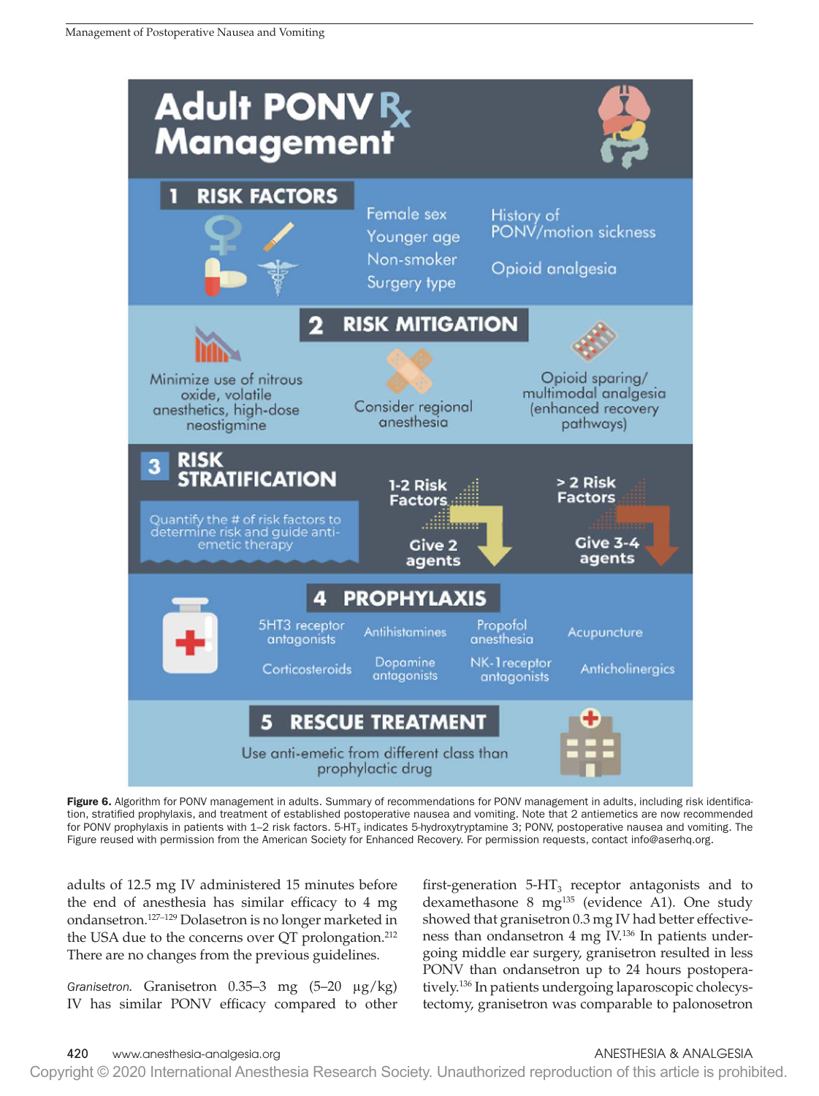

Figure 6. Algorithm for PONV management in adults. Summary of recommendations for PONV management in adults, including risk identification, stratified prophylaxis, and treatment of established postoperative nausea and vomiting. Note that 2 antiemetics are now recommended for PONV prophylaxis in patients with 1–2 risk factors.  $5-HT_3$  indicates 5-hydroxytryptamine 3; PONV, postoperative nausea and vomiting. The Figure reused with permission from the American Society for Enhanced Recovery. For permission requests, contact info@aserhq.org.

adults of 12.5 mg IV administered 15 minutes before the end of anesthesia has similar efficacy to 4 mg ondansetron.127–129 Dolasetron is no longer marketed in the USA due to the concerns over QT prolongation.<sup>212</sup> There are no changes from the previous guidelines.

*Granisetron.* Granisetron 0.35–3 mg (5–20 μg/kg) IV has similar PONV efficacy compared to other

first-generation  $5-HT_3$  receptor antagonists and to dexamethasone 8 mg<sup>135</sup> (evidence A1). One study showed that granisetron 0.3 mg IV had better effectiveness than ondansetron 4 mg IV.136 In patients undergoing middle ear surgery, granisetron resulted in less PONV than ondansetron up to 24 hours postoperatively.136 In patients undergoing laparoscopic cholecystectomy, granisetron was comparable to palonosetron

# 420 www.anesthesia-analgesia.org ANESTHESIA & ANALGESIA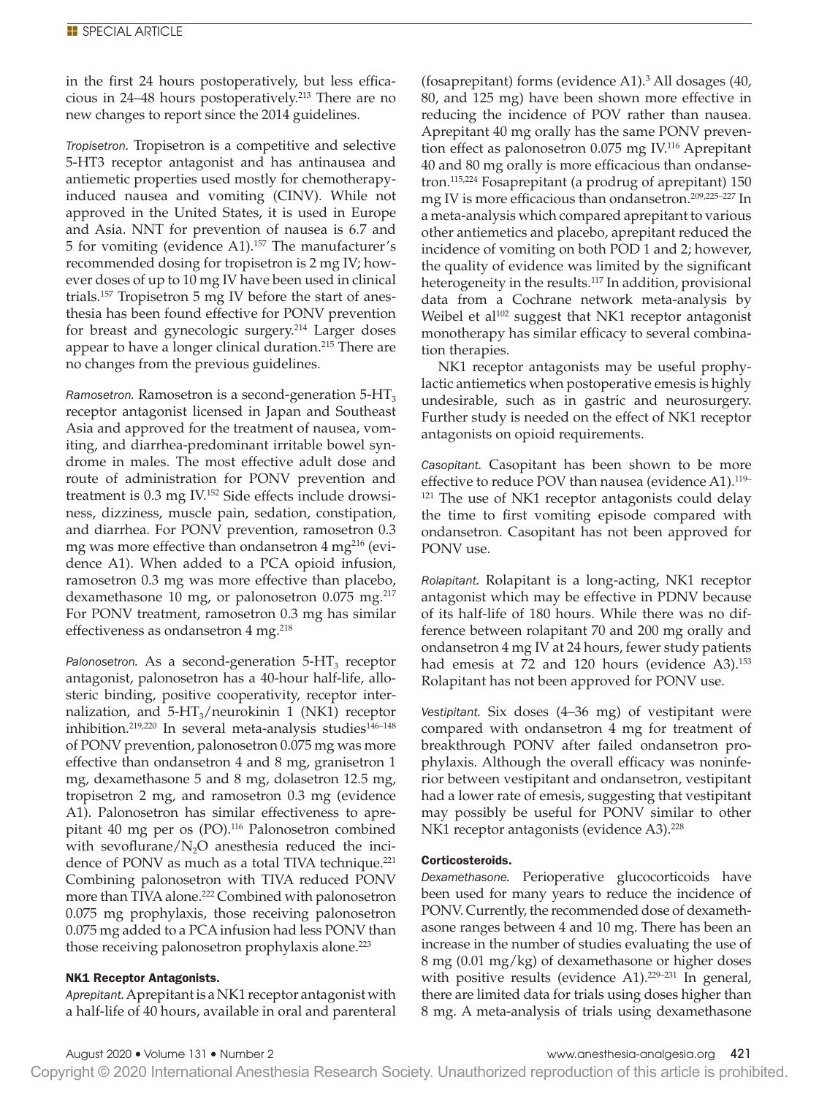in the first 24 hours postoperatively, but less efficacious in 24–48 hours postoperatively.213 There are no new changes to report since the 2014 guidelines.

*Tropisetron.* Tropisetron is a competitive and selective 5-HT3 receptor antagonist and has antinausea and antiemetic properties used mostly for chemotherapyinduced nausea and vomiting (CINV). While not approved in the United States, it is used in Europe and Asia. NNT for prevention of nausea is 6.7 and 5 for vomiting (evidence A1).157 The manufacturer's recommended dosing for tropisetron is 2 mg IV; however doses of up to 10 mg IV have been used in clinical trials.157 Tropisetron 5 mg IV before the start of anesthesia has been found effective for PONV prevention for breast and gynecologic surgery.214 Larger doses appear to have a longer clinical duration.<sup>215</sup> There are no changes from the previous guidelines.

*Ramosetron.* Ramosetron is a second-generation  $5-HT_3$ receptor antagonist licensed in Japan and Southeast Asia and approved for the treatment of nausea, vomiting, and diarrhea-predominant irritable bowel syndrome in males. The most effective adult dose and route of administration for PONV prevention and treatment is 0.3 mg IV.152 Side effects include drowsiness, dizziness, muscle pain, sedation, constipation, and diarrhea. For PONV prevention, ramosetron 0.3 mg was more effective than ondansetron  $4 \text{ mg}^{216}$  (evidence A1). When added to a PCA opioid infusion, ramosetron 0.3 mg was more effective than placebo, dexamethasone 10 mg, or palonosetron 0.075 mg.<sup>217</sup> For PONV treatment, ramosetron 0.3 mg has similar effectiveness as ondansetron 4 mg.<sup>218</sup>

 $P$ alonosetron. As a second-generation  $5-HT_3$  receptor antagonist, palonosetron has a 40-hour half-life, allosteric binding, positive cooperativity, receptor internalization, and  $5-HT_3/$ neurokinin 1 (NK1) receptor inhibition.<sup>219,220</sup> In several meta-analysis studies<sup>146-148</sup> of PONV prevention, palonosetron 0.075 mg was more effective than ondansetron 4 and 8 mg, granisetron 1 mg, dexamethasone 5 and 8 mg, dolasetron 12.5 mg, tropisetron 2 mg, and ramosetron 0.3 mg (evidence A1). Palonosetron has similar effectiveness to aprepitant 40 mg per os (PO).<sup>116</sup> Palonosetron combined with sevoflurane/ $N<sub>2</sub>O$  anesthesia reduced the incidence of PONV as much as a total TIVA technique.<sup>221</sup> Combining palonosetron with TIVA reduced PONV more than TIVA alone.<sup>222</sup> Combined with palonosetron 0.075 mg prophylaxis, those receiving palonosetron 0.075 mg added to a PCA infusion had less PONV than those receiving palonosetron prophylaxis alone.<sup>223</sup>

# NK1 Receptor Antagonists.

*Aprepitant.* Aprepitant is a NK1 receptor antagonist with a half-life of 40 hours, available in oral and parenteral

(fosaprepitant) forms (evidence A1).3 All dosages (40, 80, and 125 mg) have been shown more effective in reducing the incidence of POV rather than nausea. Aprepitant 40 mg orally has the same PONV prevention effect as palonosetron 0.075 mg IV.116 Aprepitant 40 and 80 mg orally is more efficacious than ondansetron.115,224 Fosaprepitant (a prodrug of aprepitant) 150 mg IV is more efficacious than ondansetron.209,225–227 In a meta-analysis which compared aprepitant to various other antiemetics and placebo, aprepitant reduced the incidence of vomiting on both POD 1 and 2; however, the quality of evidence was limited by the significant heterogeneity in the results.<sup>117</sup> In addition, provisional data from a Cochrane network meta-analysis by Weibel et al<sup>102</sup> suggest that NK1 receptor antagonist monotherapy has similar efficacy to several combination therapies.

NK1 receptor antagonists may be useful prophylactic antiemetics when postoperative emesis is highly undesirable, such as in gastric and neurosurgery. Further study is needed on the effect of NK1 receptor antagonists on opioid requirements.

*Casopitant.* Casopitant has been shown to be more effective to reduce POV than nausea (evidence A1).<sup>119–</sup> <sup>121</sup> The use of NK1 receptor antagonists could delay the time to first vomiting episode compared with ondansetron. Casopitant has not been approved for PONV use.

*Rolapitant.* Rolapitant is a long-acting, NK1 receptor antagonist which may be effective in PDNV because of its half-life of 180 hours. While there was no difference between rolapitant 70 and 200 mg orally and ondansetron 4 mg IV at 24 hours, fewer study patients had emesis at 72 and 120 hours (evidence A3).<sup>153</sup> Rolapitant has not been approved for PONV use.

*Vestipitant.* Six doses (4–36 mg) of vestipitant were compared with ondansetron 4 mg for treatment of breakthrough PONV after failed ondansetron prophylaxis. Although the overall efficacy was noninferior between vestipitant and ondansetron, vestipitant had a lower rate of emesis, suggesting that vestipitant may possibly be useful for PONV similar to other NK1 receptor antagonists (evidence A3).<sup>228</sup>

# Corticosteroids.

*Dexamethasone.* Perioperative glucocorticoids have been used for many years to reduce the incidence of PONV. Currently, the recommended dose of dexamethasone ranges between 4 and 10 mg. There has been an increase in the number of studies evaluating the use of 8 mg (0.01 mg/kg) of dexamethasone or higher doses with positive results (evidence A1). $229-231$  In general, there are limited data for trials using doses higher than 8 mg. A meta-analysis of trials using dexamethasone

August 2020 • Volume 131 • Number 2 www.anesthesia-analgesia.org 421

Copyright © 2020 International Anesthesia Research Society. Unauthorized reproduction of this article is prohibited.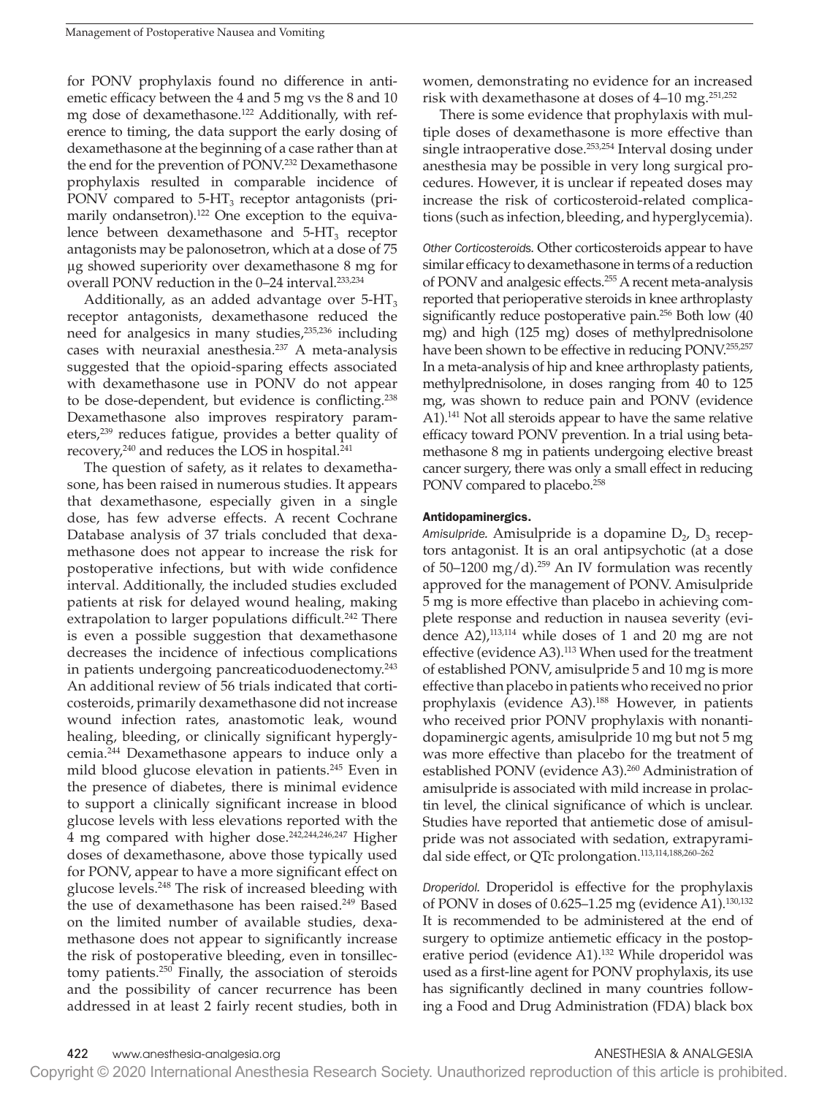for PONV prophylaxis found no difference in antiemetic efficacy between the 4 and 5 mg vs the 8 and 10 mg dose of dexamethasone.122 Additionally, with reference to timing, the data support the early dosing of dexamethasone at the beginning of a case rather than at the end for the prevention of PONV.<sup>232</sup> Dexamethasone prophylaxis resulted in comparable incidence of PONV compared to  $5-HT_3$  receptor antagonists (primarily ondansetron).<sup>122</sup> One exception to the equivalence between dexamethasone and  $5-HT<sub>3</sub>$  receptor antagonists may be palonosetron, which at a dose of 75 μg showed superiority over dexamethasone 8 mg for overall PONV reduction in the 0–24 interval.233,234

Additionally, as an added advantage over  $5-HT_3$ receptor antagonists, dexamethasone reduced the need for analgesics in many studies,235,236 including cases with neuraxial anesthesia.237 A meta-analysis suggested that the opioid-sparing effects associated with dexamethasone use in PONV do not appear to be dose-dependent, but evidence is conflicting.238 Dexamethasone also improves respiratory parameters,<sup>239</sup> reduces fatigue, provides a better quality of recovery,<sup>240</sup> and reduces the LOS in hospital.<sup>241</sup>

The question of safety, as it relates to dexamethasone, has been raised in numerous studies. It appears that dexamethasone, especially given in a single dose, has few adverse effects. A recent Cochrane Database analysis of 37 trials concluded that dexamethasone does not appear to increase the risk for postoperative infections, but with wide confidence interval. Additionally, the included studies excluded patients at risk for delayed wound healing, making extrapolation to larger populations difficult.<sup>242</sup> There is even a possible suggestion that dexamethasone decreases the incidence of infectious complications in patients undergoing pancreaticoduodenectomy.243 An additional review of 56 trials indicated that corticosteroids, primarily dexamethasone did not increase wound infection rates, anastomotic leak, wound healing, bleeding, or clinically significant hyperglycemia.244 Dexamethasone appears to induce only a mild blood glucose elevation in patients.<sup>245</sup> Even in the presence of diabetes, there is minimal evidence to support a clinically significant increase in blood glucose levels with less elevations reported with the 4 mg compared with higher dose.<sup>242,244,246,247</sup> Higher doses of dexamethasone, above those typically used for PONV, appear to have a more significant effect on glucose levels.248 The risk of increased bleeding with the use of dexamethasone has been raised.<sup>249</sup> Based on the limited number of available studies, dexamethasone does not appear to significantly increase the risk of postoperative bleeding, even in tonsillectomy patients.250 Finally, the association of steroids and the possibility of cancer recurrence has been addressed in at least 2 fairly recent studies, both in women, demonstrating no evidence for an increased risk with dexamethasone at doses of 4–10 mg.251,252

There is some evidence that prophylaxis with multiple doses of dexamethasone is more effective than single intraoperative dose.<sup>253,254</sup> Interval dosing under anesthesia may be possible in very long surgical procedures. However, it is unclear if repeated doses may increase the risk of corticosteroid-related complications (such as infection, bleeding, and hyperglycemia).

*Other Corticosteroids.* Other corticosteroids appear to have similar efficacy to dexamethasone in terms of a reduction of PONV and analgesic effects.<sup>255</sup> A recent meta-analysis reported that perioperative steroids in knee arthroplasty significantly reduce postoperative pain.<sup>256</sup> Both low (40) mg) and high (125 mg) doses of methylprednisolone have been shown to be effective in reducing PONV.255,257 In a meta-analysis of hip and knee arthroplasty patients, methylprednisolone, in doses ranging from 40 to 125 mg, was shown to reduce pain and PONV (evidence A1).<sup>141</sup> Not all steroids appear to have the same relative efficacy toward PONV prevention. In a trial using betamethasone 8 mg in patients undergoing elective breast cancer surgery, there was only a small effect in reducing PONV compared to placebo.<sup>258</sup>

### Antidopaminergics.

*Amisulpride.* Amisulpride is a dopamine  $D_2$ ,  $D_3$  receptors antagonist. It is an oral antipsychotic (at a dose of 50–1200 mg/d).<sup>259</sup> An IV formulation was recently approved for the management of PONV. Amisulpride 5 mg is more effective than placebo in achieving complete response and reduction in nausea severity (evidence  $A2$ ),<sup>113,114</sup> while doses of 1 and 20 mg are not effective (evidence A3).<sup>113</sup> When used for the treatment of established PONV, amisulpride 5 and 10 mg is more effective than placebo in patients who received no prior prophylaxis (evidence A3).<sup>188</sup> However, in patients who received prior PONV prophylaxis with nonantidopaminergic agents, amisulpride 10 mg but not 5 mg was more effective than placebo for the treatment of established PONV (evidence A3).<sup>260</sup> Administration of amisulpride is associated with mild increase in prolactin level, the clinical significance of which is unclear. Studies have reported that antiemetic dose of amisulpride was not associated with sedation, extrapyramidal side effect, or QTc prolongation.<sup>113,114,188,260-262</sup>

*Droperidol.* Droperidol is effective for the prophylaxis of PONV in doses of 0.625–1.25 mg (evidence A1).130,132 It is recommended to be administered at the end of surgery to optimize antiemetic efficacy in the postoperative period (evidence A1).<sup>132</sup> While droperidol was used as a first-line agent for PONV prophylaxis, its use has significantly declined in many countries following a Food and Drug Administration (FDA) black box

422 www.anesthesia-analgesia.org ANESTHESIA & ANALGESIA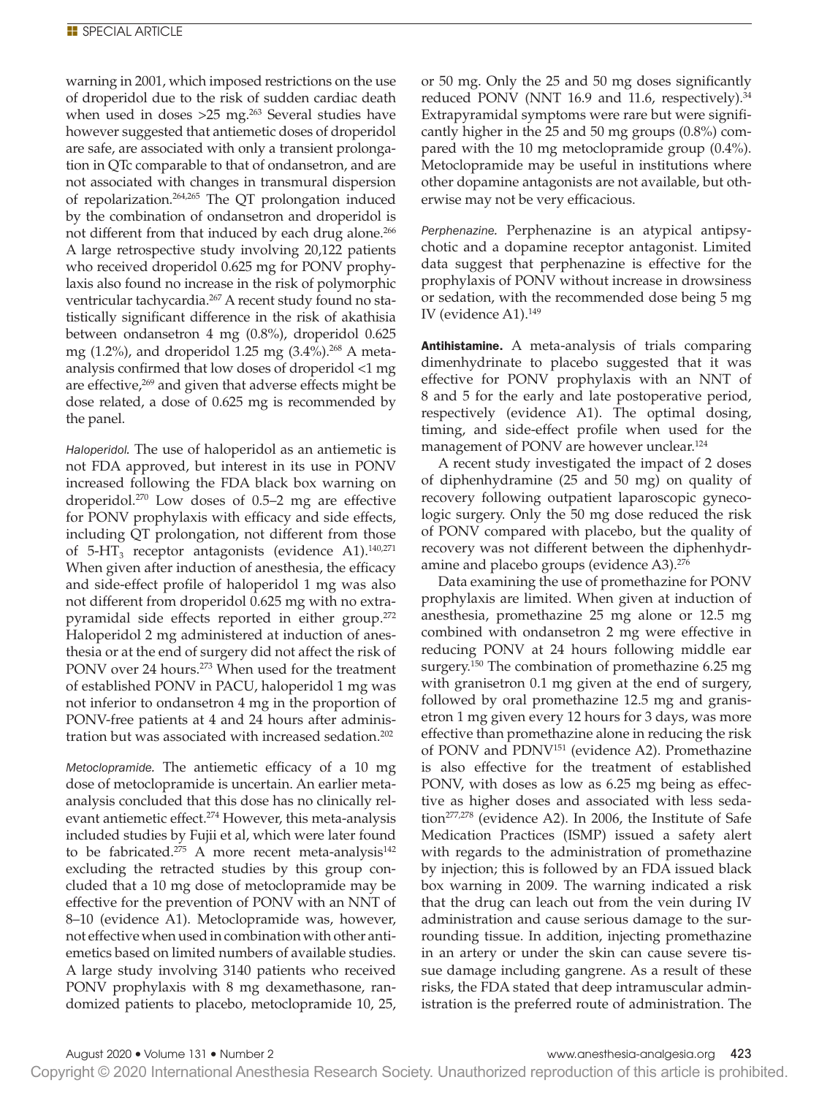warning in 2001, which imposed restrictions on the use of droperidol due to the risk of sudden cardiac death when used in doses  $>25$  mg.<sup>263</sup> Several studies have however suggested that antiemetic doses of droperidol are safe, are associated with only a transient prolongation in QTc comparable to that of ondansetron, and are not associated with changes in transmural dispersion of repolarization.264,265 The QT prolongation induced by the combination of ondansetron and droperidol is not different from that induced by each drug alone.<sup>266</sup> A large retrospective study involving 20,122 patients who received droperidol 0.625 mg for PONV prophylaxis also found no increase in the risk of polymorphic ventricular tachycardia.<sup>267</sup> A recent study found no statistically significant difference in the risk of akathisia between ondansetron 4 mg (0.8%), droperidol 0.625 mg (1.2%), and droperidol 1.25 mg (3.4%).<sup>268</sup> A metaanalysis confirmed that low doses of droperidol <1 mg are effective,<sup>269</sup> and given that adverse effects might be dose related, a dose of 0.625 mg is recommended by the panel.

*Haloperidol.* The use of haloperidol as an antiemetic is not FDA approved, but interest in its use in PONV increased following the FDA black box warning on droperidol.270 Low doses of 0.5–2 mg are effective for PONV prophylaxis with efficacy and side effects, including QT prolongation, not different from those of 5-HT<sub>3</sub> receptor antagonists (evidence A1).<sup>140,271</sup> When given after induction of anesthesia, the efficacy and side-effect profile of haloperidol 1 mg was also not different from droperidol 0.625 mg with no extrapyramidal side effects reported in either group.<sup>272</sup> Haloperidol 2 mg administered at induction of anesthesia or at the end of surgery did not affect the risk of PONV over 24 hours.<sup>273</sup> When used for the treatment of established PONV in PACU, haloperidol 1 mg was not inferior to ondansetron 4 mg in the proportion of PONV-free patients at 4 and 24 hours after administration but was associated with increased sedation.202

*Metoclopramide.* The antiemetic efficacy of a 10 mg dose of metoclopramide is uncertain. An earlier metaanalysis concluded that this dose has no clinically relevant antiemetic effect.<sup>274</sup> However, this meta-analysis included studies by Fujii et al, which were later found to be fabricated.<sup>275</sup> A more recent meta-analysis<sup>142</sup> excluding the retracted studies by this group concluded that a 10 mg dose of metoclopramide may be effective for the prevention of PONV with an NNT of 8–10 (evidence A1). Metoclopramide was, however, not effective when used in combination with other antiemetics based on limited numbers of available studies. A large study involving 3140 patients who received PONV prophylaxis with 8 mg dexamethasone, randomized patients to placebo, metoclopramide 10, 25,

or 50 mg. Only the 25 and 50 mg doses significantly reduced PONV (NNT 16.9 and 11.6, respectively).<sup>34</sup> Extrapyramidal symptoms were rare but were significantly higher in the 25 and 50 mg groups (0.8%) compared with the 10 mg metoclopramide group (0.4%). Metoclopramide may be useful in institutions where other dopamine antagonists are not available, but otherwise may not be very efficacious.

*Perphenazine.* Perphenazine is an atypical antipsychotic and a dopamine receptor antagonist. Limited data suggest that perphenazine is effective for the prophylaxis of PONV without increase in drowsiness or sedation, with the recommended dose being 5 mg IV (evidence A1).149

Antihistamine. A meta-analysis of trials comparing dimenhydrinate to placebo suggested that it was effective for PONV prophylaxis with an NNT of 8 and 5 for the early and late postoperative period, respectively (evidence A1). The optimal dosing, timing, and side-effect profile when used for the management of PONV are however unclear.<sup>124</sup>

A recent study investigated the impact of 2 doses of diphenhydramine (25 and 50 mg) on quality of recovery following outpatient laparoscopic gynecologic surgery. Only the 50 mg dose reduced the risk of PONV compared with placebo, but the quality of recovery was not different between the diphenhydramine and placebo groups (evidence A3).<sup>276</sup>

Data examining the use of promethazine for PONV prophylaxis are limited. When given at induction of anesthesia, promethazine 25 mg alone or 12.5 mg combined with ondansetron 2 mg were effective in reducing PONV at 24 hours following middle ear surgery.150 The combination of promethazine 6.25 mg with granisetron 0.1 mg given at the end of surgery, followed by oral promethazine 12.5 mg and granisetron 1 mg given every 12 hours for 3 days, was more effective than promethazine alone in reducing the risk of PONV and PDNV151 (evidence A2). Promethazine is also effective for the treatment of established PONV, with doses as low as 6.25 mg being as effective as higher doses and associated with less sedation<sup>277,278</sup> (evidence A2). In 2006, the Institute of Safe Medication Practices (ISMP) issued a safety alert with regards to the administration of promethazine by injection; this is followed by an FDA issued black box warning in 2009. The warning indicated a risk that the drug can leach out from the vein during IV administration and cause serious damage to the surrounding tissue. In addition, injecting promethazine in an artery or under the skin can cause severe tissue damage including gangrene. As a result of these risks, the FDA stated that deep intramuscular administration is the preferred route of administration. The

Copyright © 2020 International Anesthesia Research Society. Unauthorized reproduction of this article is prohibited.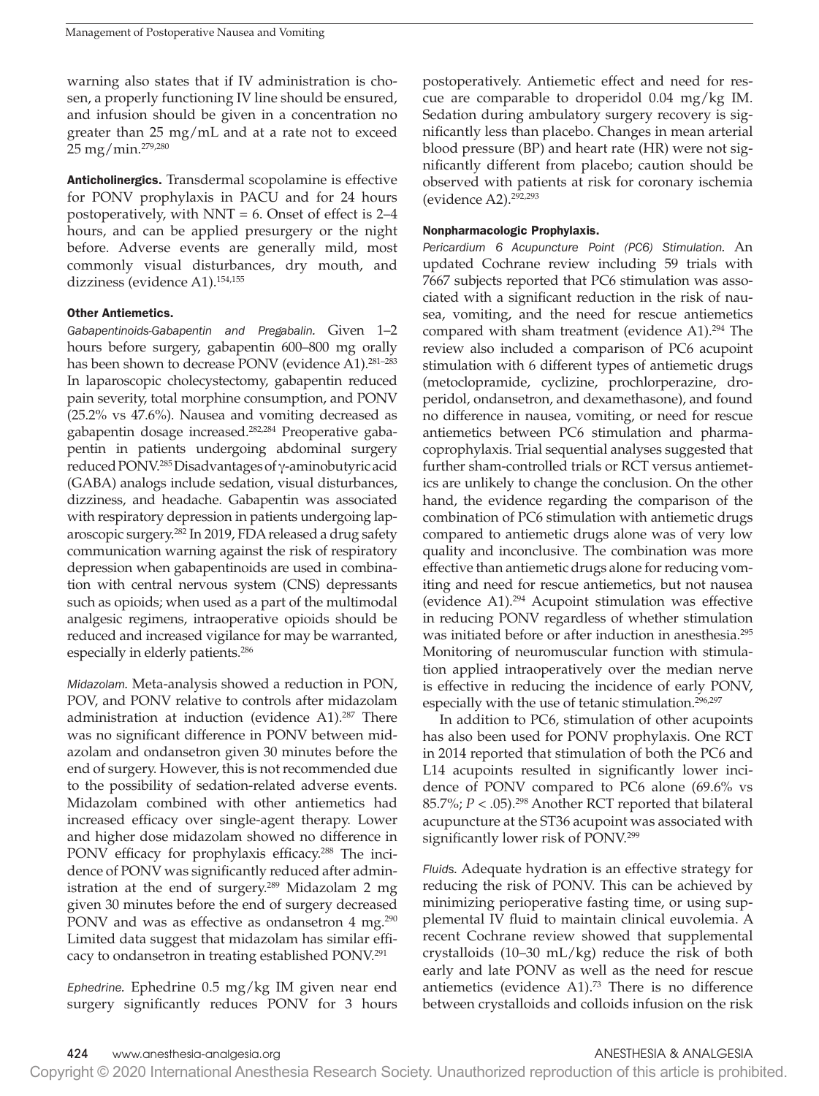warning also states that if IV administration is chosen, a properly functioning IV line should be ensured, and infusion should be given in a concentration no greater than 25 mg/mL and at a rate not to exceed 25 mg/min.279,280

Anticholinergics. Transdermal scopolamine is effective for PONV prophylaxis in PACU and for 24 hours postoperatively, with  $NNT = 6$ . Onset of effect is  $2-4$ hours, and can be applied presurgery or the night before. Adverse events are generally mild, most commonly visual disturbances, dry mouth, and dizziness (evidence A1).154,155

### Other Antiemetics.

*Gabapentinoids-Gabapentin and Pregabalin.* Given 1–2 hours before surgery, gabapentin 600–800 mg orally has been shown to decrease PONV (evidence A1).<sup>281-283</sup> In laparoscopic cholecystectomy, gabapentin reduced pain severity, total morphine consumption, and PONV (25.2% vs 47.6%). Nausea and vomiting decreased as gabapentin dosage increased.282,284 Preoperative gabapentin in patients undergoing abdominal surgery reduced PONV.285 Disadvantages of γ-aminobutyric acid (GABA) analogs include sedation, visual disturbances, dizziness, and headache. Gabapentin was associated with respiratory depression in patients undergoing laparoscopic surgery.282 In 2019, FDA released a drug safety communication warning against the risk of respiratory depression when gabapentinoids are used in combination with central nervous system (CNS) depressants such as opioids; when used as a part of the multimodal analgesic regimens, intraoperative opioids should be reduced and increased vigilance for may be warranted, especially in elderly patients.286

*Midazolam.* Meta-analysis showed a reduction in PON, POV, and PONV relative to controls after midazolam administration at induction (evidence A1).<sup>287</sup> There was no significant difference in PONV between midazolam and ondansetron given 30 minutes before the end of surgery. However, this is not recommended due to the possibility of sedation-related adverse events. Midazolam combined with other antiemetics had increased efficacy over single-agent therapy. Lower and higher dose midazolam showed no difference in PONV efficacy for prophylaxis efficacy.<sup>288</sup> The incidence of PONV was significantly reduced after administration at the end of surgery.289 Midazolam 2 mg given 30 minutes before the end of surgery decreased PONV and was as effective as ondansetron 4 mg.<sup>290</sup> Limited data suggest that midazolam has similar efficacy to ondansetron in treating established PONV.291

*Ephedrine.* Ephedrine 0.5 mg/kg IM given near end surgery significantly reduces PONV for 3 hours postoperatively. Antiemetic effect and need for rescue are comparable to droperidol 0.04 mg/kg IM. Sedation during ambulatory surgery recovery is significantly less than placebo. Changes in mean arterial blood pressure (BP) and heart rate (HR) were not significantly different from placebo; caution should be observed with patients at risk for coronary ischemia (evidence A2).292,293

### Nonpharmacologic Prophylaxis.

*Pericardium 6 Acupuncture Point (PC6) Stimulation.* An updated Cochrane review including 59 trials with 7667 subjects reported that PC6 stimulation was associated with a significant reduction in the risk of nausea, vomiting, and the need for rescue antiemetics compared with sham treatment (evidence A1).294 The review also included a comparison of PC6 acupoint stimulation with 6 different types of antiemetic drugs (metoclopramide, cyclizine, prochlorperazine, droperidol, ondansetron, and dexamethasone), and found no difference in nausea, vomiting, or need for rescue antiemetics between PC6 stimulation and pharmacoprophylaxis. Trial sequential analyses suggested that further sham-controlled trials or RCT versus antiemetics are unlikely to change the conclusion. On the other hand, the evidence regarding the comparison of the combination of PC6 stimulation with antiemetic drugs compared to antiemetic drugs alone was of very low quality and inconclusive. The combination was more effective than antiemetic drugs alone for reducing vomiting and need for rescue antiemetics, but not nausea (evidence A1).294 Acupoint stimulation was effective in reducing PONV regardless of whether stimulation was initiated before or after induction in anesthesia.295 Monitoring of neuromuscular function with stimulation applied intraoperatively over the median nerve is effective in reducing the incidence of early PONV, especially with the use of tetanic stimulation.<sup>296,297</sup>

In addition to PC6, stimulation of other acupoints has also been used for PONV prophylaxis. One RCT in 2014 reported that stimulation of both the PC6 and L14 acupoints resulted in significantly lower incidence of PONV compared to PC6 alone (69.6% vs 85.7%;  $P < .05$ ).<sup>298</sup> Another RCT reported that bilateral acupuncture at the ST36 acupoint was associated with significantly lower risk of PONV.299

*Fluids.* Adequate hydration is an effective strategy for reducing the risk of PONV. This can be achieved by minimizing perioperative fasting time, or using supplemental IV fluid to maintain clinical euvolemia. A recent Cochrane review showed that supplemental crystalloids (10–30 mL/kg) reduce the risk of both early and late PONV as well as the need for rescue antiemetics (evidence A1).<sup>73</sup> There is no difference between crystalloids and colloids infusion on the risk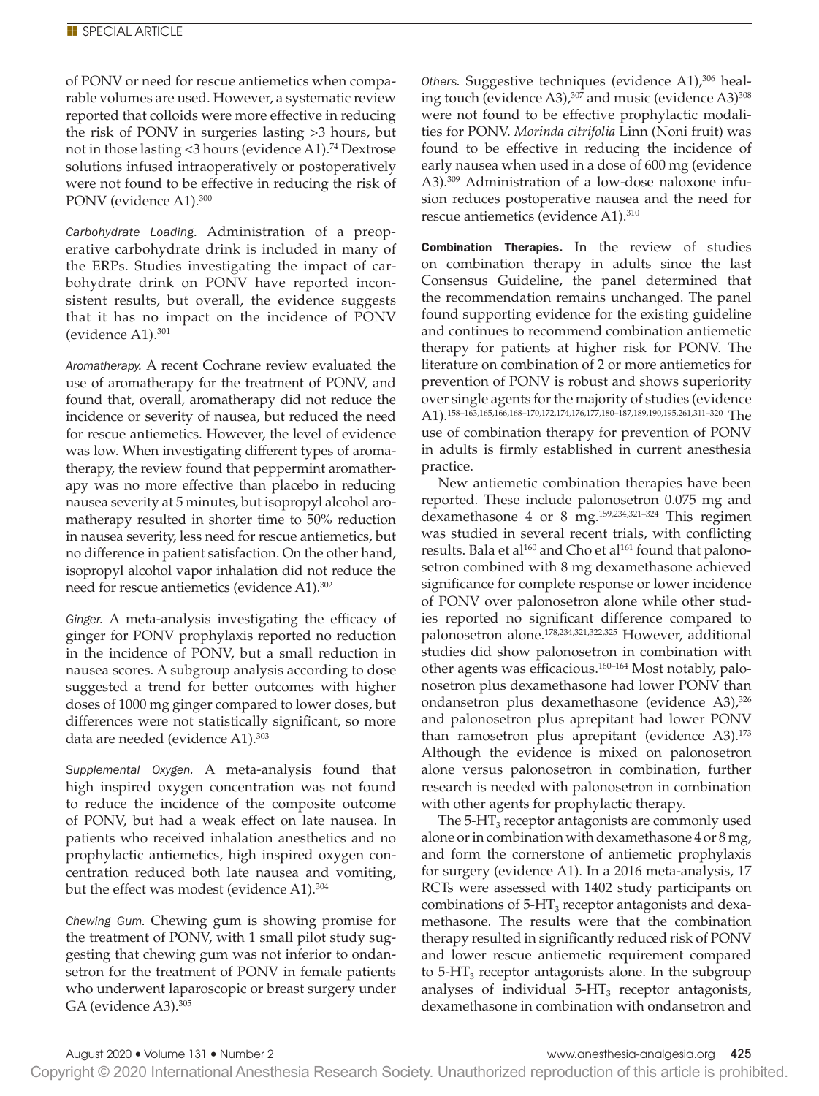of PONV or need for rescue antiemetics when comparable volumes are used. However, a systematic review reported that colloids were more effective in reducing the risk of PONV in surgeries lasting >3 hours, but not in those lasting <3 hours (evidence A1).<sup>74</sup> Dextrose solutions infused intraoperatively or postoperatively were not found to be effective in reducing the risk of PONV (evidence A1).300

*Carbohydrate Loading.* Administration of a preoperative carbohydrate drink is included in many of the ERPs. Studies investigating the impact of carbohydrate drink on PONV have reported inconsistent results, but overall, the evidence suggests that it has no impact on the incidence of PONV (evidence A1).301

*Aromatherapy.* A recent Cochrane review evaluated the use of aromatherapy for the treatment of PONV, and found that, overall, aromatherapy did not reduce the incidence or severity of nausea, but reduced the need for rescue antiemetics. However, the level of evidence was low. When investigating different types of aromatherapy, the review found that peppermint aromatherapy was no more effective than placebo in reducing nausea severity at 5 minutes, but isopropyl alcohol aromatherapy resulted in shorter time to 50% reduction in nausea severity, less need for rescue antiemetics, but no difference in patient satisfaction. On the other hand, isopropyl alcohol vapor inhalation did not reduce the need for rescue antiemetics (evidence A1).302

*Ginger.* A meta-analysis investigating the efficacy of ginger for PONV prophylaxis reported no reduction in the incidence of PONV, but a small reduction in nausea scores. A subgroup analysis according to dose suggested a trend for better outcomes with higher doses of 1000 mg ginger compared to lower doses, but differences were not statistically significant, so more data are needed (evidence A1).<sup>303</sup>

*Supplemental Oxygen.* A meta-analysis found that high inspired oxygen concentration was not found to reduce the incidence of the composite outcome of PONV, but had a weak effect on late nausea. In patients who received inhalation anesthetics and no prophylactic antiemetics, high inspired oxygen concentration reduced both late nausea and vomiting, but the effect was modest (evidence A1).<sup>304</sup>

*Chewing Gum.* Chewing gum is showing promise for the treatment of PONV, with 1 small pilot study suggesting that chewing gum was not inferior to ondansetron for the treatment of PONV in female patients who underwent laparoscopic or breast surgery under GA (evidence A3).305

*Others.* Suggestive techniques (evidence A1),306 healing touch (evidence A3),  $307$  and music (evidence A3) $308$ were not found to be effective prophylactic modalities for PONV. *Morinda citrifolia* Linn (Noni fruit) was found to be effective in reducing the incidence of early nausea when used in a dose of 600 mg (evidence A3).309 Administration of a low-dose naloxone infusion reduces postoperative nausea and the need for rescue antiemetics (evidence A1).310

Combination Therapies. In the review of studies on combination therapy in adults since the last Consensus Guideline, the panel determined that the recommendation remains unchanged. The panel found supporting evidence for the existing guideline and continues to recommend combination antiemetic therapy for patients at higher risk for PONV. The literature on combination of 2 or more antiemetics for prevention of PONV is robust and shows superiority over single agents for the majority of studies (evidence A1).158–163,165,166,168–170,172,174,176,177,180–187,189,190,195,261,311–320 The use of combination therapy for prevention of PONV in adults is firmly established in current anesthesia practice.

New antiemetic combination therapies have been reported. These include palonosetron 0.075 mg and dexamethasone 4 or 8 mg.159,234,321–324 This regimen was studied in several recent trials, with conflicting results. Bala et al $160$  and Cho et al $161$  found that palonosetron combined with 8 mg dexamethasone achieved significance for complete response or lower incidence of PONV over palonosetron alone while other studies reported no significant difference compared to palonosetron alone.178,234,321,322,325 However, additional studies did show palonosetron in combination with other agents was efficacious.160–164 Most notably, palonosetron plus dexamethasone had lower PONV than ondansetron plus dexamethasone (evidence A3),<sup>326</sup> and palonosetron plus aprepitant had lower PONV than ramosetron plus aprepitant (evidence A3).<sup>173</sup> Although the evidence is mixed on palonosetron alone versus palonosetron in combination, further research is needed with palonosetron in combination with other agents for prophylactic therapy.

The  $5$ -HT<sub>3</sub> receptor antagonists are commonly used alone or in combination with dexamethasone 4 or 8 mg, and form the cornerstone of antiemetic prophylaxis for surgery (evidence A1). In a 2016 meta-analysis, 17 RCTs were assessed with 1402 study participants on combinations of  $5-HT_3$  receptor antagonists and dexamethasone. The results were that the combination therapy resulted in significantly reduced risk of PONV and lower rescue antiemetic requirement compared to  $5-\text{HT}_3$  receptor antagonists alone. In the subgroup analyses of individual  $5-HT<sub>3</sub>$  receptor antagonists, dexamethasone in combination with ondansetron and

Copyright © 2020 International Anesthesia Research Society. Unauthorized reproduction of this article is prohibited.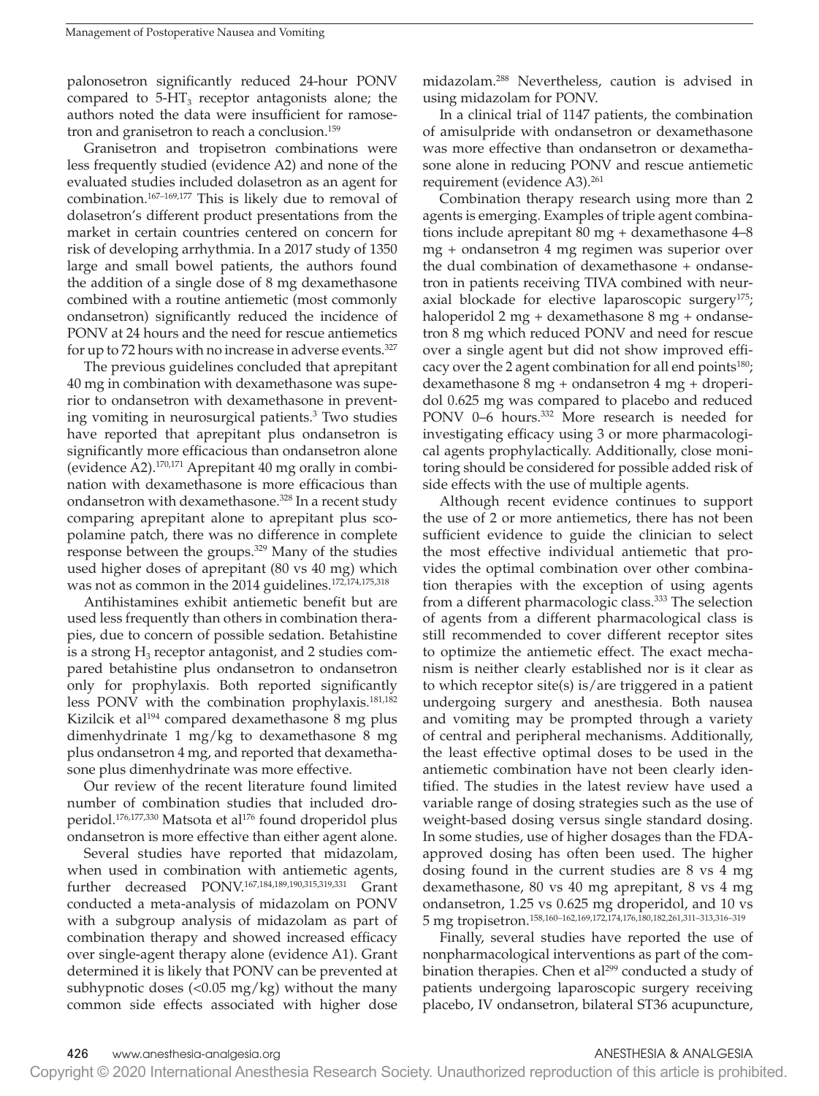palonosetron significantly reduced 24-hour PONV compared to  $5-HT_3$  receptor antagonists alone; the authors noted the data were insufficient for ramosetron and granisetron to reach a conclusion.159

Granisetron and tropisetron combinations were less frequently studied (evidence A2) and none of the evaluated studies included dolasetron as an agent for combination.167–169,177 This is likely due to removal of dolasetron's different product presentations from the market in certain countries centered on concern for risk of developing arrhythmia. In a 2017 study of 1350 large and small bowel patients, the authors found the addition of a single dose of 8 mg dexamethasone combined with a routine antiemetic (most commonly ondansetron) significantly reduced the incidence of PONV at 24 hours and the need for rescue antiemetics for up to 72 hours with no increase in adverse events.327

The previous guidelines concluded that aprepitant 40 mg in combination with dexamethasone was superior to ondansetron with dexamethasone in preventing vomiting in neurosurgical patients.3 Two studies have reported that aprepitant plus ondansetron is significantly more efficacious than ondansetron alone (evidence A2).170,171 Aprepitant 40 mg orally in combination with dexamethasone is more efficacious than ondansetron with dexamethasone.<sup>328</sup> In a recent study comparing aprepitant alone to aprepitant plus scopolamine patch, there was no difference in complete response between the groups.329 Many of the studies used higher doses of aprepitant (80 vs 40 mg) which was not as common in the 2014 guidelines.172,174,175,318

Antihistamines exhibit antiemetic benefit but are used less frequently than others in combination therapies, due to concern of possible sedation. Betahistine is a strong  $H_3$  receptor antagonist, and 2 studies compared betahistine plus ondansetron to ondansetron only for prophylaxis. Both reported significantly less PONV with the combination prophylaxis.181,182 Kizilcik et al<sup>194</sup> compared dexamethasone 8 mg plus dimenhydrinate 1 mg/kg to dexamethasone 8 mg plus ondansetron 4 mg, and reported that dexamethasone plus dimenhydrinate was more effective.

Our review of the recent literature found limited number of combination studies that included droperidol.<sup>176,177,330</sup> Matsota et al<sup>176</sup> found droperidol plus ondansetron is more effective than either agent alone.

Several studies have reported that midazolam, when used in combination with antiemetic agents, further decreased PONV.167,184,189,190,315,319,331 Grant conducted a meta-analysis of midazolam on PONV with a subgroup analysis of midazolam as part of combination therapy and showed increased efficacy over single-agent therapy alone (evidence A1). Grant determined it is likely that PONV can be prevented at subhypnotic doses  $\left($ <0.05 mg/kg) without the many common side effects associated with higher dose midazolam.288 Nevertheless, caution is advised in using midazolam for PONV.

In a clinical trial of 1147 patients, the combination of amisulpride with ondansetron or dexamethasone was more effective than ondansetron or dexamethasone alone in reducing PONV and rescue antiemetic requirement (evidence A3).<sup>261</sup>

Combination therapy research using more than 2 agents is emerging. Examples of triple agent combinations include aprepitant 80 mg + dexamethasone 4–8 mg + ondansetron 4 mg regimen was superior over the dual combination of dexamethasone + ondansetron in patients receiving TIVA combined with neuraxial blockade for elective laparoscopic surgery<sup>175</sup>; haloperidol 2 mg + dexamethasone 8 mg + ondansetron 8 mg which reduced PONV and need for rescue over a single agent but did not show improved efficacy over the 2 agent combination for all end points $180$ ; dexamethasone 8 mg + ondansetron 4 mg + droperidol 0.625 mg was compared to placebo and reduced PONV 0-6 hours.<sup>332</sup> More research is needed for investigating efficacy using 3 or more pharmacological agents prophylactically. Additionally, close monitoring should be considered for possible added risk of side effects with the use of multiple agents.

Although recent evidence continues to support the use of 2 or more antiemetics, there has not been sufficient evidence to guide the clinician to select the most effective individual antiemetic that provides the optimal combination over other combination therapies with the exception of using agents from a different pharmacologic class.<sup>333</sup> The selection of agents from a different pharmacological class is still recommended to cover different receptor sites to optimize the antiemetic effect. The exact mechanism is neither clearly established nor is it clear as to which receptor site(s) is/are triggered in a patient undergoing surgery and anesthesia. Both nausea and vomiting may be prompted through a variety of central and peripheral mechanisms. Additionally, the least effective optimal doses to be used in the antiemetic combination have not been clearly identified. The studies in the latest review have used a variable range of dosing strategies such as the use of weight-based dosing versus single standard dosing. In some studies, use of higher dosages than the FDAapproved dosing has often been used. The higher dosing found in the current studies are 8 vs 4 mg dexamethasone, 80 vs 40 mg aprepitant, 8 vs 4 mg ondansetron, 1.25 vs 0.625 mg droperidol, and 10 vs 5 mg tropisetron.158,160–162,169,172,174,176,180,182,261,311–313,316–319

Finally, several studies have reported the use of nonpharmacological interventions as part of the combination therapies. Chen et al<sup>299</sup> conducted a study of patients undergoing laparoscopic surgery receiving placebo, IV ondansetron, bilateral ST36 acupuncture,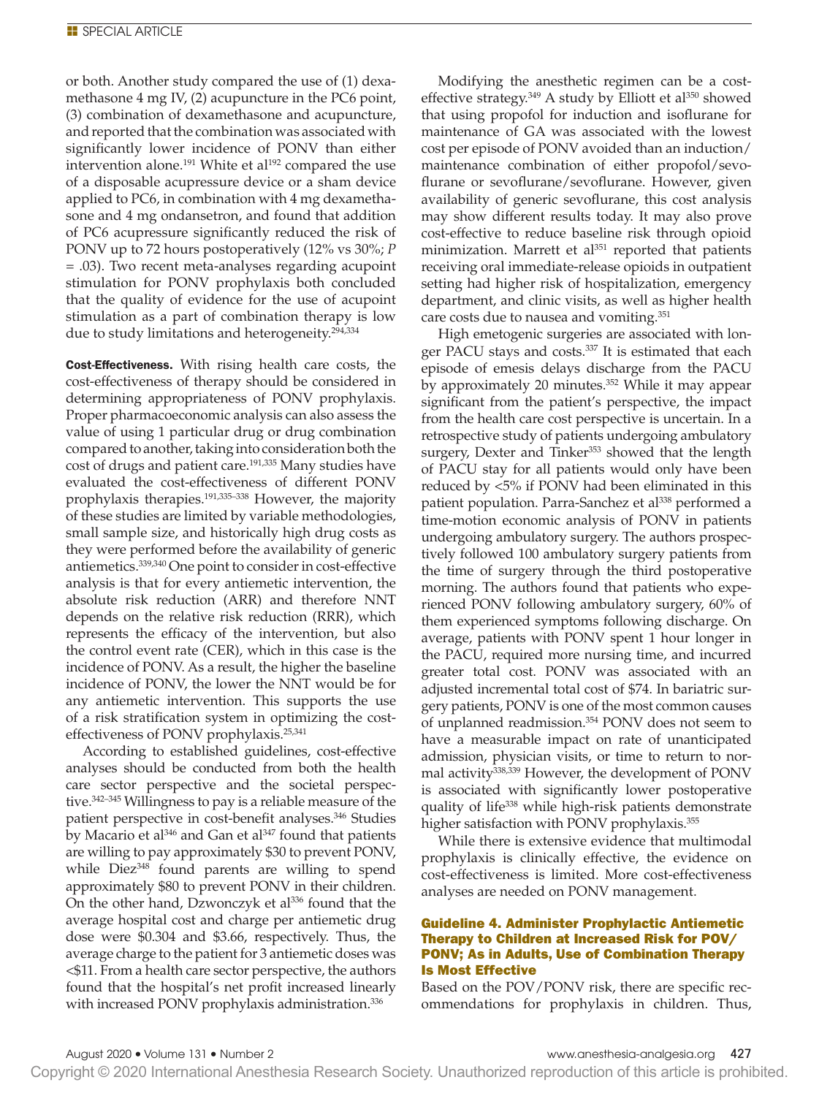or both. Another study compared the use of (1) dexamethasone 4 mg IV, (2) acupuncture in the PC6 point, (3) combination of dexamethasone and acupuncture, and reported that the combination was associated with significantly lower incidence of PONV than either intervention alone.<sup>191</sup> White et al<sup>192</sup> compared the use of a disposable acupressure device or a sham device applied to PC6, in combination with 4 mg dexamethasone and 4 mg ondansetron, and found that addition of PC6 acupressure significantly reduced the risk of PONV up to 72 hours postoperatively (12% vs 30%; *P* = .03). Two recent meta-analyses regarding acupoint stimulation for PONV prophylaxis both concluded that the quality of evidence for the use of acupoint stimulation as a part of combination therapy is low due to study limitations and heterogeneity.<sup>294,334</sup>

Cost-Effectiveness. With rising health care costs, the cost-effectiveness of therapy should be considered in determining appropriateness of PONV prophylaxis. Proper pharmacoeconomic analysis can also assess the value of using 1 particular drug or drug combination compared to another, taking into consideration both the cost of drugs and patient care.191,335 Many studies have evaluated the cost-effectiveness of different PONV prophylaxis therapies.191,335–338 However, the majority of these studies are limited by variable methodologies, small sample size, and historically high drug costs as they were performed before the availability of generic antiemetics.339,340 One point to consider in cost-effective analysis is that for every antiemetic intervention, the absolute risk reduction (ARR) and therefore NNT depends on the relative risk reduction (RRR), which represents the efficacy of the intervention, but also the control event rate (CER), which in this case is the incidence of PONV. As a result, the higher the baseline incidence of PONV, the lower the NNT would be for any antiemetic intervention. This supports the use of a risk stratification system in optimizing the costeffectiveness of PONV prophylaxis.25,341

According to established guidelines, cost-effective analyses should be conducted from both the health care sector perspective and the societal perspective.<sup>342-345</sup> Willingness to pay is a reliable measure of the patient perspective in cost-benefit analyses.<sup>346</sup> Studies by Macario et al $346$  and Gan et al $347$  found that patients are willing to pay approximately \$30 to prevent PONV, while Diez<sup>348</sup> found parents are willing to spend approximately \$80 to prevent PONV in their children. On the other hand, Dzwonczyk et al<sup>336</sup> found that the average hospital cost and charge per antiemetic drug dose were \$0.304 and \$3.66, respectively. Thus, the average charge to the patient for 3 antiemetic doses was <\$11. From a health care sector perspective, the authors found that the hospital's net profit increased linearly with increased PONV prophylaxis administration.<sup>336</sup>

Modifying the anesthetic regimen can be a costeffective strategy. $349$  A study by Elliott et al $350$  showed that using propofol for induction and isoflurane for maintenance of GA was associated with the lowest cost per episode of PONV avoided than an induction/ maintenance combination of either propofol/sevoflurane or sevoflurane/sevoflurane. However, given availability of generic sevoflurane, this cost analysis may show different results today. It may also prove cost-effective to reduce baseline risk through opioid minimization. Marrett et al<sup>351</sup> reported that patients receiving oral immediate-release opioids in outpatient setting had higher risk of hospitalization, emergency department, and clinic visits, as well as higher health care costs due to nausea and vomiting.351

High emetogenic surgeries are associated with longer PACU stays and costs.<sup>337</sup> It is estimated that each episode of emesis delays discharge from the PACU by approximately 20 minutes.352 While it may appear significant from the patient's perspective, the impact from the health care cost perspective is uncertain. In a retrospective study of patients undergoing ambulatory surgery, Dexter and Tinker<sup>353</sup> showed that the length of PACU stay for all patients would only have been reduced by <5% if PONV had been eliminated in this patient population. Parra-Sanchez et al<sup>338</sup> performed a time-motion economic analysis of PONV in patients undergoing ambulatory surgery. The authors prospectively followed 100 ambulatory surgery patients from the time of surgery through the third postoperative morning. The authors found that patients who experienced PONV following ambulatory surgery, 60% of them experienced symptoms following discharge. On average, patients with PONV spent 1 hour longer in the PACU, required more nursing time, and incurred greater total cost. PONV was associated with an adjusted incremental total cost of \$74. In bariatric surgery patients, PONV is one of the most common causes of unplanned readmission.354 PONV does not seem to have a measurable impact on rate of unanticipated admission, physician visits, or time to return to normal activity338,339 However, the development of PONV is associated with significantly lower postoperative quality of life<sup>338</sup> while high-risk patients demonstrate higher satisfaction with PONV prophylaxis.<sup>355</sup>

While there is extensive evidence that multimodal prophylaxis is clinically effective, the evidence on cost-effectiveness is limited. More cost-effectiveness analyses are needed on PONV management.

# Guideline 4. Administer Prophylactic Antiemetic Therapy to Children at Increased Risk for POV/ PONV; As in Adults, Use of Combination Therapy Is Most Effective

Based on the POV/PONV risk, there are specific recommendations for prophylaxis in children. Thus,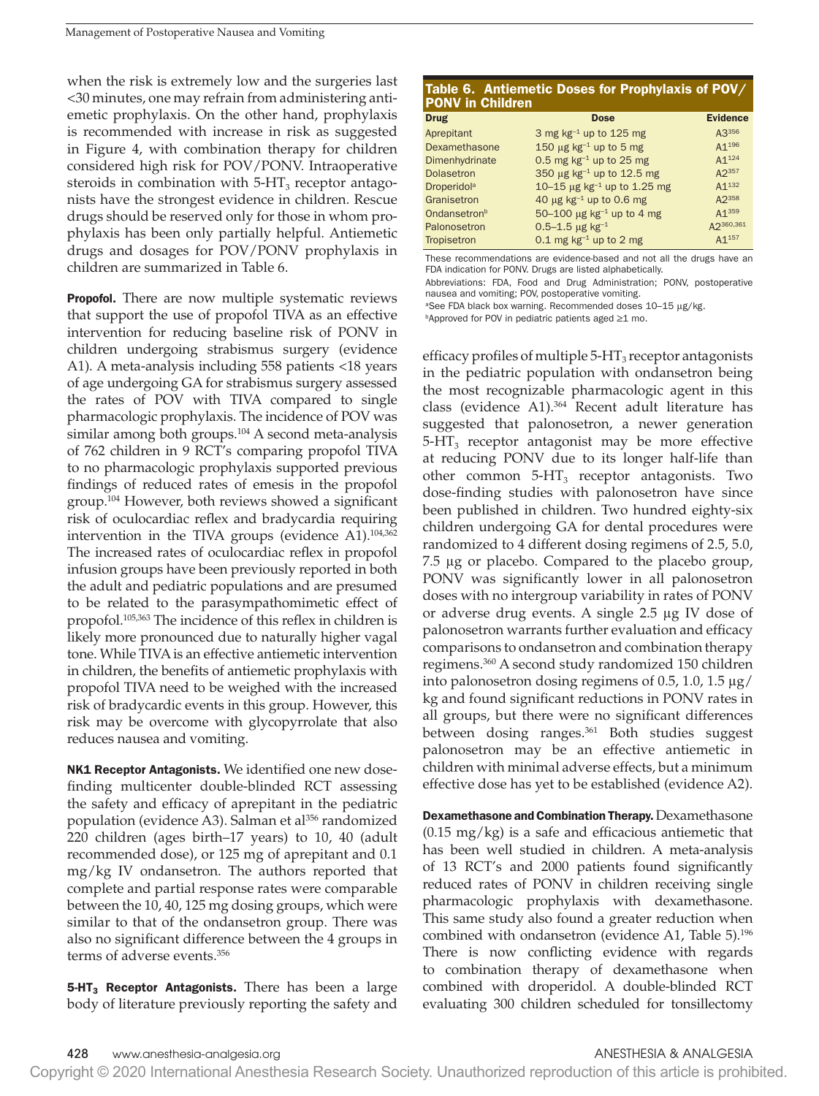when the risk is extremely low and the surgeries last <30 minutes, one may refrain from administering antiemetic prophylaxis. On the other hand, prophylaxis is recommended with increase in risk as suggested in Figure 4, with combination therapy for children considered high risk for POV/PONV. Intraoperative steroids in combination with  $5-HT<sub>3</sub>$  receptor antagonists have the strongest evidence in children. Rescue drugs should be reserved only for those in whom prophylaxis has been only partially helpful. Antiemetic drugs and dosages for POV/PONV prophylaxis in children are summarized in Table 6.

**Propofol.** There are now multiple systematic reviews that support the use of propofol TIVA as an effective intervention for reducing baseline risk of PONV in children undergoing strabismus surgery (evidence A1). A meta-analysis including 558 patients <18 years of age undergoing GA for strabismus surgery assessed the rates of POV with TIVA compared to single pharmacologic prophylaxis. The incidence of POV was similar among both groups.<sup>104</sup> A second meta-analysis of 762 children in 9 RCT's comparing propofol TIVA to no pharmacologic prophylaxis supported previous findings of reduced rates of emesis in the propofol group.104 However, both reviews showed a significant risk of oculocardiac reflex and bradycardia requiring intervention in the TIVA groups (evidence A1).104,362 The increased rates of oculocardiac reflex in propofol infusion groups have been previously reported in both the adult and pediatric populations and are presumed to be related to the parasympathomimetic effect of propofol.105,363 The incidence of this reflex in children is likely more pronounced due to naturally higher vagal tone. While TIVA is an effective antiemetic intervention in children, the benefits of antiemetic prophylaxis with propofol TIVA need to be weighed with the increased risk of bradycardic events in this group. However, this risk may be overcome with glycopyrrolate that also reduces nausea and vomiting.

**NK1 Receptor Antagonists.** We identified one new dosefinding multicenter double-blinded RCT assessing the safety and efficacy of aprepitant in the pediatric population (evidence A3). Salman et al<sup>356</sup> randomized 220 children (ages birth–17 years) to 10, 40 (adult recommended dose), or 125 mg of aprepitant and 0.1 mg/kg IV ondansetron. The authors reported that complete and partial response rates were comparable between the 10, 40, 125 mg dosing groups, which were similar to that of the ondansetron group. There was also no significant difference between the 4 groups in terms of adverse events.356

**5-HT<sub>3</sub> Receptor Antagonists.** There has been a large body of literature previously reporting the safety and

| Table 6. Antiemetic Doses for Prophylaxis of POV/<br><b>PONV in Children</b> |                                              |                   |  |  |  |  |
|------------------------------------------------------------------------------|----------------------------------------------|-------------------|--|--|--|--|
| <b>Drug</b>                                                                  | <b>Dose</b>                                  | <b>Evidence</b>   |  |  |  |  |
| Aprepitant                                                                   | 3 mg kg $^{-1}$ up to 125 mg                 | A3356             |  |  |  |  |
| Dexamethasone                                                                | 150 $\mu$ g kg <sup>-1</sup> up to 5 mg      | A1 <sup>196</sup> |  |  |  |  |
| Dimenhydrinate                                                               | 0.5 mg $kg^{-1}$ up to 25 mg                 | A1 <sup>124</sup> |  |  |  |  |
| <b>Dolasetron</b>                                                            | 350 µg kg-1 up to 12.5 mg                    | A2357             |  |  |  |  |
| <b>Droperidol</b> <sup>a</sup>                                               | 10-15 $\mu$ g kg <sup>-1</sup> up to 1.25 mg | A1 <sup>132</sup> |  |  |  |  |
| Granisetron                                                                  | 40 $\mu$ g kg <sup>-1</sup> up to 0.6 mg     | A2358             |  |  |  |  |
| Ondansetron <sup>b</sup>                                                     | 50-100 $\mu$ g kg <sup>-1</sup> up to 4 mg   | A1359             |  |  |  |  |
| Palonosetron                                                                 | $0.5 - 1.5$ µg kg <sup>-1</sup>              | A2360,361         |  |  |  |  |
| Tropisetron                                                                  | 0.1 mg $kg^{-1}$ up to 2 mg                  | A1157             |  |  |  |  |

These recommendations are evidence-based and not all the drugs have an FDA indication for PONV. Drugs are listed alphabetically. Abbreviations: FDA, Food and Drug Administration; PONV, postoperative

nausea and vomiting; POV, postoperative vomiting.

aSee FDA black box warning. Recommended doses 10-15 μg/kg.

bApproved for POV in pediatric patients aged ≥1 mo.

efficacy profiles of multiple  $5-HT_3$  receptor antagonists in the pediatric population with ondansetron being the most recognizable pharmacologic agent in this class (evidence A1).<sup>364</sup> Recent adult literature has suggested that palonosetron, a newer generation  $5-HT<sub>3</sub>$  receptor antagonist may be more effective at reducing PONV due to its longer half-life than other common  $5-HT_3$  receptor antagonists. Two dose-finding studies with palonosetron have since been published in children. Two hundred eighty-six children undergoing GA for dental procedures were randomized to 4 different dosing regimens of 2.5, 5.0, 7.5 μg or placebo. Compared to the placebo group, PONV was significantly lower in all palonosetron doses with no intergroup variability in rates of PONV or adverse drug events. A single 2.5 μg IV dose of palonosetron warrants further evaluation and efficacy comparisons to ondansetron and combination therapy regimens.360 A second study randomized 150 children into palonosetron dosing regimens of 0.5, 1.0, 1.5  $\mu$ g/ kg and found significant reductions in PONV rates in all groups, but there were no significant differences between dosing ranges.<sup>361</sup> Both studies suggest palonosetron may be an effective antiemetic in children with minimal adverse effects, but a minimum effective dose has yet to be established (evidence A2).

Dexamethasone and Combination Therapy. Dexamethasone  $(0.15 \text{ mg/kg})$  is a safe and efficacious antiemetic that has been well studied in children. A meta-analysis of 13 RCT's and 2000 patients found significantly reduced rates of PONV in children receiving single pharmacologic prophylaxis with dexamethasone. This same study also found a greater reduction when combined with ondansetron (evidence A1, Table 5).<sup>196</sup> There is now conflicting evidence with regards to combination therapy of dexamethasone when combined with droperidol. A double-blinded RCT evaluating 300 children scheduled for tonsillectomy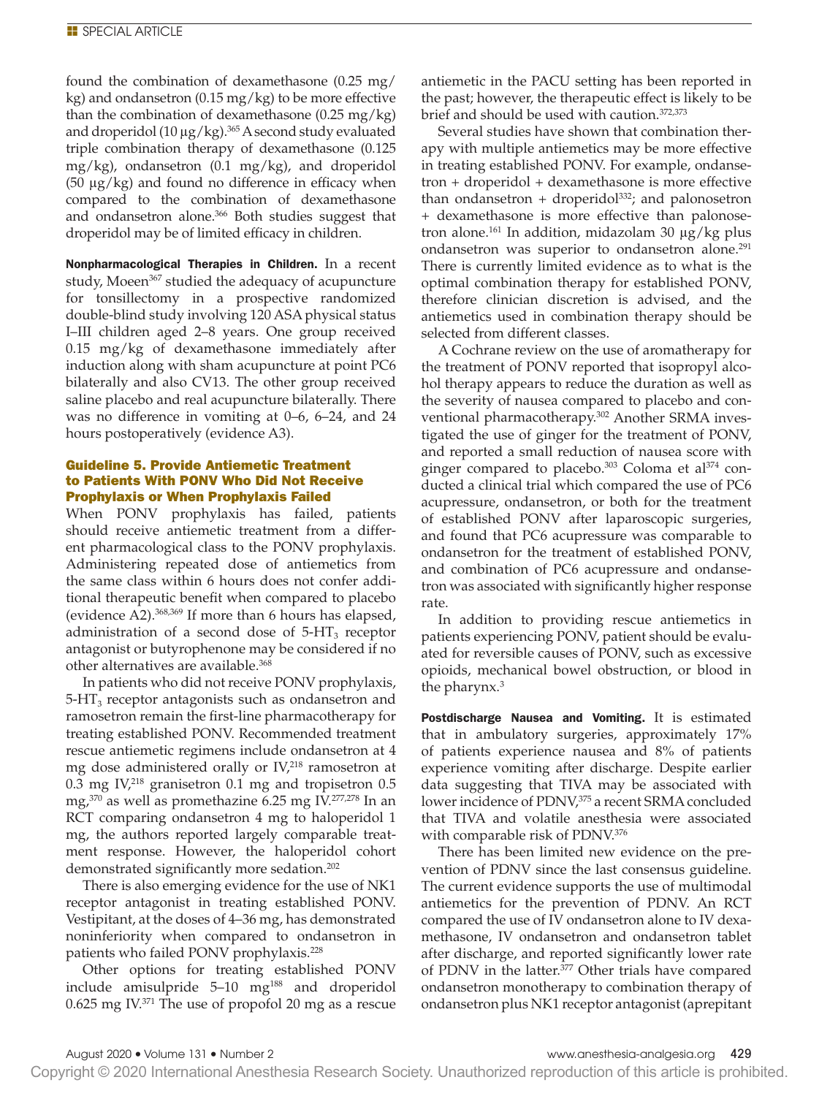found the combination of dexamethasone (0.25 mg/ kg) and ondansetron  $(0.15 \text{ mg/kg})$  to be more effective than the combination of dexamethasone  $(0.25 \text{ mg/kg})$ and droperidol (10  $\mu$ g/kg).<sup>365</sup> A second study evaluated triple combination therapy of dexamethasone (0.125 mg/kg), ondansetron (0.1 mg/kg), and droperidol (50 μg/kg) and found no difference in efficacy when compared to the combination of dexamethasone and ondansetron alone.<sup>366</sup> Both studies suggest that droperidol may be of limited efficacy in children.

Nonpharmacological Therapies in Children. In a recent study, Moeen<sup>367</sup> studied the adequacy of acupuncture for tonsillectomy in a prospective randomized double-blind study involving 120 ASA physical status I–III children aged 2–8 years. One group received 0.15 mg/kg of dexamethasone immediately after induction along with sham acupuncture at point PC6 bilaterally and also CV13. The other group received saline placebo and real acupuncture bilaterally. There was no difference in vomiting at 0–6, 6–24, and 24 hours postoperatively (evidence A3).

# Guideline 5. Provide Antiemetic Treatment to Patients With PONV Who Did Not Receive Prophylaxis or When Prophylaxis Failed

When PONV prophylaxis has failed, patients should receive antiemetic treatment from a different pharmacological class to the PONV prophylaxis. Administering repeated dose of antiemetics from the same class within 6 hours does not confer additional therapeutic benefit when compared to placebo (evidence A2).368,369 If more than 6 hours has elapsed, administration of a second dose of  $5-HT_3$  receptor antagonist or butyrophenone may be considered if no other alternatives are available.<sup>368</sup>

In patients who did not receive PONV prophylaxis,  $5-\text{HT}_3$  receptor antagonists such as ondansetron and ramosetron remain the first-line pharmacotherapy for treating established PONV. Recommended treatment rescue antiemetic regimens include ondansetron at 4 mg dose administered orally or  $IV<sub>1</sub><sup>218</sup>$  ramosetron at 0.3 mg IV, $^{218}$  granisetron 0.1 mg and tropisetron 0.5 mg, $370$  as well as promethazine 6.25 mg IV.<sup>277,278</sup> In an RCT comparing ondansetron 4 mg to haloperidol 1 mg, the authors reported largely comparable treatment response. However, the haloperidol cohort demonstrated significantly more sedation.<sup>202</sup>

There is also emerging evidence for the use of NK1 receptor antagonist in treating established PONV. Vestipitant, at the doses of 4–36 mg, has demonstrated noninferiority when compared to ondansetron in patients who failed PONV prophylaxis.<sup>228</sup>

Other options for treating established PONV include amisulpride 5-10 mg<sup>188</sup> and droperidol 0.625 mg IV.371 The use of propofol 20 mg as a rescue

antiemetic in the PACU setting has been reported in the past; however, the therapeutic effect is likely to be brief and should be used with caution.372,373

Several studies have shown that combination therapy with multiple antiemetics may be more effective in treating established PONV. For example, ondansetron + droperidol + dexamethasone is more effective than ondansetron + droperidol<sup>332</sup>; and palonosetron + dexamethasone is more effective than palonosetron alone.<sup>161</sup> In addition, midazolam 30 μg/kg plus ondansetron was superior to ondansetron alone.<sup>291</sup> There is currently limited evidence as to what is the optimal combination therapy for established PONV, therefore clinician discretion is advised, and the antiemetics used in combination therapy should be selected from different classes.

A Cochrane review on the use of aromatherapy for the treatment of PONV reported that isopropyl alcohol therapy appears to reduce the duration as well as the severity of nausea compared to placebo and conventional pharmacotherapy.<sup>302</sup> Another SRMA investigated the use of ginger for the treatment of PONV, and reported a small reduction of nausea score with ginger compared to placebo.<sup>303</sup> Coloma et al<sup>374</sup> conducted a clinical trial which compared the use of PC6 acupressure, ondansetron, or both for the treatment of established PONV after laparoscopic surgeries, and found that PC6 acupressure was comparable to ondansetron for the treatment of established PONV, and combination of PC6 acupressure and ondansetron was associated with significantly higher response rate.

In addition to providing rescue antiemetics in patients experiencing PONV, patient should be evaluated for reversible causes of PONV, such as excessive opioids, mechanical bowel obstruction, or blood in the pharynx.3

Postdischarge Nausea and Vomiting. It is estimated that in ambulatory surgeries, approximately 17% of patients experience nausea and 8% of patients experience vomiting after discharge. Despite earlier data suggesting that TIVA may be associated with lower incidence of PDNV,<sup>375</sup> a recent SRMA concluded that TIVA and volatile anesthesia were associated with comparable risk of PDNV.376

There has been limited new evidence on the prevention of PDNV since the last consensus guideline. The current evidence supports the use of multimodal antiemetics for the prevention of PDNV. An RCT compared the use of IV ondansetron alone to IV dexamethasone, IV ondansetron and ondansetron tablet after discharge, and reported significantly lower rate of PDNV in the latter.<sup>377</sup> Other trials have compared ondansetron monotherapy to combination therapy of ondansetron plus NK1 receptor antagonist (aprepitant

Copyright © 2020 International Anesthesia Research Society. Unauthorized reproduction of this article is prohibited.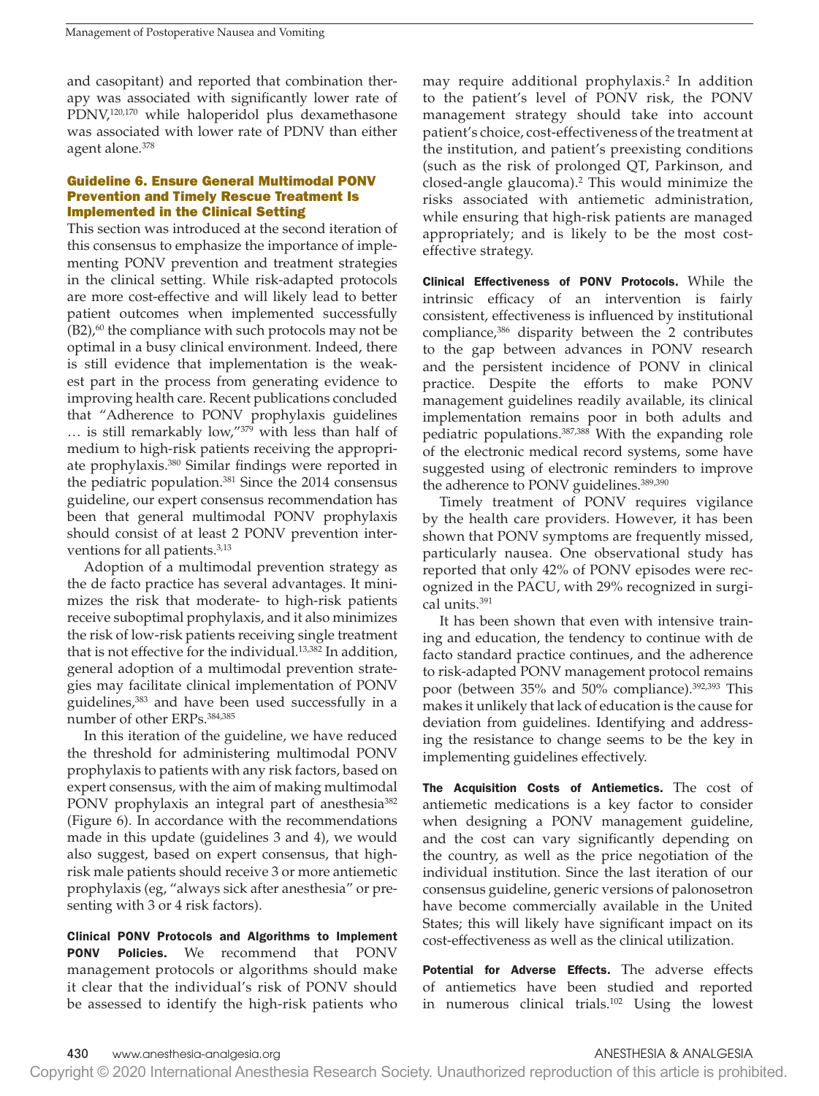and casopitant) and reported that combination therapy was associated with significantly lower rate of PDNV,<sup>120,170</sup> while haloperidol plus dexamethasone was associated with lower rate of PDNV than either agent alone.378

### Guideline 6. Ensure General Multimodal PONV Prevention and Timely Rescue Treatment Is Implemented in the Clinical Setting

This section was introduced at the second iteration of this consensus to emphasize the importance of implementing PONV prevention and treatment strategies in the clinical setting. While risk-adapted protocols are more cost-effective and will likely lead to better patient outcomes when implemented successfully  $(B2)$ ,<sup>60</sup> the compliance with such protocols may not be optimal in a busy clinical environment. Indeed, there is still evidence that implementation is the weakest part in the process from generating evidence to improving health care. Recent publications concluded that "Adherence to PONV prophylaxis guidelines … is still remarkably low,"379 with less than half of medium to high-risk patients receiving the appropriate prophylaxis.380 Similar findings were reported in the pediatric population.<sup>381</sup> Since the 2014 consensus guideline, our expert consensus recommendation has been that general multimodal PONV prophylaxis should consist of at least 2 PONV prevention interventions for all patients.<sup>3,13</sup>

Adoption of a multimodal prevention strategy as the de facto practice has several advantages. It minimizes the risk that moderate- to high-risk patients receive suboptimal prophylaxis, and it also minimizes the risk of low-risk patients receiving single treatment that is not effective for the individual.13,382 In addition, general adoption of a multimodal prevention strategies may facilitate clinical implementation of PONV guidelines,<sup>383</sup> and have been used successfully in a number of other ERPs.384,385

In this iteration of the guideline, we have reduced the threshold for administering multimodal PONV prophylaxis to patients with any risk factors, based on expert consensus, with the aim of making multimodal PONV prophylaxis an integral part of anesthesia<sup>382</sup> (Figure 6). In accordance with the recommendations made in this update (guidelines 3 and 4), we would also suggest, based on expert consensus, that highrisk male patients should receive 3 or more antiemetic prophylaxis (eg, "always sick after anesthesia" or presenting with 3 or 4 risk factors).

Clinical PONV Protocols and Algorithms to Implement PONV Policies. We recommend that PONV management protocols or algorithms should make it clear that the individual's risk of PONV should be assessed to identify the high-risk patients who may require additional prophylaxis.2 In addition to the patient's level of PONV risk, the PONV management strategy should take into account patient's choice, cost-effectiveness of the treatment at the institution, and patient's preexisting conditions (such as the risk of prolonged QT, Parkinson, and closed-angle glaucoma).2 This would minimize the risks associated with antiemetic administration, while ensuring that high-risk patients are managed appropriately; and is likely to be the most costeffective strategy.

Clinical Effectiveness of PONV Protocols. While the intrinsic efficacy of an intervention is fairly consistent, effectiveness is influenced by institutional compliance,<sup>386</sup> disparity between the 2 contributes to the gap between advances in PONV research and the persistent incidence of PONV in clinical practice. Despite the efforts to make PONV management guidelines readily available, its clinical implementation remains poor in both adults and pediatric populations.387,388 With the expanding role of the electronic medical record systems, some have suggested using of electronic reminders to improve the adherence to PONV guidelines.<sup>389,390</sup>

Timely treatment of PONV requires vigilance by the health care providers. However, it has been shown that PONV symptoms are frequently missed, particularly nausea. One observational study has reported that only 42% of PONV episodes were recognized in the PACU, with 29% recognized in surgical units.<sup>391</sup>

It has been shown that even with intensive training and education, the tendency to continue with de facto standard practice continues, and the adherence to risk-adapted PONV management protocol remains poor (between 35% and 50% compliance).<sup>392,393</sup> This makes it unlikely that lack of education is the cause for deviation from guidelines. Identifying and addressing the resistance to change seems to be the key in implementing guidelines effectively.

The Acquisition Costs of Antiemetics. The cost of antiemetic medications is a key factor to consider when designing a PONV management guideline, and the cost can vary significantly depending on the country, as well as the price negotiation of the individual institution. Since the last iteration of our consensus guideline, generic versions of palonosetron have become commercially available in the United States; this will likely have significant impact on its cost-effectiveness as well as the clinical utilization.

Potential for Adverse Effects. The adverse effects of antiemetics have been studied and reported in numerous clinical trials.102 Using the lowest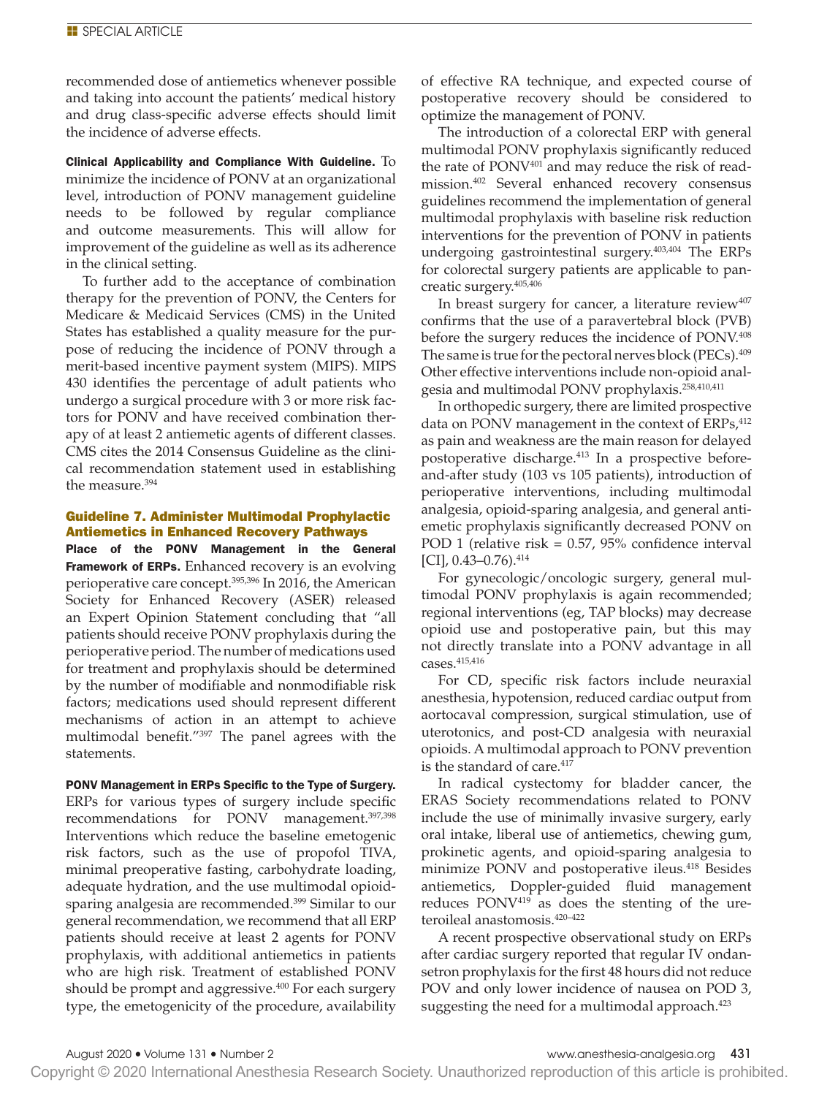recommended dose of antiemetics whenever possible and taking into account the patients' medical history and drug class-specific adverse effects should limit the incidence of adverse effects.

Clinical Applicability and Compliance With Guideline. To minimize the incidence of PONV at an organizational level, introduction of PONV management guideline needs to be followed by regular compliance and outcome measurements. This will allow for improvement of the guideline as well as its adherence in the clinical setting.

To further add to the acceptance of combination therapy for the prevention of PONV, the Centers for Medicare & Medicaid Services (CMS) in the United States has established a quality measure for the purpose of reducing the incidence of PONV through a merit-based incentive payment system (MIPS). MIPS 430 identifies the percentage of adult patients who undergo a surgical procedure with 3 or more risk factors for PONV and have received combination therapy of at least 2 antiemetic agents of different classes. CMS cites the 2014 Consensus Guideline as the clinical recommendation statement used in establishing the measure.394

# Guideline 7. Administer Multimodal Prophylactic Antiemetics in Enhanced Recovery Pathways

Place of the PONV Management in the General **Framework of ERPs.** Enhanced recovery is an evolving perioperative care concept.<sup>395,396</sup> In 2016, the American Society for Enhanced Recovery (ASER) released an Expert Opinion Statement concluding that "all patients should receive PONV prophylaxis during the perioperative period. The number of medications used for treatment and prophylaxis should be determined by the number of modifiable and nonmodifiable risk factors; medications used should represent different mechanisms of action in an attempt to achieve multimodal benefit."397 The panel agrees with the statements.

PONV Management in ERPs Specific to the Type of Surgery. ERPs for various types of surgery include specific recommendations for PONV management.397,398 Interventions which reduce the baseline emetogenic risk factors, such as the use of propofol TIVA, minimal preoperative fasting, carbohydrate loading, adequate hydration, and the use multimodal opioidsparing analgesia are recommended.399 Similar to our general recommendation, we recommend that all ERP patients should receive at least 2 agents for PONV prophylaxis, with additional antiemetics in patients who are high risk. Treatment of established PONV should be prompt and aggressive.<sup>400</sup> For each surgery type, the emetogenicity of the procedure, availability

of effective RA technique, and expected course of postoperative recovery should be considered to optimize the management of PONV.

The introduction of a colorectal ERP with general multimodal PONV prophylaxis significantly reduced the rate of PONV<sup>401</sup> and may reduce the risk of readmission.402 Several enhanced recovery consensus guidelines recommend the implementation of general multimodal prophylaxis with baseline risk reduction interventions for the prevention of PONV in patients undergoing gastrointestinal surgery.403,404 The ERPs for colorectal surgery patients are applicable to pancreatic surgery.405,406

In breast surgery for cancer, a literature review $407$ confirms that the use of a paravertebral block (PVB) before the surgery reduces the incidence of PONV.408 The same is true for the pectoral nerves block (PECs).<sup>409</sup> Other effective interventions include non-opioid analgesia and multimodal PONV prophylaxis.<sup>258,410,411</sup>

In orthopedic surgery, there are limited prospective data on PONV management in the context of ERPs,<sup>412</sup> as pain and weakness are the main reason for delayed postoperative discharge.<sup>413</sup> In a prospective beforeand-after study (103 vs 105 patients), introduction of perioperative interventions, including multimodal analgesia, opioid-sparing analgesia, and general antiemetic prophylaxis significantly decreased PONV on POD 1 (relative risk = 0.57, 95% confidence interval  $[CI]$ , 0.43-0.76).<sup>414</sup>

For gynecologic/oncologic surgery, general multimodal PONV prophylaxis is again recommended; regional interventions (eg, TAP blocks) may decrease opioid use and postoperative pain, but this may not directly translate into a PONV advantage in all cases.415,416

For CD, specific risk factors include neuraxial anesthesia, hypotension, reduced cardiac output from aortocaval compression, surgical stimulation, use of uterotonics, and post-CD analgesia with neuraxial opioids. A multimodal approach to PONV prevention is the standard of care.<sup>417</sup>

In radical cystectomy for bladder cancer, the ERAS Society recommendations related to PONV include the use of minimally invasive surgery, early oral intake, liberal use of antiemetics, chewing gum, prokinetic agents, and opioid-sparing analgesia to minimize PONV and postoperative ileus.<sup>418</sup> Besides antiemetics, Doppler-guided fluid management reduces PONV419 as does the stenting of the ureteroileal anastomosis.420–422

A recent prospective observational study on ERPs after cardiac surgery reported that regular IV ondansetron prophylaxis for the first 48 hours did not reduce POV and only lower incidence of nausea on POD 3, suggesting the need for a multimodal approach.<sup>423</sup>

Copyright © 2020 International Anesthesia Research Society. Unauthorized reproduction of this article is prohibited.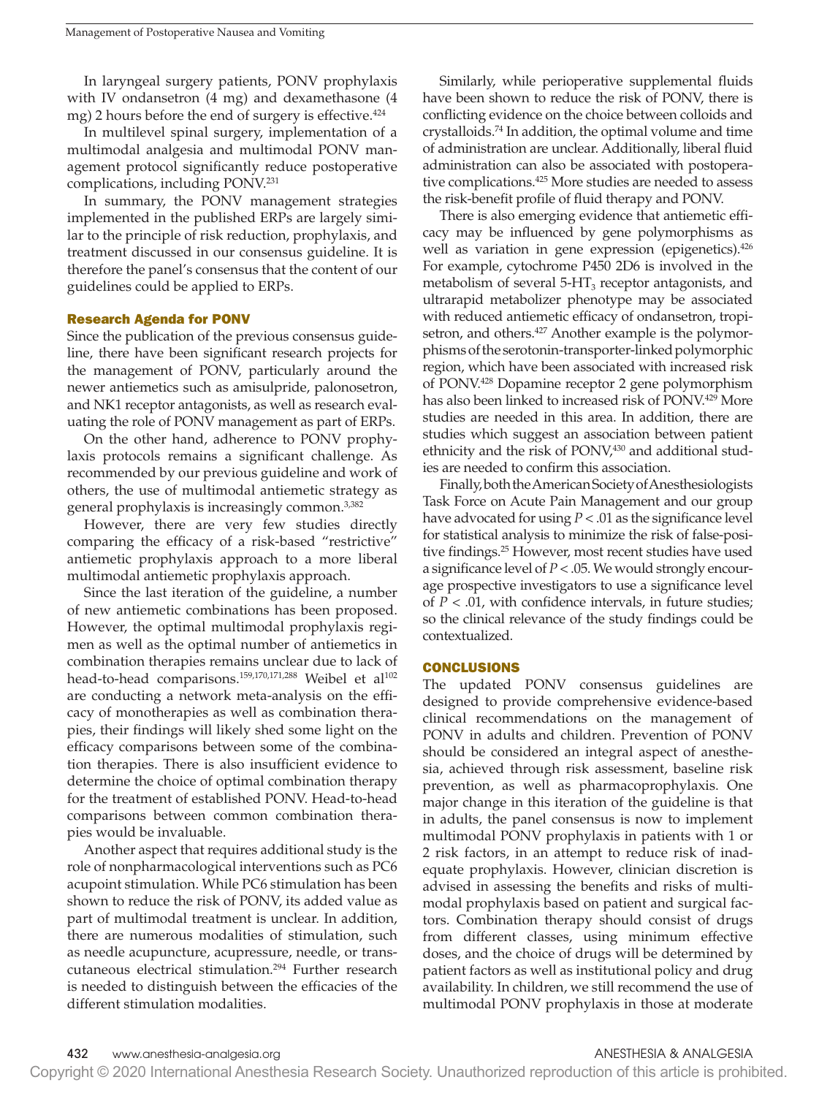In laryngeal surgery patients, PONV prophylaxis with IV ondansetron (4 mg) and dexamethasone (4 mg) 2 hours before the end of surgery is effective. $424$ 

In multilevel spinal surgery, implementation of a multimodal analgesia and multimodal PONV management protocol significantly reduce postoperative complications, including PONV.231

In summary, the PONV management strategies implemented in the published ERPs are largely similar to the principle of risk reduction, prophylaxis, and treatment discussed in our consensus guideline. It is therefore the panel's consensus that the content of our guidelines could be applied to ERPs.

### Research Agenda for PONV

Since the publication of the previous consensus guideline, there have been significant research projects for the management of PONV, particularly around the newer antiemetics such as amisulpride, palonosetron, and NK1 receptor antagonists, as well as research evaluating the role of PONV management as part of ERPs.

On the other hand, adherence to PONV prophylaxis protocols remains a significant challenge. As recommended by our previous guideline and work of others, the use of multimodal antiemetic strategy as general prophylaxis is increasingly common.3,382

However, there are very few studies directly comparing the efficacy of a risk-based "restrictive" antiemetic prophylaxis approach to a more liberal multimodal antiemetic prophylaxis approach.

Since the last iteration of the guideline, a number of new antiemetic combinations has been proposed. However, the optimal multimodal prophylaxis regimen as well as the optimal number of antiemetics in combination therapies remains unclear due to lack of head-to-head comparisons.<sup>159,170,171,288</sup> Weibel et al<sup>102</sup> are conducting a network meta-analysis on the efficacy of monotherapies as well as combination therapies, their findings will likely shed some light on the efficacy comparisons between some of the combination therapies. There is also insufficient evidence to determine the choice of optimal combination therapy for the treatment of established PONV. Head-to-head comparisons between common combination therapies would be invaluable.

Another aspect that requires additional study is the role of nonpharmacological interventions such as PC6 acupoint stimulation. While PC6 stimulation has been shown to reduce the risk of PONV, its added value as part of multimodal treatment is unclear. In addition, there are numerous modalities of stimulation, such as needle acupuncture, acupressure, needle, or transcutaneous electrical stimulation.294 Further research is needed to distinguish between the efficacies of the different stimulation modalities.

Similarly, while perioperative supplemental fluids have been shown to reduce the risk of PONV, there is conflicting evidence on the choice between colloids and crystalloids.74 In addition, the optimal volume and time of administration are unclear. Additionally, liberal fluid administration can also be associated with postoperative complications.<sup>425</sup> More studies are needed to assess the risk-benefit profile of fluid therapy and PONV.

There is also emerging evidence that antiemetic efficacy may be influenced by gene polymorphisms as well as variation in gene expression (epigenetics).<sup>426</sup> For example, cytochrome P450 2D6 is involved in the metabolism of several 5-HT<sub>3</sub> receptor antagonists, and ultrarapid metabolizer phenotype may be associated with reduced antiemetic efficacy of ondansetron, tropisetron, and others.<sup>427</sup> Another example is the polymorphisms of the serotonin-transporter-linked polymorphic region, which have been associated with increased risk of PONV.428 Dopamine receptor 2 gene polymorphism has also been linked to increased risk of PONV.<sup>429</sup> More studies are needed in this area. In addition, there are studies which suggest an association between patient ethnicity and the risk of PONV,<sup>430</sup> and additional studies are needed to confirm this association.

Finally, both the American Society of Anesthesiologists Task Force on Acute Pain Management and our group have advocated for using *P* < .01 as the significance level for statistical analysis to minimize the risk of false-positive findings.<sup>25</sup> However, most recent studies have used a significance level of *P* < .05. We would strongly encourage prospective investigators to use a significance level of  $P < .01$ , with confidence intervals, in future studies; so the clinical relevance of the study findings could be contextualized.

### CONCLUSIONS

The updated PONV consensus guidelines are designed to provide comprehensive evidence-based clinical recommendations on the management of PONV in adults and children. Prevention of PONV should be considered an integral aspect of anesthesia, achieved through risk assessment, baseline risk prevention, as well as pharmacoprophylaxis. One major change in this iteration of the guideline is that in adults, the panel consensus is now to implement multimodal PONV prophylaxis in patients with 1 or 2 risk factors, in an attempt to reduce risk of inadequate prophylaxis. However, clinician discretion is advised in assessing the benefits and risks of multimodal prophylaxis based on patient and surgical factors. Combination therapy should consist of drugs from different classes, using minimum effective doses, and the choice of drugs will be determined by patient factors as well as institutional policy and drug availability. In children, we still recommend the use of multimodal PONV prophylaxis in those at moderate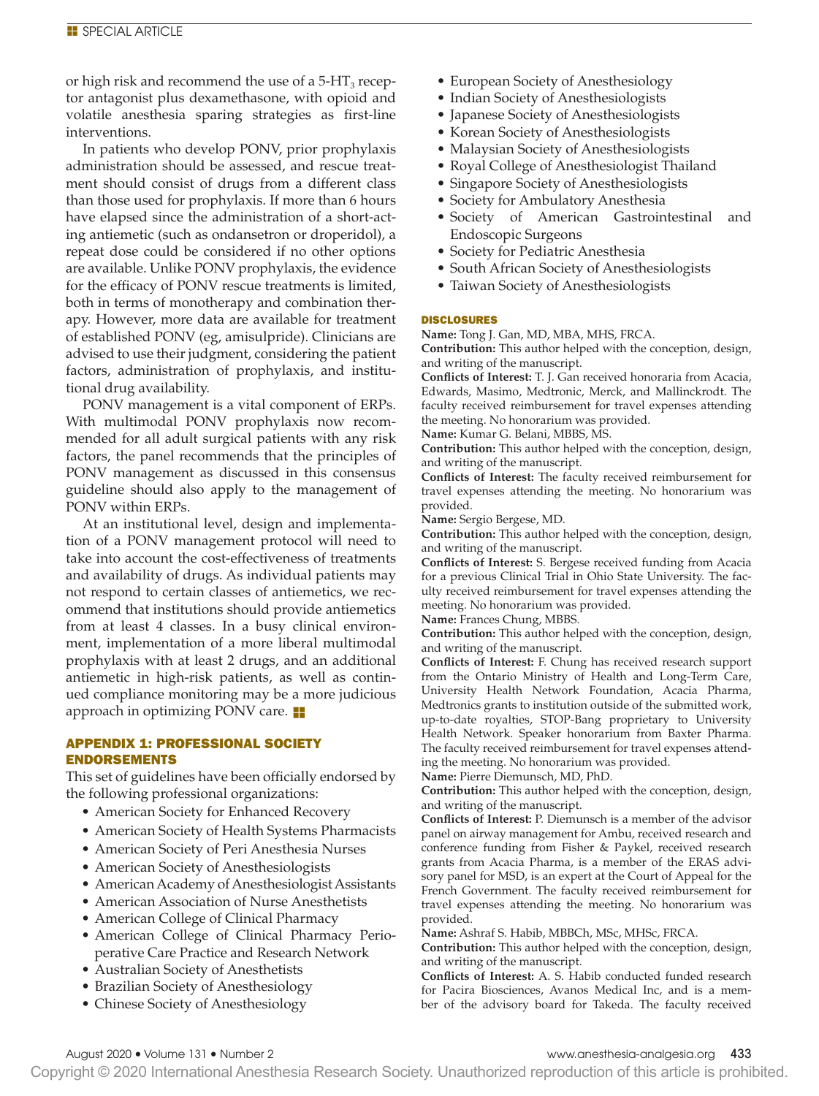or high risk and recommend the use of a  $5-HT_3$  receptor antagonist plus dexamethasone, with opioid and volatile anesthesia sparing strategies as first-line interventions.

In patients who develop PONV, prior prophylaxis administration should be assessed, and rescue treatment should consist of drugs from a different class than those used for prophylaxis. If more than 6 hours have elapsed since the administration of a short-acting antiemetic (such as ondansetron or droperidol), a repeat dose could be considered if no other options are available. Unlike PONV prophylaxis, the evidence for the efficacy of PONV rescue treatments is limited, both in terms of monotherapy and combination therapy. However, more data are available for treatment of established PONV (eg, amisulpride). Clinicians are advised to use their judgment, considering the patient factors, administration of prophylaxis, and institutional drug availability.

PONV management is a vital component of ERPs. With multimodal PONV prophylaxis now recommended for all adult surgical patients with any risk factors, the panel recommends that the principles of PONV management as discussed in this consensus guideline should also apply to the management of PONV within ERPs.

At an institutional level, design and implementation of a PONV management protocol will need to take into account the cost-effectiveness of treatments and availability of drugs. As individual patients may not respond to certain classes of antiemetics, we recommend that institutions should provide antiemetics from at least 4 classes. In a busy clinical environment, implementation of a more liberal multimodal prophylaxis with at least 2 drugs, and an additional antiemetic in high-risk patients, as well as continued compliance monitoring may be a more judicious approach in optimizing PONV care.  $\blacksquare$ 

# APPENDIX 1: PROFESSIONAL SOCIETY ENDORSEMENTS

This set of guidelines have been officially endorsed by the following professional organizations:

- American Society for Enhanced Recovery
- American Society of Health Systems Pharmacists
- American Society of Peri Anesthesia Nurses
- American Society of Anesthesiologists
- American Academy of Anesthesiologist Assistants
- American Association of Nurse Anesthetists
- American College of Clinical Pharmacy
- American College of Clinical Pharmacy Perioperative Care Practice and Research Network
- Australian Society of Anesthetists
- Brazilian Society of Anesthesiology
- Chinese Society of Anesthesiology
- European Society of Anesthesiology
- Indian Society of Anesthesiologists
- Japanese Society of Anesthesiologists
- Korean Society of Anesthesiologists
- Malaysian Society of Anesthesiologists
- Royal College of Anesthesiologist Thailand
- Singapore Society of Anesthesiologists
- Society for Ambulatory Anesthesia
- Society of American Gastrointestinal and Endoscopic Surgeons
- Society for Pediatric Anesthesia
- South African Society of Anesthesiologists
- Taiwan Society of Anesthesiologists

### DISCLOSURES

**Name:** Tong J. Gan, MD, MBA, MHS, FRCA.

**Contribution:** This author helped with the conception, design, and writing of the manuscript.

**Conflicts of Interest:** T. J. Gan received honoraria from Acacia, Edwards, Masimo, Medtronic, Merck, and Mallinckrodt. The faculty received reimbursement for travel expenses attending the meeting. No honorarium was provided.

**Name:** Kumar G. Belani, MBBS, MS.

**Contribution:** This author helped with the conception, design, and writing of the manuscript.

**Conflicts of Interest:** The faculty received reimbursement for travel expenses attending the meeting. No honorarium was provided.

**Name:** Sergio Bergese, MD.

**Contribution:** This author helped with the conception, design, and writing of the manuscript.

**Conflicts of Interest:** S. Bergese received funding from Acacia for a previous Clinical Trial in Ohio State University. The faculty received reimbursement for travel expenses attending the meeting. No honorarium was provided.

**Name:** Frances Chung, MBBS.

**Contribution:** This author helped with the conception, design, and writing of the manuscript.

**Conflicts of Interest:** F. Chung has received research support from the Ontario Ministry of Health and Long-Term Care, University Health Network Foundation, Acacia Pharma, Medtronics grants to institution outside of the submitted work, up-to-date royalties, STOP-Bang proprietary to University Health Network. Speaker honorarium from Baxter Pharma. The faculty received reimbursement for travel expenses attending the meeting. No honorarium was provided.

**Name:** Pierre Diemunsch, MD, PhD.

**Contribution:** This author helped with the conception, design, and writing of the manuscript.

**Conflicts of Interest:** P. Diemunsch is a member of the advisor panel on airway management for Ambu, received research and conference funding from Fisher & Paykel, received research grants from Acacia Pharma, is a member of the ERAS advisory panel for MSD, is an expert at the Court of Appeal for the French Government. The faculty received reimbursement for travel expenses attending the meeting. No honorarium was provided.

**Name:** Ashraf S. Habib, MBBCh, MSc, MHSc, FRCA.

**Contribution:** This author helped with the conception, design, and writing of the manuscript.

**Conflicts of Interest:** A. S. Habib conducted funded research for Pacira Biosciences, Avanos Medical Inc, and is a member of the advisory board for Takeda. The faculty received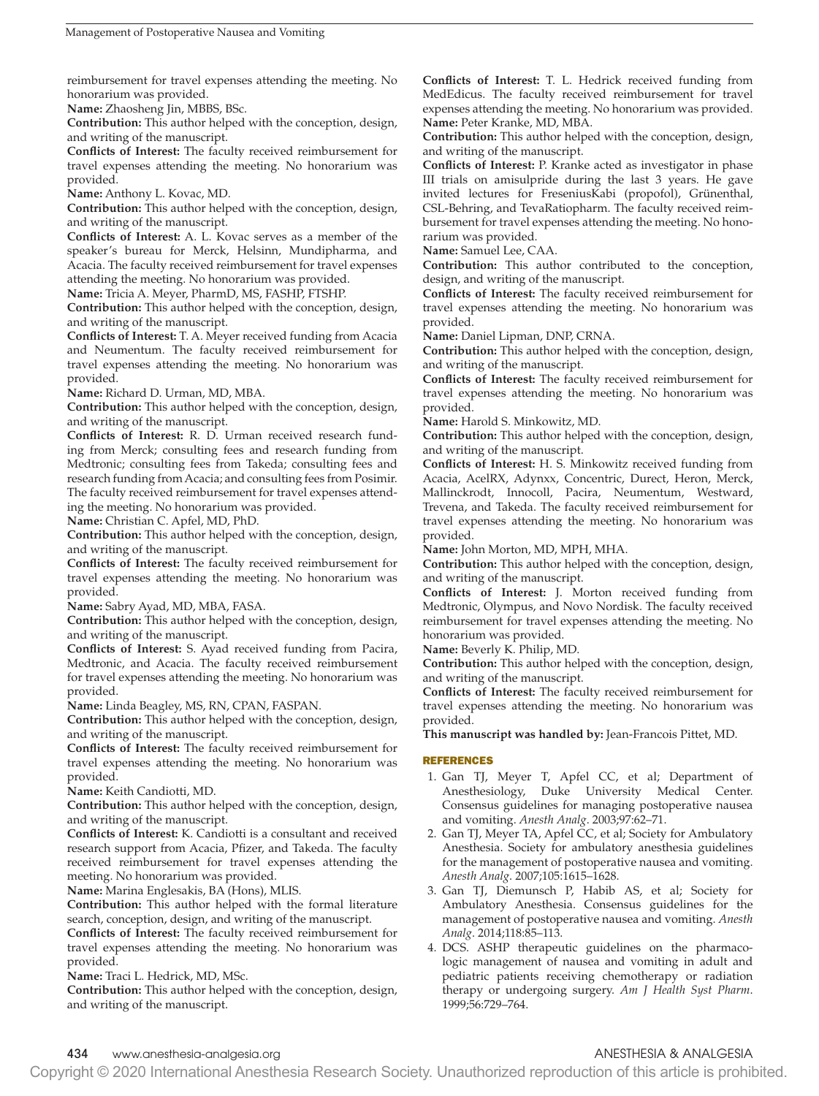reimbursement for travel expenses attending the meeting. No honorarium was provided.

**Name:** Zhaosheng Jin, MBBS, BSc.

**Contribution:** This author helped with the conception, design, and writing of the manuscript.

**Conflicts of Interest:** The faculty received reimbursement for travel expenses attending the meeting. No honorarium was provided.

**Name:** Anthony L. Kovac, MD.

**Contribution:** This author helped with the conception, design, and writing of the manuscript.

**Conflicts of Interest:** A. L. Kovac serves as a member of the speaker's bureau for Merck, Helsinn, Mundipharma, and Acacia. The faculty received reimbursement for travel expenses attending the meeting. No honorarium was provided.

**Name:** Tricia A. Meyer, PharmD, MS, FASHP, FTSHP.

**Contribution:** This author helped with the conception, design, and writing of the manuscript.

**Conflicts of Interest:** T. A. Meyer received funding from Acacia and Neumentum. The faculty received reimbursement for travel expenses attending the meeting. No honorarium was provided.

**Name:** Richard D. Urman, MD, MBA.

**Contribution:** This author helped with the conception, design, and writing of the manuscript.

**Conflicts of Interest:** R. D. Urman received research funding from Merck; consulting fees and research funding from Medtronic; consulting fees from Takeda; consulting fees and research funding from Acacia; and consulting fees from Posimir. The faculty received reimbursement for travel expenses attending the meeting. No honorarium was provided.

**Name:** Christian C. Apfel, MD, PhD.

**Contribution:** This author helped with the conception, design, and writing of the manuscript.

**Conflicts of Interest:** The faculty received reimbursement for travel expenses attending the meeting. No honorarium was provided.

**Name:** Sabry Ayad, MD, MBA, FASA.

**Contribution:** This author helped with the conception, design, and writing of the manuscript.

**Conflicts of Interest:** S. Ayad received funding from Pacira, Medtronic, and Acacia. The faculty received reimbursement for travel expenses attending the meeting. No honorarium was provided.

**Name:** Linda Beagley, MS, RN, CPAN, FASPAN.

**Contribution:** This author helped with the conception, design, and writing of the manuscript.

**Conflicts of Interest:** The faculty received reimbursement for travel expenses attending the meeting. No honorarium was provided.

**Name:** Keith Candiotti, MD.

**Contribution:** This author helped with the conception, design, and writing of the manuscript.

**Conflicts of Interest:** K. Candiotti is a consultant and received research support from Acacia, Pfizer, and Takeda. The faculty received reimbursement for travel expenses attending the meeting. No honorarium was provided.

**Name:** Marina Englesakis, BA (Hons), MLIS.

**Contribution:** This author helped with the formal literature search, conception, design, and writing of the manuscript.

**Conflicts of Interest:** The faculty received reimbursement for travel expenses attending the meeting. No honorarium was provided.

**Name:** Traci L. Hedrick, MD, MSc.

**Contribution:** This author helped with the conception, design, and writing of the manuscript.

**Conflicts of Interest:** T. L. Hedrick received funding from MedEdicus. The faculty received reimbursement for travel expenses attending the meeting. No honorarium was provided. **Name:** Peter Kranke, MD, MBA.

**Contribution:** This author helped with the conception, design, and writing of the manuscript.

**Conflicts of Interest:** P. Kranke acted as investigator in phase III trials on amisulpride during the last 3 years. He gave invited lectures for FreseniusKabi (propofol), Grünenthal, CSL-Behring, and TevaRatiopharm. The faculty received reimbursement for travel expenses attending the meeting. No honorarium was provided.

**Name:** Samuel Lee, CAA.

**Contribution:** This author contributed to the conception, design, and writing of the manuscript.

**Conflicts of Interest:** The faculty received reimbursement for travel expenses attending the meeting. No honorarium was provided.

**Name:** Daniel Lipman, DNP, CRNA.

**Contribution:** This author helped with the conception, design, and writing of the manuscript.

**Conflicts of Interest:** The faculty received reimbursement for travel expenses attending the meeting. No honorarium was provided.

**Name:** Harold S. Minkowitz, MD.

**Contribution:** This author helped with the conception, design, and writing of the manuscript.

**Conflicts of Interest:** H. S. Minkowitz received funding from Acacia, AcelRX, Adynxx, Concentric, Durect, Heron, Merck, Mallinckrodt, Innocoll, Pacira, Neumentum, Westward, Trevena, and Takeda. The faculty received reimbursement for travel expenses attending the meeting. No honorarium was provided.

**Name:** John Morton, MD, MPH, MHA.

**Contribution:** This author helped with the conception, design, and writing of the manuscript.

**Conflicts of Interest:** J. Morton received funding from Medtronic, Olympus, and Novo Nordisk. The faculty received reimbursement for travel expenses attending the meeting. No honorarium was provided.

**Name:** Beverly K. Philip, MD.

**Contribution:** This author helped with the conception, design, and writing of the manuscript.

**Conflicts of Interest:** The faculty received reimbursement for travel expenses attending the meeting. No honorarium was provided.

**This manuscript was handled by:** Jean-Francois Pittet, MD.

### REFERENCES

- 1. Gan TJ, Meyer T, Apfel CC, et al; Department of Anesthesiology, Duke University Medical Center. Consensus guidelines for managing postoperative nausea and vomiting. *Anesth Analg*. 2003;97:62–71.
- 2. Gan TJ, Meyer TA, Apfel CC, et al; Society for Ambulatory Anesthesia. Society for ambulatory anesthesia guidelines for the management of postoperative nausea and vomiting. *Anesth Analg*. 2007;105:1615–1628.
- 3. Gan TJ, Diemunsch P, Habib AS, et al; Society for Ambulatory Anesthesia. Consensus guidelines for the management of postoperative nausea and vomiting. *Anesth Analg*. 2014;118:85–113.
- 4. DCS. ASHP therapeutic guidelines on the pharmacologic management of nausea and vomiting in adult and pediatric patients receiving chemotherapy or radiation therapy or undergoing surgery. *Am J Health Syst Pharm*. 1999;56:729–764.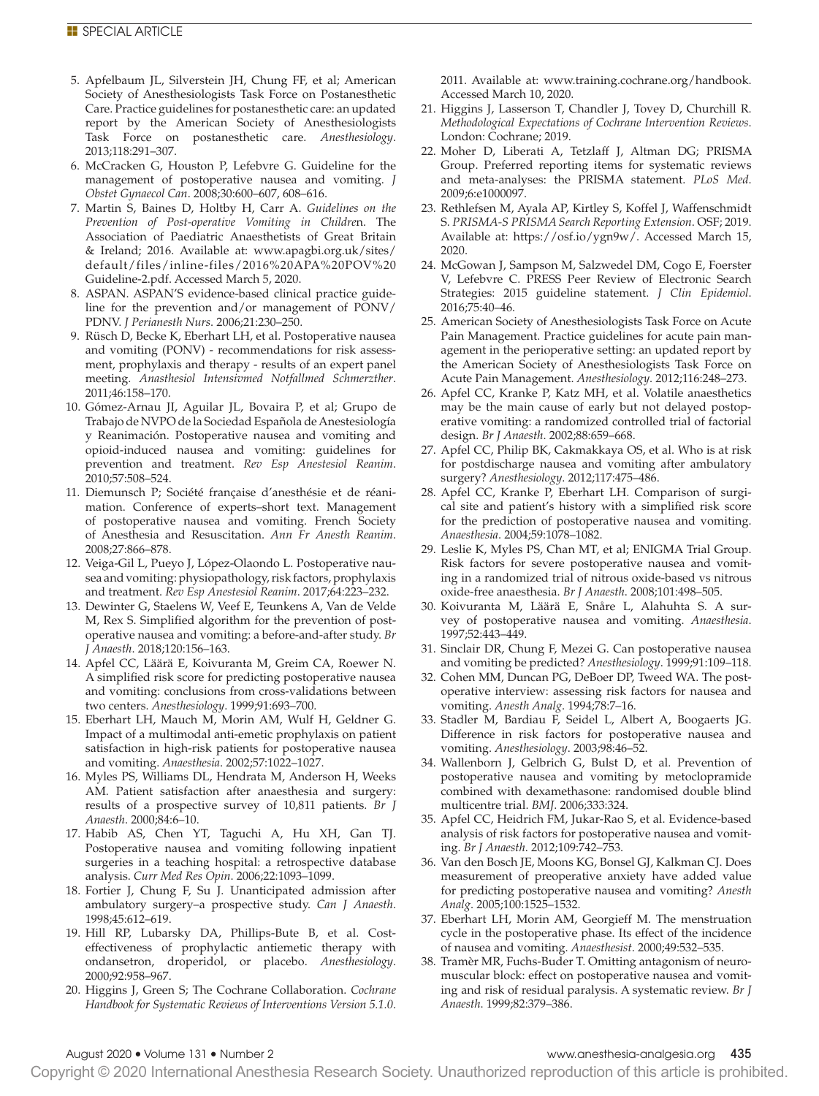- 5. Apfelbaum JL, Silverstein JH, Chung FF, et al; American Society of Anesthesiologists Task Force on Postanesthetic Care. Practice guidelines for postanesthetic care: an updated report by the American Society of Anesthesiologists Task Force on postanesthetic care. *Anesthesiology*. 2013;118:291–307.
- 6. McCracken G, Houston P, Lefebvre G. Guideline for the management of postoperative nausea and vomiting. *J Obstet Gynaecol Can*. 2008;30:600–607, 608–616.
- 7. Martin S, Baines D, Holtby H, Carr A. *Guidelines on the Prevention of Post-operative Vomiting in Childre*n. The Association of Paediatric Anaesthetists of Great Britain & Ireland; 2016. Available at: [www.apagbi.org.uk/sites/](www.apagbi.org.uk/sites/default/files/inline-files/2016%20APA%20POV%20Guideline-2.pdf) [default/files/inline-files/2016%20APA%20POV%20](www.apagbi.org.uk/sites/default/files/inline-files/2016%20APA%20POV%20Guideline-2.pdf) [Guideline-2.pdf.](www.apagbi.org.uk/sites/default/files/inline-files/2016%20APA%20POV%20Guideline-2.pdf) Accessed March 5, 2020.
- 8. ASPAN. ASPAN'S evidence-based clinical practice guideline for the prevention and/or management of PONV/ PDNV. *J Perianesth Nurs*. 2006;21:230–250.
- 9. Rüsch D, Becke K, Eberhart LH, et al. Postoperative nausea and vomiting (PONV) - recommendations for risk assessment, prophylaxis and therapy - results of an expert panel meeting. *Anasthesiol Intensivmed Notfallmed Schmerzther*. 2011;46:158–170.
- 10. Gómez-Arnau JI, Aguilar JL, Bovaira P, et al; Grupo de Trabajo de NVPO de la Sociedad Española de Anestesiología y Reanimación. Postoperative nausea and vomiting and opioid-induced nausea and vomiting: guidelines for prevention and treatment. *Rev Esp Anestesiol Reanim*. 2010;57:508–524.
- 11. Diemunsch P; Société française d'anesthésie et de réanimation. Conference of experts–short text. Management of postoperative nausea and vomiting. French Society of Anesthesia and Resuscitation. *Ann Fr Anesth Reanim*. 2008;27:866–878.
- 12. Veiga-Gil L, Pueyo J, López-Olaondo L. Postoperative nausea and vomiting: physiopathology, risk factors, prophylaxis and treatment. *Rev Esp Anestesiol Reanim*. 2017;64:223–232.
- 13. Dewinter G, Staelens W, Veef E, Teunkens A, Van de Velde M, Rex S. Simplified algorithm for the prevention of postoperative nausea and vomiting: a before-and-after study. *Br J Anaesth*. 2018;120:156–163.
- 14. Apfel CC, Läärä E, Koivuranta M, Greim CA, Roewer N. A simplified risk score for predicting postoperative nausea and vomiting: conclusions from cross-validations between two centers. *Anesthesiology*. 1999;91:693–700.
- 15. Eberhart LH, Mauch M, Morin AM, Wulf H, Geldner G. Impact of a multimodal anti-emetic prophylaxis on patient satisfaction in high-risk patients for postoperative nausea and vomiting. *Anaesthesia*. 2002;57:1022–1027.
- 16. Myles PS, Williams DL, Hendrata M, Anderson H, Weeks AM. Patient satisfaction after anaesthesia and surgery: results of a prospective survey of 10,811 patients. *Br J Anaesth*. 2000;84:6–10.
- 17. Habib AS, Chen YT, Taguchi A, Hu XH, Gan TJ. Postoperative nausea and vomiting following inpatient surgeries in a teaching hospital: a retrospective database analysis. *Curr Med Res Opin*. 2006;22:1093–1099.
- 18. Fortier J, Chung F, Su J. Unanticipated admission after ambulatory surgery–a prospective study. *Can J Anaesth*. 1998;45:612–619.
- 19. Hill RP, Lubarsky DA, Phillips-Bute B, et al. Costeffectiveness of prophylactic antiemetic therapy with ondansetron, droperidol, or placebo. *Anesthesiology*. 2000;92:958–967.
- 20. Higgins J, Green S; The Cochrane Collaboration. *Cochrane Handbook for Systematic Reviews of Interventions Version 5.1.0*.

2011. Available at: [www.training.cochrane.org/handbook.](www.training.cochrane.org/handbook) Accessed March 10, 2020.

- 21. Higgins J, Lasserson T, Chandler J, Tovey D, Churchill R. *Methodological Expectations of Cochrane Intervention Reviews*. London: Cochrane; 2019.
- 22. Moher D, Liberati A, Tetzlaff J, Altman DG; PRISMA Group. Preferred reporting items for systematic reviews and meta-analyses: the PRISMA statement. *PLoS Med*. 2009;6:e1000097.
- 23. Rethlefsen M, Ayala AP, Kirtley S, Koffel J, Waffenschmidt S. *PRISMA-S PRISMA Search Reporting Extension*. OSF; 2019. Available at: [https://osf.io/ygn9w/.](https://osf.io/ygn9w/) Accessed March 15, 2020.
- 24. McGowan J, Sampson M, Salzwedel DM, Cogo E, Foerster V, Lefebvre C. PRESS Peer Review of Electronic Search Strategies: 2015 guideline statement. *J Clin Epidemiol*. 2016;75:40–46.
- 25. American Society of Anesthesiologists Task Force on Acute Pain Management. Practice guidelines for acute pain management in the perioperative setting: an updated report by the American Society of Anesthesiologists Task Force on Acute Pain Management. *Anesthesiology*. 2012;116:248–273.
- 26. Apfel CC, Kranke P, Katz MH, et al. Volatile anaesthetics may be the main cause of early but not delayed postoperative vomiting: a randomized controlled trial of factorial design. *Br J Anaesth*. 2002;88:659–668.
- 27. Apfel CC, Philip BK, Cakmakkaya OS, et al. Who is at risk for postdischarge nausea and vomiting after ambulatory surgery? *Anesthesiology*. 2012;117:475–486.
- 28. Apfel CC, Kranke P, Eberhart LH. Comparison of surgical site and patient's history with a simplified risk score for the prediction of postoperative nausea and vomiting. *Anaesthesia*. 2004;59:1078–1082.
- 29. Leslie K, Myles PS, Chan MT, et al; ENIGMA Trial Group. Risk factors for severe postoperative nausea and vomiting in a randomized trial of nitrous oxide-based vs nitrous oxide-free anaesthesia. *Br J Anaesth*. 2008;101:498–505.
- 30. Koivuranta M, Läärä E, Snåre L, Alahuhta S. A survey of postoperative nausea and vomiting. *Anaesthesia*. 1997;52:443–449.
- 31. Sinclair DR, Chung F, Mezei G. Can postoperative nausea and vomiting be predicted? *Anesthesiology*. 1999;91:109–118.
- 32. Cohen MM, Duncan PG, DeBoer DP, Tweed WA. The postoperative interview: assessing risk factors for nausea and vomiting. *Anesth Analg*. 1994;78:7–16.
- 33. Stadler M, Bardiau F, Seidel L, Albert A, Boogaerts JG. Difference in risk factors for postoperative nausea and vomiting. *Anesthesiology*. 2003;98:46–52.
- 34. Wallenborn J, Gelbrich G, Bulst D, et al. Prevention of postoperative nausea and vomiting by metoclopramide combined with dexamethasone: randomised double blind multicentre trial. *BMJ*. 2006;333:324.
- 35. Apfel CC, Heidrich FM, Jukar-Rao S, et al. Evidence-based analysis of risk factors for postoperative nausea and vomiting. *Br J Anaesth*. 2012;109:742–753.
- 36. Van den Bosch JE, Moons KG, Bonsel GJ, Kalkman CJ. Does measurement of preoperative anxiety have added value for predicting postoperative nausea and vomiting? *Anesth Analg*. 2005;100:1525–1532.
- 37. Eberhart LH, Morin AM, Georgieff M. The menstruation cycle in the postoperative phase. Its effect of the incidence of nausea and vomiting. *Anaesthesist*. 2000;49:532–535.
- 38. Tramèr MR, Fuchs-Buder T. Omitting antagonism of neuromuscular block: effect on postoperative nausea and vomiting and risk of residual paralysis. A systematic review. *Br J Anaesth*. 1999;82:379–386.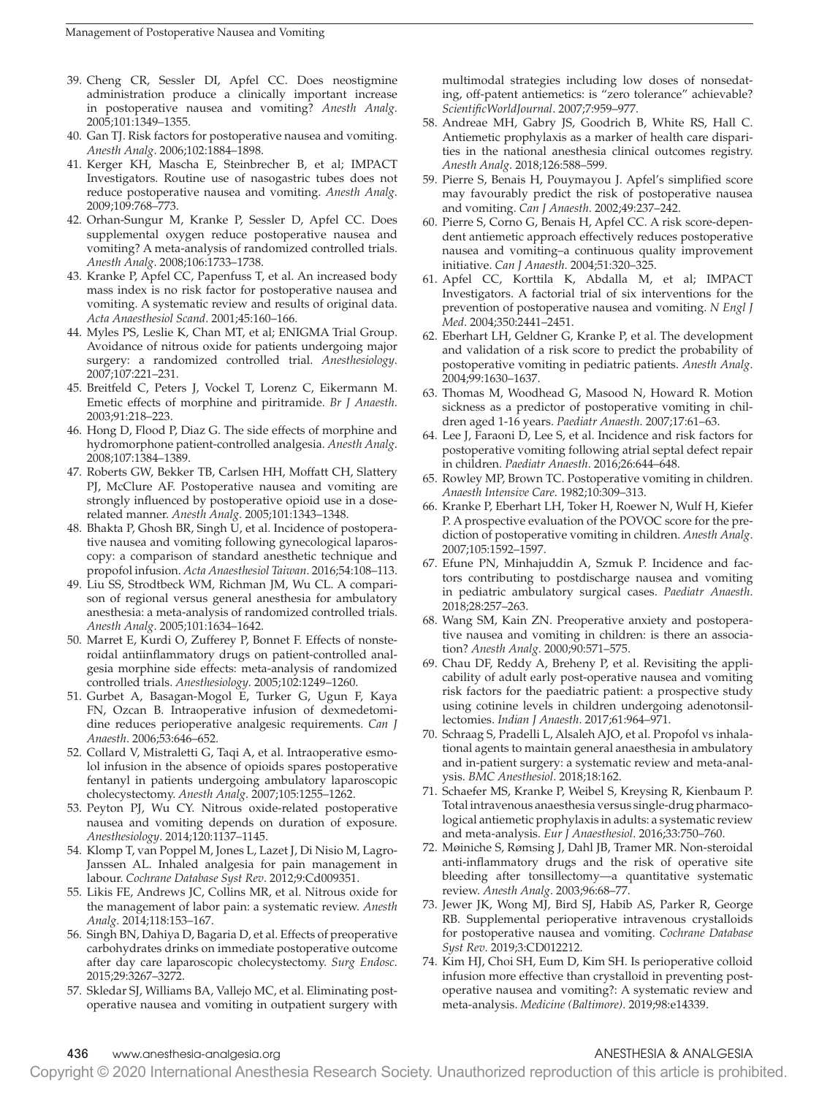- 39. Cheng CR, Sessler DI, Apfel CC. Does neostigmine administration produce a clinically important increase in postoperative nausea and vomiting? *Anesth Analg*. 2005;101:1349–1355.
- 40. Gan TJ. Risk factors for postoperative nausea and vomiting. *Anesth Analg*. 2006;102:1884–1898.
- 41. Kerger KH, Mascha E, Steinbrecher B, et al; IMPACT Investigators. Routine use of nasogastric tubes does not reduce postoperative nausea and vomiting. *Anesth Analg*. 2009;109:768–773.
- 42. Orhan-Sungur M, Kranke P, Sessler D, Apfel CC. Does supplemental oxygen reduce postoperative nausea and vomiting? A meta-analysis of randomized controlled trials. *Anesth Analg*. 2008;106:1733–1738.
- 43. Kranke P, Apfel CC, Papenfuss T, et al. An increased body mass index is no risk factor for postoperative nausea and vomiting. A systematic review and results of original data. *Acta Anaesthesiol Scand*. 2001;45:160–166.
- 44. Myles PS, Leslie K, Chan MT, et al; ENIGMA Trial Group. Avoidance of nitrous oxide for patients undergoing major surgery: a randomized controlled trial. *Anesthesiology*. 2007;107:221–231.
- 45. Breitfeld C, Peters J, Vockel T, Lorenz C, Eikermann M. Emetic effects of morphine and piritramide. *Br J Anaesth*. 2003;91:218–223.
- 46. Hong D, Flood P, Diaz G. The side effects of morphine and hydromorphone patient-controlled analgesia. *Anesth Analg*. 2008;107:1384–1389.
- 47. Roberts GW, Bekker TB, Carlsen HH, Moffatt CH, Slattery PJ, McClure AF. Postoperative nausea and vomiting are strongly influenced by postoperative opioid use in a doserelated manner. *Anesth Analg*. 2005;101:1343–1348.
- 48. Bhakta P, Ghosh BR, Singh U, et al. Incidence of postoperative nausea and vomiting following gynecological laparoscopy: a comparison of standard anesthetic technique and propofol infusion. *Acta Anaesthesiol Taiwan*. 2016;54:108–113.
- 49. Liu SS, Strodtbeck WM, Richman JM, Wu CL. A comparison of regional versus general anesthesia for ambulatory anesthesia: a meta-analysis of randomized controlled trials. *Anesth Analg*. 2005;101:1634–1642.
- 50. Marret E, Kurdi O, Zufferey P, Bonnet F. Effects of nonsteroidal antiinflammatory drugs on patient-controlled analgesia morphine side effects: meta-analysis of randomized controlled trials. *Anesthesiology*. 2005;102:1249–1260.
- 51. Gurbet A, Basagan-Mogol E, Turker G, Ugun F, Kaya FN, Ozcan B. Intraoperative infusion of dexmedetomidine reduces perioperative analgesic requirements. *Can J Anaesth*. 2006;53:646–652.
- 52. Collard V, Mistraletti G, Taqi A, et al. Intraoperative esmolol infusion in the absence of opioids spares postoperative fentanyl in patients undergoing ambulatory laparoscopic cholecystectomy. *Anesth Analg*. 2007;105:1255–1262.
- 53. Peyton PJ, Wu CY. Nitrous oxide-related postoperative nausea and vomiting depends on duration of exposure. *Anesthesiology*. 2014;120:1137–1145.
- 54. Klomp T, van Poppel M, Jones L, Lazet J, Di Nisio M, Lagro-Janssen AL. Inhaled analgesia for pain management in labour. *Cochrane Database Syst Rev*. 2012;9:Cd009351.
- 55. Likis FE, Andrews JC, Collins MR, et al. Nitrous oxide for the management of labor pain: a systematic review. *Anesth Analg*. 2014;118:153–167.
- 56. Singh BN, Dahiya D, Bagaria D, et al. Effects of preoperative carbohydrates drinks on immediate postoperative outcome after day care laparoscopic cholecystectomy. *Surg Endosc*. 2015;29:3267–3272.
- 57. Skledar SJ, Williams BA, Vallejo MC, et al. Eliminating postoperative nausea and vomiting in outpatient surgery with

multimodal strategies including low doses of nonsedating, off-patent antiemetics: is "zero tolerance" achievable? *ScientificWorldJournal*. 2007;7:959–977.

- 58. Andreae MH, Gabry JS, Goodrich B, White RS, Hall C. Antiemetic prophylaxis as a marker of health care disparities in the national anesthesia clinical outcomes registry. *Anesth Analg*. 2018;126:588–599.
- 59. Pierre S, Benais H, Pouymayou J. Apfel's simplified score may favourably predict the risk of postoperative nausea and vomiting. *Can J Anaesth*. 2002;49:237–242.
- 60. Pierre S, Corno G, Benais H, Apfel CC. A risk score-dependent antiemetic approach effectively reduces postoperative nausea and vomiting–a continuous quality improvement initiative. *Can J Anaesth*. 2004;51:320–325.
- 61. Apfel CC, Korttila K, Abdalla M, et al; IMPACT Investigators. A factorial trial of six interventions for the prevention of postoperative nausea and vomiting. *N Engl J Med*. 2004;350:2441–2451.
- 62. Eberhart LH, Geldner G, Kranke P, et al. The development and validation of a risk score to predict the probability of postoperative vomiting in pediatric patients. *Anesth Analg*. 2004;99:1630–1637.
- 63. Thomas M, Woodhead G, Masood N, Howard R. Motion sickness as a predictor of postoperative vomiting in children aged 1-16 years. *Paediatr Anaesth*. 2007;17:61–63.
- 64. Lee J, Faraoni D, Lee S, et al. Incidence and risk factors for postoperative vomiting following atrial septal defect repair in children. *Paediatr Anaesth*. 2016;26:644–648.
- 65. Rowley MP, Brown TC. Postoperative vomiting in children. *Anaesth Intensive Care*. 1982;10:309–313.
- 66. Kranke P, Eberhart LH, Toker H, Roewer N, Wulf H, Kiefer P. A prospective evaluation of the POVOC score for the prediction of postoperative vomiting in children. *Anesth Analg*. 2007;105:1592–1597.
- 67. Efune PN, Minhajuddin A, Szmuk P. Incidence and factors contributing to postdischarge nausea and vomiting in pediatric ambulatory surgical cases. *Paediatr Anaesth*. 2018;28:257–263.
- 68. Wang SM, Kain ZN. Preoperative anxiety and postoperative nausea and vomiting in children: is there an association? *Anesth Analg*. 2000;90:571–575.
- 69. Chau DF, Reddy A, Breheny P, et al. Revisiting the applicability of adult early post-operative nausea and vomiting risk factors for the paediatric patient: a prospective study using cotinine levels in children undergoing adenotonsillectomies. *Indian J Anaesth*. 2017;61:964–971.
- 70. Schraag S, Pradelli L, Alsaleh AJO, et al. Propofol vs inhalational agents to maintain general anaesthesia in ambulatory and in-patient surgery: a systematic review and meta-analysis. *BMC Anesthesiol*. 2018;18:162.
- 71. Schaefer MS, Kranke P, Weibel S, Kreysing R, Kienbaum P. Total intravenous anaesthesia versus single-drug pharmacological antiemetic prophylaxis in adults: a systematic review and meta-analysis. *Eur J Anaesthesiol*. 2016;33:750–760.
- 72. Møiniche S, Rømsing J, Dahl JB, Tramer MR. Non-steroidal anti-inflammatory drugs and the risk of operative site bleeding after tonsillectomy—a quantitative systematic review. *Anesth Analg*. 2003;96:68–77.
- 73. Jewer JK, Wong MJ, Bird SJ, Habib AS, Parker R, George RB. Supplemental perioperative intravenous crystalloids for postoperative nausea and vomiting. *Cochrane Database Syst Rev*. 2019;3:CD012212.
- 74. Kim HJ, Choi SH, Eum D, Kim SH. Is perioperative colloid infusion more effective than crystalloid in preventing postoperative nausea and vomiting?: A systematic review and meta-analysis. *Medicine (Baltimore)*. 2019;98:e14339.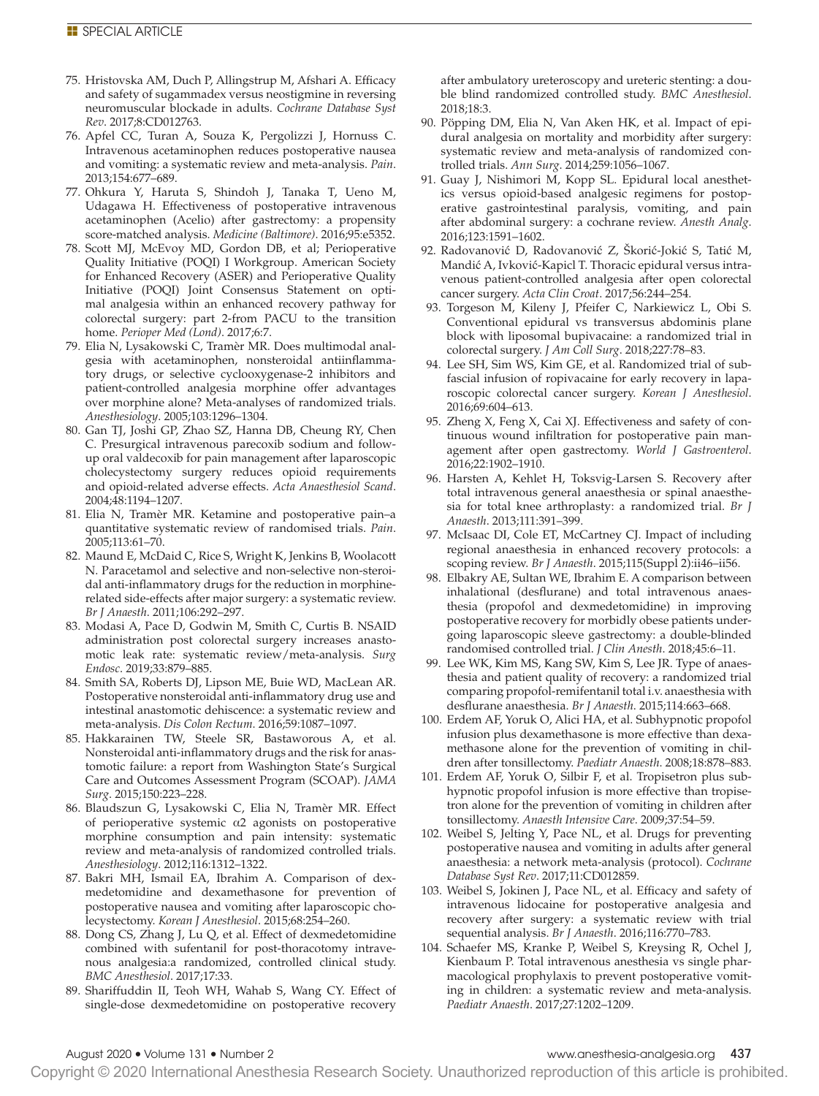- 75. Hristovska AM, Duch P, Allingstrup M, Afshari A. Efficacy and safety of sugammadex versus neostigmine in reversing neuromuscular blockade in adults. *Cochrane Database Syst Rev*. 2017;8:CD012763.
- 76. Apfel CC, Turan A, Souza K, Pergolizzi J, Hornuss C. Intravenous acetaminophen reduces postoperative nausea and vomiting: a systematic review and meta-analysis. *Pain*. 2013;154:677–689.
- 77. Ohkura Y, Haruta S, Shindoh J, Tanaka T, Ueno M, Udagawa H. Effectiveness of postoperative intravenous acetaminophen (Acelio) after gastrectomy: a propensity score-matched analysis. *Medicine (Baltimore)*. 2016;95:e5352.
- 78. Scott MJ, McEvoy MD, Gordon DB, et al; Perioperative Quality Initiative (POQI) I Workgroup. American Society for Enhanced Recovery (ASER) and Perioperative Quality Initiative (POQI) Joint Consensus Statement on optimal analgesia within an enhanced recovery pathway for colorectal surgery: part 2-from PACU to the transition home. *Perioper Med (Lond)*. 2017;6:7.
- 79. Elia N, Lysakowski C, Tramèr MR. Does multimodal analgesia with acetaminophen, nonsteroidal antiinflammatory drugs, or selective cyclooxygenase-2 inhibitors and patient-controlled analgesia morphine offer advantages over morphine alone? Meta-analyses of randomized trials. *Anesthesiology*. 2005;103:1296–1304.
- 80. Gan TJ, Joshi GP, Zhao SZ, Hanna DB, Cheung RY, Chen C. Presurgical intravenous parecoxib sodium and followup oral valdecoxib for pain management after laparoscopic cholecystectomy surgery reduces opioid requirements and opioid-related adverse effects. *Acta Anaesthesiol Scand*. 2004;48:1194–1207.
- 81. Elia N, Tramèr MR. Ketamine and postoperative pain–a quantitative systematic review of randomised trials. *Pain*. 2005;113:61–70.
- 82. Maund E, McDaid C, Rice S, Wright K, Jenkins B, Woolacott N. Paracetamol and selective and non-selective non-steroidal anti-inflammatory drugs for the reduction in morphinerelated side-effects after major surgery: a systematic review. *Br J Anaesth*. 2011;106:292–297.
- 83. Modasi A, Pace D, Godwin M, Smith C, Curtis B. NSAID administration post colorectal surgery increases anastomotic leak rate: systematic review/meta-analysis. *Surg Endosc*. 2019;33:879–885.
- 84. Smith SA, Roberts DJ, Lipson ME, Buie WD, MacLean AR. Postoperative nonsteroidal anti-inflammatory drug use and intestinal anastomotic dehiscence: a systematic review and meta-analysis. *Dis Colon Rectum*. 2016;59:1087–1097.
- 85. Hakkarainen TW, Steele SR, Bastaworous A, et al. Nonsteroidal anti-inflammatory drugs and the risk for anastomotic failure: a report from Washington State's Surgical Care and Outcomes Assessment Program (SCOAP). *JAMA Surg*. 2015;150:223–228.
- 86. Blaudszun G, Lysakowski C, Elia N, Tramèr MR. Effect of perioperative systemic α2 agonists on postoperative morphine consumption and pain intensity: systematic review and meta-analysis of randomized controlled trials. *Anesthesiology*. 2012;116:1312–1322.
- 87. Bakri MH, Ismail EA, Ibrahim A. Comparison of dexmedetomidine and dexamethasone for prevention of postoperative nausea and vomiting after laparoscopic cholecystectomy. *Korean J Anesthesiol*. 2015;68:254–260.
- 88. Dong CS, Zhang J, Lu Q, et al. Effect of dexmedetomidine combined with sufentanil for post-thoracotomy intravenous analgesia:a randomized, controlled clinical study. *BMC Anesthesiol*. 2017;17:33.
- 89. Shariffuddin II, Teoh WH, Wahab S, Wang CY. Effect of single-dose dexmedetomidine on postoperative recovery

after ambulatory ureteroscopy and ureteric stenting: a double blind randomized controlled study. *BMC Anesthesiol*. 2018;18:3.

- 90. Pöpping DM, Elia N, Van Aken HK, et al. Impact of epidural analgesia on mortality and morbidity after surgery: systematic review and meta-analysis of randomized controlled trials. *Ann Surg*. 2014;259:1056–1067.
- 91. Guay J, Nishimori M, Kopp SL. Epidural local anesthetics versus opioid-based analgesic regimens for postoperative gastrointestinal paralysis, vomiting, and pain after abdominal surgery: a cochrane review. *Anesth Analg*. 2016;123:1591–1602.
- 92. Radovanović D, Radovanović Z, Škorić-Jokić S, Tatić M, Mandić A, Ivković-Kapicl T. Thoracic epidural versus intravenous patient-controlled analgesia after open colorectal cancer surgery. *Acta Clin Croat*. 2017;56:244–254.
- 93. Torgeson M, Kileny J, Pfeifer C, Narkiewicz L, Obi S. Conventional epidural vs transversus abdominis plane block with liposomal bupivacaine: a randomized trial in colorectal surgery. *J Am Coll Surg*. 2018;227:78–83.
- 94. Lee SH, Sim WS, Kim GE, et al. Randomized trial of subfascial infusion of ropivacaine for early recovery in laparoscopic colorectal cancer surgery. *Korean J Anesthesiol*. 2016;69:604–613.
- 95. Zheng X, Feng X, Cai XJ. Effectiveness and safety of continuous wound infiltration for postoperative pain management after open gastrectomy. *World J Gastroenterol*. 2016;22:1902–1910.
- 96. Harsten A, Kehlet H, Toksvig-Larsen S. Recovery after total intravenous general anaesthesia or spinal anaesthesia for total knee arthroplasty: a randomized trial. *Br J Anaesth*. 2013;111:391–399.
- 97. McIsaac DI, Cole ET, McCartney CJ. Impact of including regional anaesthesia in enhanced recovery protocols: a scoping review. *Br J Anaesth*. 2015;115(Suppl 2):ii46–ii56.
- 98. Elbakry AE, Sultan WE, Ibrahim E. A comparison between inhalational (desflurane) and total intravenous anaesthesia (propofol and dexmedetomidine) in improving postoperative recovery for morbidly obese patients undergoing laparoscopic sleeve gastrectomy: a double-blinded randomised controlled trial. *J Clin Anesth*. 2018;45:6–11.
- 99. Lee WK, Kim MS, Kang SW, Kim S, Lee JR. Type of anaesthesia and patient quality of recovery: a randomized trial comparing propofol-remifentanil total i.v. anaesthesia with desflurane anaesthesia. *Br J Anaesth*. 2015;114:663–668.
- 100. Erdem AF, Yoruk O, Alici HA, et al. Subhypnotic propofol infusion plus dexamethasone is more effective than dexamethasone alone for the prevention of vomiting in children after tonsillectomy. *Paediatr Anaesth*. 2008;18:878–883.
- 101. Erdem AF, Yoruk O, Silbir F, et al. Tropisetron plus subhypnotic propofol infusion is more effective than tropisetron alone for the prevention of vomiting in children after tonsillectomy. *Anaesth Intensive Care*. 2009;37:54–59.
- 102. Weibel S, Jelting Y, Pace NL, et al. Drugs for preventing postoperative nausea and vomiting in adults after general anaesthesia: a network meta-analysis (protocol). *Cochrane Database Syst Rev*. 2017;11:CD012859.
- 103. Weibel S, Jokinen J, Pace NL, et al. Efficacy and safety of intravenous lidocaine for postoperative analgesia and recovery after surgery: a systematic review with trial sequential analysis. *Br J Anaesth*. 2016;116:770–783.
- 104. Schaefer MS, Kranke P, Weibel S, Kreysing R, Ochel J, Kienbaum P. Total intravenous anesthesia vs single pharmacological prophylaxis to prevent postoperative vomiting in children: a systematic review and meta-analysis. *Paediatr Anaesth*. 2017;27:1202–1209.

### August 2020 • Volume 131 • Number 2 www.anesthesia-analgesia.org 437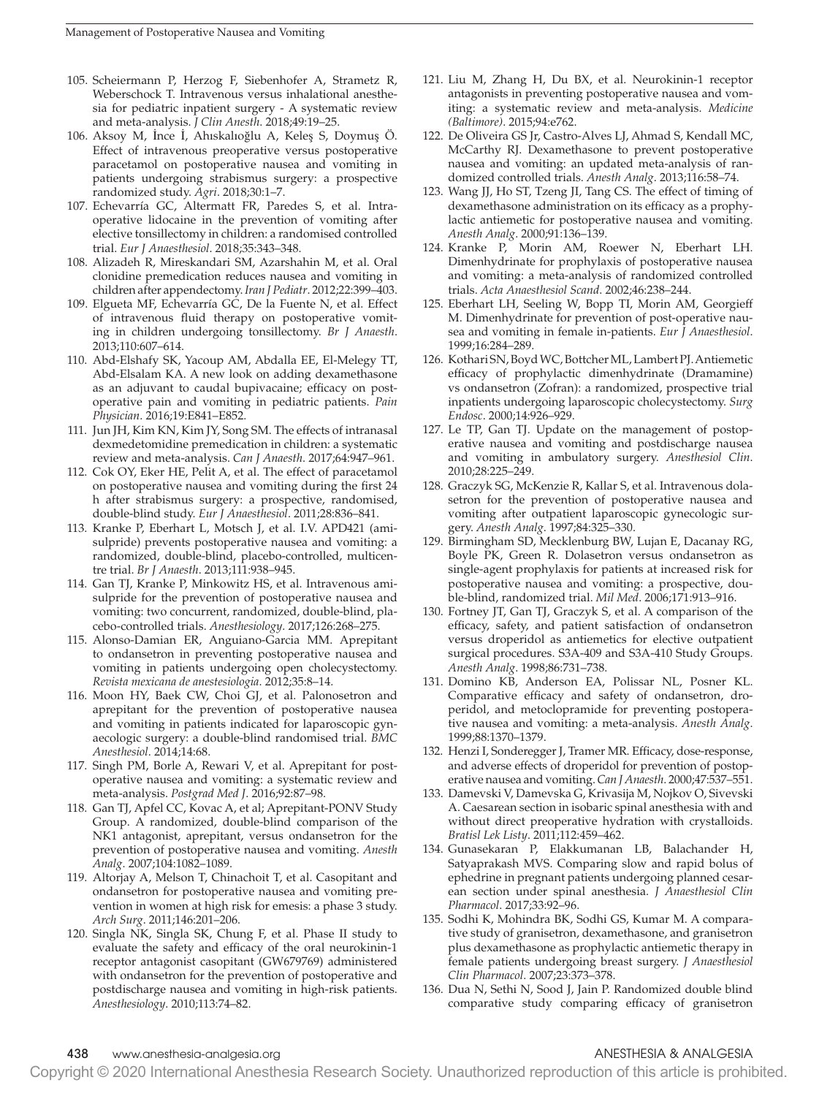- 105. Scheiermann P, Herzog F, Siebenhofer A, Strametz R, Weberschock T. Intravenous versus inhalational anesthesia for pediatric inpatient surgery - A systematic review and meta-analysis. *J Clin Anesth*. 2018;49:19–25.
- 106. Aksoy M, İnce İ, Ahıskalıoğlu A, Keleş S, Doymuş Ö. Effect of intravenous preoperative versus postoperative paracetamol on postoperative nausea and vomiting in patients undergoing strabismus surgery: a prospective randomized study. *Agri*. 2018;30:1–7.
- 107. Echevarría GC, Altermatt FR, Paredes S, et al. Intraoperative lidocaine in the prevention of vomiting after elective tonsillectomy in children: a randomised controlled trial. *Eur J Anaesthesiol*. 2018;35:343–348.
- 108. Alizadeh R, Mireskandari SM, Azarshahin M, et al. Oral clonidine premedication reduces nausea and vomiting in children after appendectomy. *Iran J Pediatr*. 2012;22:399–403.
- 109. Elgueta MF, Echevarría GC, De la Fuente N, et al. Effect of intravenous fluid therapy on postoperative vomiting in children undergoing tonsillectomy. *Br J Anaesth*. 2013;110:607–614.
- 110. Abd-Elshafy SK, Yacoup AM, Abdalla EE, El-Melegy TT, Abd-Elsalam KA. A new look on adding dexamethasone as an adjuvant to caudal bupivacaine; efficacy on postoperative pain and vomiting in pediatric patients. *Pain Physician*. 2016;19:E841–E852.
- 111. Jun JH, Kim KN, Kim JY, Song SM. The effects of intranasal dexmedetomidine premedication in children: a systematic review and meta-analysis. *Can J Anaesth*. 2017;64:947–961.
- 112. Cok OY, Eker HE, Pelit A, et al. The effect of paracetamol on postoperative nausea and vomiting during the first 24 h after strabismus surgery: a prospective, randomised, double-blind study. *Eur J Anaesthesiol*. 2011;28:836–841.
- 113. Kranke P, Eberhart L, Motsch J, et al. I.V. APD421 (amisulpride) prevents postoperative nausea and vomiting: a randomized, double-blind, placebo-controlled, multicentre trial. *Br J Anaesth*. 2013;111:938–945.
- 114. Gan TJ, Kranke P, Minkowitz HS, et al. Intravenous amisulpride for the prevention of postoperative nausea and vomiting: two concurrent, randomized, double-blind, placebo-controlled trials. *Anesthesiology*. 2017;126:268–275.
- 115. Alonso-Damian ER, Anguiano-Garcia MM. Aprepitant to ondansetron in preventing postoperative nausea and vomiting in patients undergoing open cholecystectomy. *Revista mexicana de anestesiologia*. 2012;35:8–14.
- 116. Moon HY, Baek CW, Choi GJ, et al. Palonosetron and aprepitant for the prevention of postoperative nausea and vomiting in patients indicated for laparoscopic gynaecologic surgery: a double-blind randomised trial. *BMC Anesthesiol*. 2014;14:68.
- 117. Singh PM, Borle A, Rewari V, et al. Aprepitant for postoperative nausea and vomiting: a systematic review and meta-analysis. *Postgrad Med J*. 2016;92:87–98.
- 118. Gan TJ, Apfel CC, Kovac A, et al; Aprepitant-PONV Study Group. A randomized, double-blind comparison of the NK1 antagonist, aprepitant, versus ondansetron for the prevention of postoperative nausea and vomiting. *Anesth Analg*. 2007;104:1082–1089.
- 119. Altorjay A, Melson T, Chinachoit T, et al. Casopitant and ondansetron for postoperative nausea and vomiting prevention in women at high risk for emesis: a phase 3 study. *Arch Surg*. 2011;146:201–206.
- 120. Singla NK, Singla SK, Chung F, et al. Phase II study to evaluate the safety and efficacy of the oral neurokinin-1 receptor antagonist casopitant (GW679769) administered with ondansetron for the prevention of postoperative and postdischarge nausea and vomiting in high-risk patients. *Anesthesiology*. 2010;113:74–82.
- 121. Liu M, Zhang H, Du BX, et al. Neurokinin-1 receptor antagonists in preventing postoperative nausea and vomiting: a systematic review and meta-analysis. *Medicine (Baltimore)*. 2015;94:e762.
- 122. De Oliveira GS Jr, Castro-Alves LJ, Ahmad S, Kendall MC, McCarthy RJ. Dexamethasone to prevent postoperative nausea and vomiting: an updated meta-analysis of randomized controlled trials. *Anesth Analg*. 2013;116:58–74.
- 123. Wang JJ, Ho ST, Tzeng JI, Tang CS. The effect of timing of dexamethasone administration on its efficacy as a prophylactic antiemetic for postoperative nausea and vomiting. *Anesth Analg*. 2000;91:136–139.
- 124. Kranke P, Morin AM, Roewer N, Eberhart LH. Dimenhydrinate for prophylaxis of postoperative nausea and vomiting: a meta-analysis of randomized controlled trials. *Acta Anaesthesiol Scand*. 2002;46:238–244.
- 125. Eberhart LH, Seeling W, Bopp TI, Morin AM, Georgieff M. Dimenhydrinate for prevention of post-operative nausea and vomiting in female in-patients. *Eur J Anaesthesiol*. 1999;16:284–289.
- 126. Kothari SN, Boyd WC, Bottcher ML, Lambert PJ. Antiemetic efficacy of prophylactic dimenhydrinate (Dramamine) vs ondansetron (Zofran): a randomized, prospective trial inpatients undergoing laparoscopic cholecystectomy. *Surg Endosc*. 2000;14:926–929.
- 127. Le TP, Gan TJ. Update on the management of postoperative nausea and vomiting and postdischarge nausea and vomiting in ambulatory surgery. *Anesthesiol Clin*. 2010;28:225–249.
- 128. Graczyk SG, McKenzie R, Kallar S, et al. Intravenous dolasetron for the prevention of postoperative nausea and vomiting after outpatient laparoscopic gynecologic surgery. *Anesth Analg*. 1997;84:325–330.
- 129. Birmingham SD, Mecklenburg BW, Lujan E, Dacanay RG, Boyle PK, Green R. Dolasetron versus ondansetron as single-agent prophylaxis for patients at increased risk for postoperative nausea and vomiting: a prospective, double-blind, randomized trial. *Mil Med*. 2006;171:913–916.
- 130. Fortney JT, Gan TJ, Graczyk S, et al. A comparison of the efficacy, safety, and patient satisfaction of ondansetron versus droperidol as antiemetics for elective outpatient surgical procedures. S3A-409 and S3A-410 Study Groups. *Anesth Analg*. 1998;86:731–738.
- 131. Domino KB, Anderson EA, Polissar NL, Posner KL. Comparative efficacy and safety of ondansetron, droperidol, and metoclopramide for preventing postoperative nausea and vomiting: a meta-analysis. *Anesth Analg*. 1999;88:1370–1379.
- 132. Henzi I, Sonderegger J, Tramer MR. Efficacy, dose-response, and adverse effects of droperidol for prevention of postoperative nausea and vomiting. *Can J Anaesth*. 2000;47:537–551.
- 133. Damevski V, Damevska G, Krivasija M, Nojkov O, Sivevski A. Caesarean section in isobaric spinal anesthesia with and without direct preoperative hydration with crystalloids. *Bratisl Lek Listy*. 2011;112:459–462.
- 134. Gunasekaran P, Elakkumanan LB, Balachander H, Satyaprakash MVS. Comparing slow and rapid bolus of ephedrine in pregnant patients undergoing planned cesarean section under spinal anesthesia. *J Anaesthesiol Clin Pharmacol*. 2017;33:92–96.
- 135. Sodhi K, Mohindra BK, Sodhi GS, Kumar M. A comparative study of granisetron, dexamethasone, and granisetron plus dexamethasone as prophylactic antiemetic therapy in female patients undergoing breast surgery. *J Anaesthesiol Clin Pharmacol*. 2007;23:373–378.
- 136. Dua N, Sethi N, Sood J, Jain P. Randomized double blind comparative study comparing efficacy of granisetron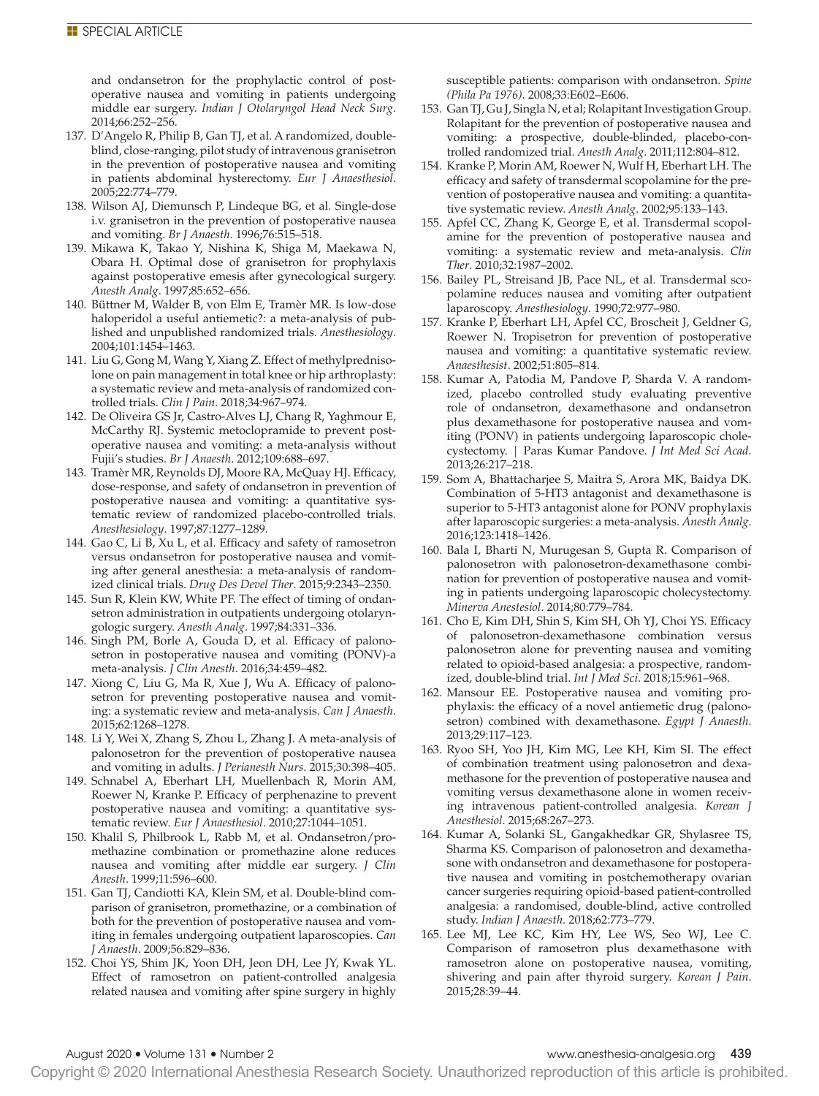and ondansetron for the prophylactic control of postoperative nausea and vomiting in patients undergoing middle ear surgery. *Indian J Otolaryngol Head Neck Surg*. 2014;66:252–256.

- 137. D'Angelo R, Philip B, Gan TJ, et al. A randomized, doubleblind, close-ranging, pilot study of intravenous granisetron in the prevention of postoperative nausea and vomiting in patients abdominal hysterectomy. *Eur J Anaesthesiol*. 2005;22:774–779.
- 138. Wilson AJ, Diemunsch P, Lindeque BG, et al. Single-dose i.v. granisetron in the prevention of postoperative nausea and vomiting. *Br J Anaesth*. 1996;76:515–518.
- 139. Mikawa K, Takao Y, Nishina K, Shiga M, Maekawa N, Obara H. Optimal dose of granisetron for prophylaxis against postoperative emesis after gynecological surgery. *Anesth Analg*. 1997;85:652–656.
- 140. Büttner M, Walder B, von Elm E, Tramèr MR. Is low-dose haloperidol a useful antiemetic?: a meta-analysis of published and unpublished randomized trials. *Anesthesiology*. 2004;101:1454–1463.
- 141. Liu G, Gong M, Wang Y, Xiang Z. Effect of methylprednisolone on pain management in total knee or hip arthroplasty: a systematic review and meta-analysis of randomized controlled trials. *Clin J Pain*. 2018;34:967–974.
- 142. De Oliveira GS Jr, Castro-Alves LJ, Chang R, Yaghmour E, McCarthy RJ. Systemic metoclopramide to prevent postoperative nausea and vomiting: a meta-analysis without Fujii's studies. *Br J Anaesth*. 2012;109:688–697.
- 143. Tramèr MR, Reynolds DJ, Moore RA, McQuay HJ. Efficacy, dose-response, and safety of ondansetron in prevention of postoperative nausea and vomiting: a quantitative systematic review of randomized placebo-controlled trials. *Anesthesiology*. 1997;87:1277–1289.
- 144. Gao C, Li B, Xu L, et al. Efficacy and safety of ramosetron versus ondansetron for postoperative nausea and vomiting after general anesthesia: a meta-analysis of randomized clinical trials. *Drug Des Devel Ther*. 2015;9:2343–2350.
- 145. Sun R, Klein KW, White PF. The effect of timing of ondansetron administration in outpatients undergoing otolaryngologic surgery. *Anesth Analg*. 1997;84:331–336.
- 146. Singh PM, Borle A, Gouda D, et al. Efficacy of palonosetron in postoperative nausea and vomiting (PONV)-a meta-analysis. *J Clin Anesth*. 2016;34:459–482.
- 147. Xiong C, Liu G, Ma R, Xue J, Wu A. Efficacy of palonosetron for preventing postoperative nausea and vomiting: a systematic review and meta-analysis. *Can J Anaesth*. 2015;62:1268–1278.
- 148. Li Y, Wei X, Zhang S, Zhou L, Zhang J. A meta-analysis of palonosetron for the prevention of postoperative nausea and vomiting in adults. *J Perianesth Nurs*. 2015;30:398–405.
- 149. Schnabel A, Eberhart LH, Muellenbach R, Morin AM, Roewer N, Kranke P. Efficacy of perphenazine to prevent postoperative nausea and vomiting: a quantitative systematic review. *Eur J Anaesthesiol*. 2010;27:1044–1051.
- 150. Khalil S, Philbrook L, Rabb M, et al. Ondansetron/promethazine combination or promethazine alone reduces nausea and vomiting after middle ear surgery. *J Clin Anesth*. 1999;11:596–600.
- 151. Gan TJ, Candiotti KA, Klein SM, et al. Double-blind comparison of granisetron, promethazine, or a combination of both for the prevention of postoperative nausea and vomiting in females undergoing outpatient laparoscopies. *Can J Anaesth*. 2009;56:829–836.
- 152. Choi YS, Shim JK, Yoon DH, Jeon DH, Lee JY, Kwak YL. Effect of ramosetron on patient-controlled analgesia related nausea and vomiting after spine surgery in highly

susceptible patients: comparison with ondansetron. *Spine (Phila Pa 1976)*. 2008;33:E602–E606.

- 153. Gan TJ, Gu J, Singla N, et al; Rolapitant Investigation Group. Rolapitant for the prevention of postoperative nausea and vomiting: a prospective, double-blinded, placebo-controlled randomized trial. *Anesth Analg*. 2011;112:804–812.
- 154. Kranke P, Morin AM, Roewer N, Wulf H, Eberhart LH. The efficacy and safety of transdermal scopolamine for the prevention of postoperative nausea and vomiting: a quantitative systematic review. *Anesth Analg*. 2002;95:133–143.
- 155. Apfel CC, Zhang K, George E, et al. Transdermal scopolamine for the prevention of postoperative nausea and vomiting: a systematic review and meta-analysis. *Clin Ther*. 2010;32:1987–2002.
- 156. Bailey PL, Streisand JB, Pace NL, et al. Transdermal scopolamine reduces nausea and vomiting after outpatient laparoscopy. *Anesthesiology*. 1990;72:977–980.
- 157. Kranke P, Eberhart LH, Apfel CC, Broscheit J, Geldner G, Roewer N. Tropisetron for prevention of postoperative nausea and vomiting: a quantitative systematic review. *Anaesthesist*. 2002;51:805–814.
- 158. Kumar A, Patodia M, Pandove P, Sharda V. A randomized, placebo controlled study evaluating preventive role of ondansetron, dexamethasone and ondansetron plus dexamethasone for postoperative nausea and vomiting (PONV) in patients undergoing laparoscopic cholecystectomy. | Paras Kumar Pandove. *J Int Med Sci Acad*. 2013;26:217–218.
- 159. Som A, Bhattacharjee S, Maitra S, Arora MK, Baidya DK. Combination of 5-HT3 antagonist and dexamethasone is superior to 5-HT3 antagonist alone for PONV prophylaxis after laparoscopic surgeries: a meta-analysis. *Anesth Analg*. 2016;123:1418–1426.
- 160. Bala I, Bharti N, Murugesan S, Gupta R. Comparison of palonosetron with palonosetron-dexamethasone combination for prevention of postoperative nausea and vomiting in patients undergoing laparoscopic cholecystectomy. *Minerva Anestesiol*. 2014;80:779–784.
- 161. Cho E, Kim DH, Shin S, Kim SH, Oh YJ, Choi YS. Efficacy of palonosetron-dexamethasone combination versus palonosetron alone for preventing nausea and vomiting related to opioid-based analgesia: a prospective, randomized, double-blind trial. *Int J Med Sci*. 2018;15:961–968.
- 162. Mansour EE. Postoperative nausea and vomiting prophylaxis: the efficacy of a novel antiemetic drug (palonosetron) combined with dexamethasone. *Egypt J Anaesth*. 2013;29:117–123.
- 163. Ryoo SH, Yoo JH, Kim MG, Lee KH, Kim SI. The effect of combination treatment using palonosetron and dexamethasone for the prevention of postoperative nausea and vomiting versus dexamethasone alone in women receiving intravenous patient-controlled analgesia. *Korean J Anesthesiol*. 2015;68:267–273.
- 164. Kumar A, Solanki SL, Gangakhedkar GR, Shylasree TS, Sharma KS. Comparison of palonosetron and dexamethasone with ondansetron and dexamethasone for postoperative nausea and vomiting in postchemotherapy ovarian cancer surgeries requiring opioid-based patient-controlled analgesia: a randomised, double-blind, active controlled study. *Indian J Anaesth*. 2018;62:773–779.
- 165. Lee MJ, Lee KC, Kim HY, Lee WS, Seo WJ, Lee C. Comparison of ramosetron plus dexamethasone with ramosetron alone on postoperative nausea, vomiting, shivering and pain after thyroid surgery. *Korean J Pain*. 2015;28:39–44.

### August 2020 • Volume 131 • Number 2 www.anesthesia-analgesia.org 439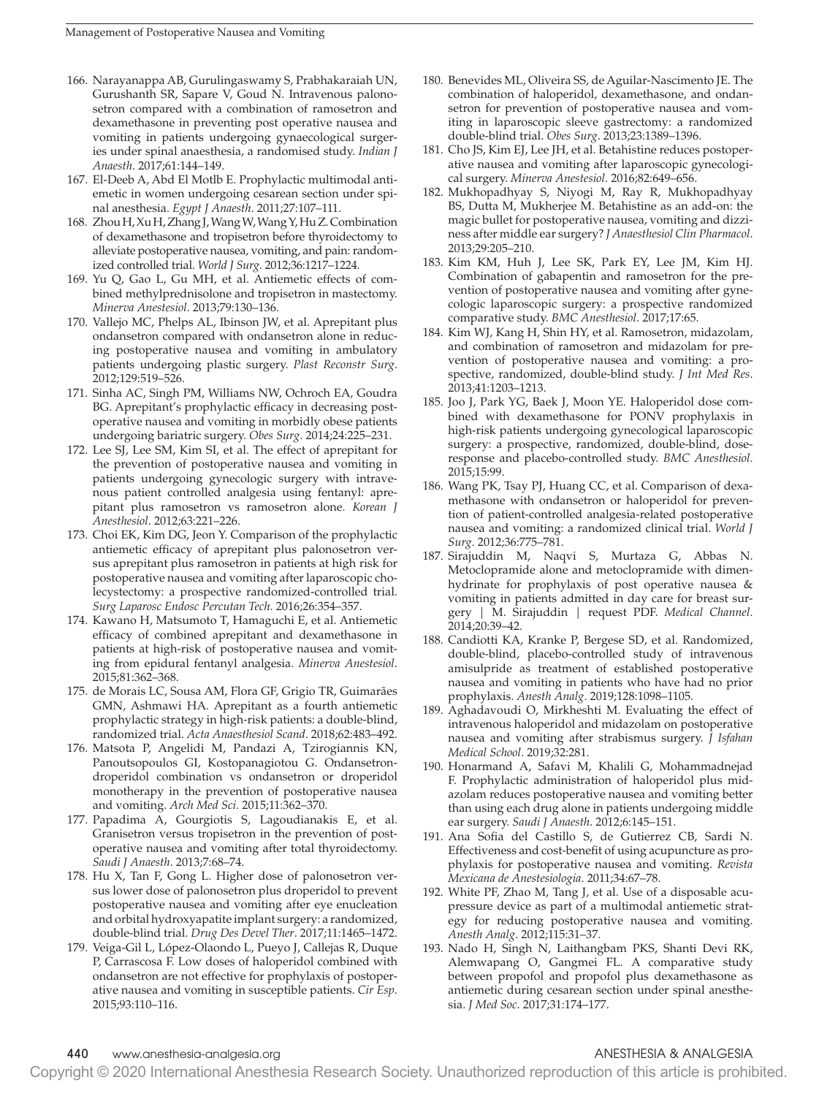- 166. Narayanappa AB, Gurulingaswamy S, Prabhakaraiah UN, Gurushanth SR, Sapare V, Goud N. Intravenous palonosetron compared with a combination of ramosetron and dexamethasone in preventing post operative nausea and vomiting in patients undergoing gynaecological surgeries under spinal anaesthesia, a randomised study. *Indian J Anaesth*. 2017;61:144–149.
- 167. El-Deeb A, Abd El Motlb E. Prophylactic multimodal antiemetic in women undergoing cesarean section under spinal anesthesia. *Egypt J Anaesth*. 2011;27:107–111.
- 168. Zhou H, Xu H, Zhang J, Wang W, Wang Y, Hu Z. Combination of dexamethasone and tropisetron before thyroidectomy to alleviate postoperative nausea, vomiting, and pain: randomized controlled trial. *World J Surg*. 2012;36:1217–1224.
- 169. Yu Q, Gao L, Gu MH, et al. Antiemetic effects of combined methylprednisolone and tropisetron in mastectomy. *Minerva Anestesiol*. 2013;79:130–136.
- 170. Vallejo MC, Phelps AL, Ibinson JW, et al. Aprepitant plus ondansetron compared with ondansetron alone in reducing postoperative nausea and vomiting in ambulatory patients undergoing plastic surgery. *Plast Reconstr Surg*. 2012;129:519–526.
- 171. Sinha AC, Singh PM, Williams NW, Ochroch EA, Goudra BG. Aprepitant's prophylactic efficacy in decreasing postoperative nausea and vomiting in morbidly obese patients undergoing bariatric surgery. *Obes Surg*. 2014;24:225–231.
- 172. Lee SJ, Lee SM, Kim SI, et al. The effect of aprepitant for the prevention of postoperative nausea and vomiting in patients undergoing gynecologic surgery with intravenous patient controlled analgesia using fentanyl: aprepitant plus ramosetron vs ramosetron alone. *Korean J Anesthesiol*. 2012;63:221–226.
- 173. Choi EK, Kim DG, Jeon Y. Comparison of the prophylactic antiemetic efficacy of aprepitant plus palonosetron versus aprepitant plus ramosetron in patients at high risk for postoperative nausea and vomiting after laparoscopic cholecystectomy: a prospective randomized-controlled trial. *Surg Laparosc Endosc Percutan Tech*. 2016;26:354–357.
- 174. Kawano H, Matsumoto T, Hamaguchi E, et al. Antiemetic efficacy of combined aprepitant and dexamethasone in patients at high-risk of postoperative nausea and vomiting from epidural fentanyl analgesia. *Minerva Anestesiol*. 2015;81:362–368.
- 175. de Morais LC, Sousa AM, Flora GF, Grigio TR, Guimarães GMN, Ashmawi HA. Aprepitant as a fourth antiemetic prophylactic strategy in high-risk patients: a double-blind, randomized trial. *Acta Anaesthesiol Scand*. 2018;62:483–492.
- 176. Matsota P, Angelidi M, Pandazi A, Tzirogiannis KN, Panoutsopoulos GI, Kostopanagiotou G. Ondansetrondroperidol combination vs ondansetron or droperidol monotherapy in the prevention of postoperative nausea and vomiting. *Arch Med Sci*. 2015;11:362–370.
- 177. Papadima A, Gourgiotis S, Lagoudianakis E, et al. Granisetron versus tropisetron in the prevention of postoperative nausea and vomiting after total thyroidectomy. *Saudi J Anaesth*. 2013;7:68–74.
- 178. Hu X, Tan F, Gong L. Higher dose of palonosetron versus lower dose of palonosetron plus droperidol to prevent postoperative nausea and vomiting after eye enucleation and orbital hydroxyapatite implant surgery: a randomized, double-blind trial. *Drug Des Devel Ther*. 2017;11:1465–1472.
- 179. Veiga-Gil L, López-Olaondo L, Pueyo J, Callejas R, Duque P, Carrascosa F. Low doses of haloperidol combined with ondansetron are not effective for prophylaxis of postoperative nausea and vomiting in susceptible patients. *Cir Esp*. 2015;93:110–116.
- 180. Benevides ML, Oliveira SS, de Aguilar-Nascimento JE. The combination of haloperidol, dexamethasone, and ondansetron for prevention of postoperative nausea and vomiting in laparoscopic sleeve gastrectomy: a randomized double-blind trial. *Obes Surg*. 2013;23:1389–1396.
- 181. Cho JS, Kim EJ, Lee JH, et al. Betahistine reduces postoperative nausea and vomiting after laparoscopic gynecological surgery. *Minerva Anestesiol*. 2016;82:649–656.
- 182. Mukhopadhyay S, Niyogi M, Ray R, Mukhopadhyay BS, Dutta M, Mukherjee M. Betahistine as an add-on: the magic bullet for postoperative nausea, vomiting and dizziness after middle ear surgery? *J Anaesthesiol Clin Pharmacol*. 2013;29:205–210.
- 183. Kim KM, Huh J, Lee SK, Park EY, Lee JM, Kim HJ. Combination of gabapentin and ramosetron for the prevention of postoperative nausea and vomiting after gynecologic laparoscopic surgery: a prospective randomized comparative study. *BMC Anesthesiol*. 2017;17:65.
- 184. Kim WJ, Kang H, Shin HY, et al. Ramosetron, midazolam, and combination of ramosetron and midazolam for prevention of postoperative nausea and vomiting: a prospective, randomized, double-blind study. *J Int Med Res*. 2013;41:1203–1213.
- 185. Joo J, Park YG, Baek J, Moon YE. Haloperidol dose combined with dexamethasone for PONV prophylaxis in high-risk patients undergoing gynecological laparoscopic surgery: a prospective, randomized, double-blind, doseresponse and placebo-controlled study. *BMC Anesthesiol*. 2015;15:99.
- 186. Wang PK, Tsay PJ, Huang CC, et al. Comparison of dexamethasone with ondansetron or haloperidol for prevention of patient-controlled analgesia-related postoperative nausea and vomiting: a randomized clinical trial. *World J Surg*. 2012;36:775–781.
- 187. Sirajuddin M, Naqvi S, Murtaza G, Abbas N. Metoclopramide alone and metoclopramide with dimenhydrinate for prophylaxis of post operative nausea & vomiting in patients admitted in day care for breast surgery | M. Sirajuddin | request PDF. *Medical Channel*. 2014;20:39–42.
- 188. Candiotti KA, Kranke P, Bergese SD, et al. Randomized, double-blind, placebo-controlled study of intravenous amisulpride as treatment of established postoperative nausea and vomiting in patients who have had no prior prophylaxis. *Anesth Analg*. 2019;128:1098–1105.
- 189. Aghadavoudi O, Mirkheshti M. Evaluating the effect of intravenous haloperidol and midazolam on postoperative nausea and vomiting after strabismus surgery. *J Isfahan Medical School*. 2019;32:281.
- 190. Honarmand A, Safavi M, Khalili G, Mohammadnejad F. Prophylactic administration of haloperidol plus midazolam reduces postoperative nausea and vomiting better than using each drug alone in patients undergoing middle ear surgery. *Saudi J Anaesth*. 2012;6:145–151.
- 191. Ana Sofia del Castillo S, de Gutierrez CB, Sardi N. Effectiveness and cost-benefit of using acupuncture as prophylaxis for postoperative nausea and vomiting. *Revista Mexicana de Anestesiologia*. 2011;34:67–78.
- 192. White PF, Zhao M, Tang J, et al. Use of a disposable acupressure device as part of a multimodal antiemetic strategy for reducing postoperative nausea and vomiting. *Anesth Analg*. 2012;115:31–37.
- 193. Nado H, Singh N, Laithangbam PKS, Shanti Devi RK, Alemwapang O, Gangmei FL. A comparative study between propofol and propofol plus dexamethasone as antiemetic during cesarean section under spinal anesthesia. *J Med Soc*. 2017;31:174–177.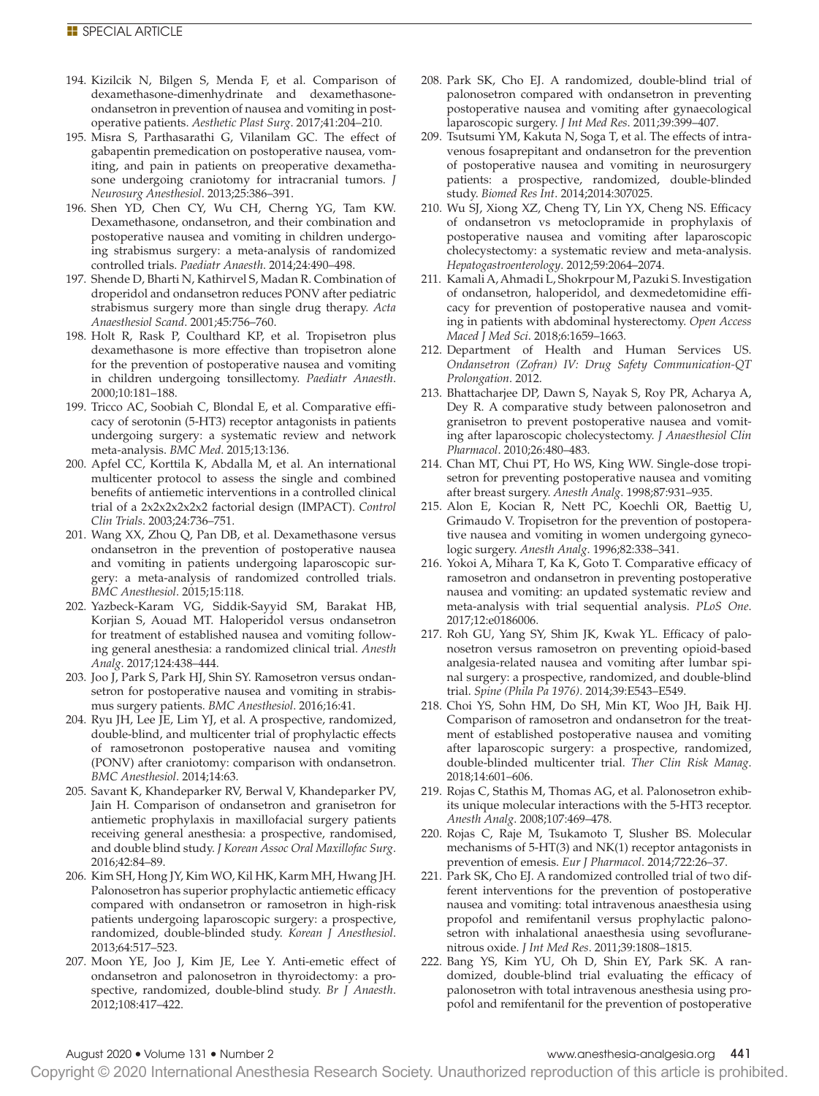- 194. Kizilcik N, Bilgen S, Menda F, et al. Comparison of dexamethasone-dimenhydrinate and dexamethasoneondansetron in prevention of nausea and vomiting in postoperative patients. *Aesthetic Plast Surg*. 2017;41:204–210.
- 195. Misra S, Parthasarathi G, Vilanilam GC. The effect of gabapentin premedication on postoperative nausea, vomiting, and pain in patients on preoperative dexamethasone undergoing craniotomy for intracranial tumors. *J Neurosurg Anesthesiol*. 2013;25:386–391.
- 196. Shen YD, Chen CY, Wu CH, Cherng YG, Tam KW. Dexamethasone, ondansetron, and their combination and postoperative nausea and vomiting in children undergoing strabismus surgery: a meta-analysis of randomized controlled trials. *Paediatr Anaesth*. 2014;24:490–498.
- 197. Shende D, Bharti N, Kathirvel S, Madan R. Combination of droperidol and ondansetron reduces PONV after pediatric strabismus surgery more than single drug therapy. *Acta Anaesthesiol Scand*. 2001;45:756–760.
- 198. Holt R, Rask P, Coulthard KP, et al. Tropisetron plus dexamethasone is more effective than tropisetron alone for the prevention of postoperative nausea and vomiting in children undergoing tonsillectomy. *Paediatr Anaesth*. 2000;10:181–188.
- 199. Tricco AC, Soobiah C, Blondal E, et al. Comparative efficacy of serotonin (5-HT3) receptor antagonists in patients undergoing surgery: a systematic review and network meta-analysis. *BMC Med*. 2015;13:136.
- 200. Apfel CC, Korttila K, Abdalla M, et al. An international multicenter protocol to assess the single and combined benefits of antiemetic interventions in a controlled clinical trial of a 2x2x2x2x2x2 factorial design (IMPACT). *Control Clin Trials*. 2003;24:736–751.
- 201. Wang XX, Zhou Q, Pan DB, et al. Dexamethasone versus ondansetron in the prevention of postoperative nausea and vomiting in patients undergoing laparoscopic surgery: a meta-analysis of randomized controlled trials. *BMC Anesthesiol*. 2015;15:118.
- 202. Yazbeck-Karam VG, Siddik-Sayyid SM, Barakat HB, Korjian S, Aouad MT. Haloperidol versus ondansetron for treatment of established nausea and vomiting following general anesthesia: a randomized clinical trial. *Anesth Analg*. 2017;124:438–444.
- 203. Joo J, Park S, Park HJ, Shin SY. Ramosetron versus ondansetron for postoperative nausea and vomiting in strabismus surgery patients. *BMC Anesthesiol*. 2016;16:41.
- 204. Ryu JH, Lee JE, Lim YJ, et al. A prospective, randomized, double-blind, and multicenter trial of prophylactic effects of ramosetronon postoperative nausea and vomiting (PONV) after craniotomy: comparison with ondansetron. *BMC Anesthesiol*. 2014;14:63.
- 205. Savant K, Khandeparker RV, Berwal V, Khandeparker PV, Jain H. Comparison of ondansetron and granisetron for antiemetic prophylaxis in maxillofacial surgery patients receiving general anesthesia: a prospective, randomised, and double blind study. *J Korean Assoc Oral Maxillofac Surg*. 2016;42:84–89.
- 206. Kim SH, Hong JY, Kim WO, Kil HK, Karm MH, Hwang JH. Palonosetron has superior prophylactic antiemetic efficacy compared with ondansetron or ramosetron in high-risk patients undergoing laparoscopic surgery: a prospective, randomized, double-blinded study. *Korean J Anesthesiol*. 2013;64:517–523.
- 207. Moon YE, Joo J, Kim JE, Lee Y. Anti-emetic effect of ondansetron and palonosetron in thyroidectomy: a prospective, randomized, double-blind study. *Br J Anaesth*. 2012;108:417–422.
- 208. Park SK, Cho EJ. A randomized, double-blind trial of palonosetron compared with ondansetron in preventing postoperative nausea and vomiting after gynaecological laparoscopic surgery. *J Int Med Res*. 2011;39:399–407.
- 209. Tsutsumi YM, Kakuta N, Soga T, et al. The effects of intravenous fosaprepitant and ondansetron for the prevention of postoperative nausea and vomiting in neurosurgery patients: a prospective, randomized, double-blinded study. *Biomed Res Int*. 2014;2014:307025.
- 210. Wu SJ, Xiong XZ, Cheng TY, Lin YX, Cheng NS. Efficacy of ondansetron vs metoclopramide in prophylaxis of postoperative nausea and vomiting after laparoscopic cholecystectomy: a systematic review and meta-analysis. *Hepatogastroenterology*. 2012;59:2064–2074.
- 211. Kamali A, Ahmadi L, Shokrpour M, Pazuki S. Investigation of ondansetron, haloperidol, and dexmedetomidine efficacy for prevention of postoperative nausea and vomiting in patients with abdominal hysterectomy. *Open Access Maced J Med Sci*. 2018;6:1659–1663.
- 212. Department of Health and Human Services US. *Ondansetron (Zofran) IV: Drug Safety Communication-QT Prolongation*. 2012.
- 213. Bhattacharjee DP, Dawn S, Nayak S, Roy PR, Acharya A, Dey R. A comparative study between palonosetron and granisetron to prevent postoperative nausea and vomiting after laparoscopic cholecystectomy. *J Anaesthesiol Clin Pharmacol*. 2010;26:480–483.
- 214. Chan MT, Chui PT, Ho WS, King WW. Single-dose tropisetron for preventing postoperative nausea and vomiting after breast surgery. *Anesth Analg*. 1998;87:931–935.
- 215. Alon E, Kocian R, Nett PC, Koechli OR, Baettig U, Grimaudo V. Tropisetron for the prevention of postoperative nausea and vomiting in women undergoing gynecologic surgery. *Anesth Analg*. 1996;82:338–341.
- 216. Yokoi A, Mihara T, Ka K, Goto T. Comparative efficacy of ramosetron and ondansetron in preventing postoperative nausea and vomiting: an updated systematic review and meta-analysis with trial sequential analysis. *PLoS One*. 2017;12:e0186006.
- 217. Roh GU, Yang SY, Shim JK, Kwak YL. Efficacy of palonosetron versus ramosetron on preventing opioid-based analgesia-related nausea and vomiting after lumbar spinal surgery: a prospective, randomized, and double-blind trial. *Spine (Phila Pa 1976)*. 2014;39:E543–E549.
- 218. Choi YS, Sohn HM, Do SH, Min KT, Woo JH, Baik HJ. Comparison of ramosetron and ondansetron for the treatment of established postoperative nausea and vomiting after laparoscopic surgery: a prospective, randomized, double-blinded multicenter trial. *Ther Clin Risk Manag*. 2018;14:601–606.
- 219. Rojas C, Stathis M, Thomas AG, et al. Palonosetron exhibits unique molecular interactions with the 5-HT3 receptor. *Anesth Analg*. 2008;107:469–478.
- 220. Rojas C, Raje M, Tsukamoto T, Slusher BS. Molecular mechanisms of 5-HT(3) and NK(1) receptor antagonists in prevention of emesis. *Eur J Pharmacol*. 2014;722:26–37.
- 221. Park SK, Cho EJ. A randomized controlled trial of two different interventions for the prevention of postoperative nausea and vomiting: total intravenous anaesthesia using propofol and remifentanil versus prophylactic palonosetron with inhalational anaesthesia using sevofluranenitrous oxide. *J Int Med Res*. 2011;39:1808–1815.
- 222. Bang YS, Kim YU, Oh D, Shin EY, Park SK. A randomized, double-blind trial evaluating the efficacy of palonosetron with total intravenous anesthesia using propofol and remifentanil for the prevention of postoperative

Copyright © 2020 International Anesthesia Research Society. Unauthorized reproduction of this article is prohibited.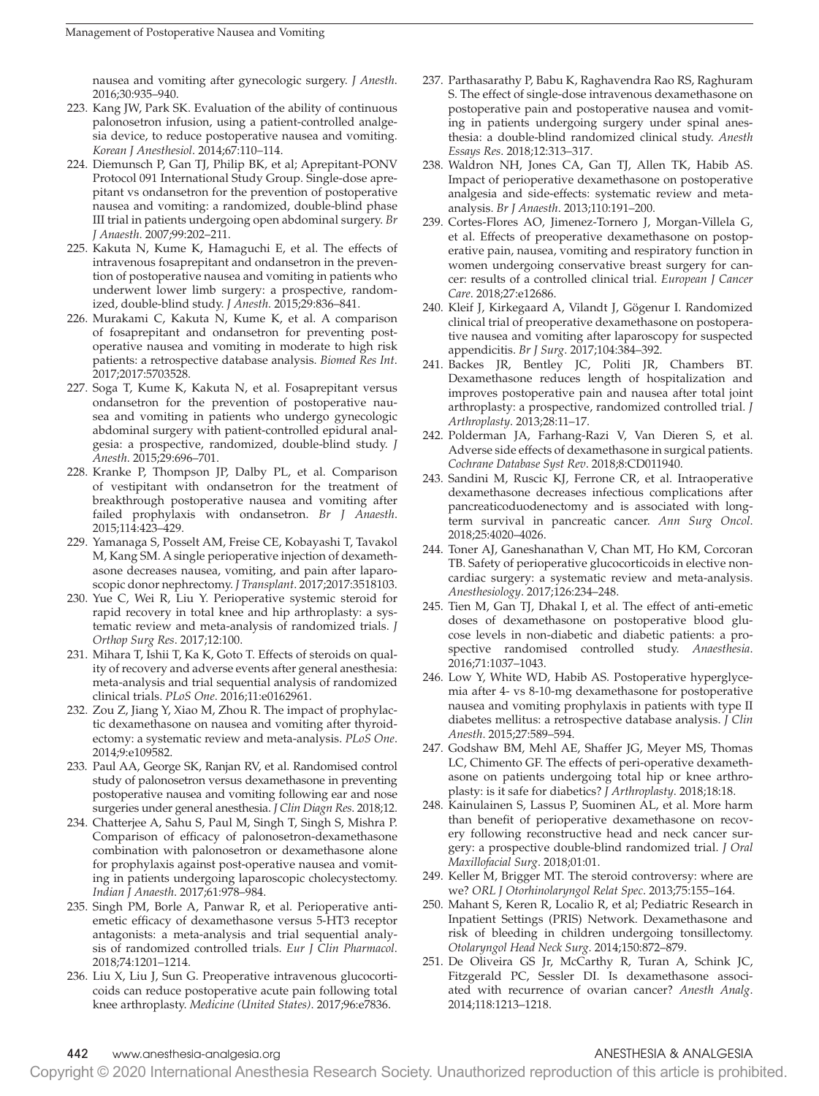nausea and vomiting after gynecologic surgery. *J Anesth*. 2016;30:935–940.

- 223. Kang JW, Park SK. Evaluation of the ability of continuous palonosetron infusion, using a patient-controlled analgesia device, to reduce postoperative nausea and vomiting. *Korean J Anesthesiol*. 2014;67:110–114.
- 224. Diemunsch P, Gan TJ, Philip BK, et al; Aprepitant-PONV Protocol 091 International Study Group. Single-dose aprepitant vs ondansetron for the prevention of postoperative nausea and vomiting: a randomized, double-blind phase III trial in patients undergoing open abdominal surgery. *Br J Anaesth*. 2007;99:202–211.
- 225. Kakuta N, Kume K, Hamaguchi E, et al. The effects of intravenous fosaprepitant and ondansetron in the prevention of postoperative nausea and vomiting in patients who underwent lower limb surgery: a prospective, randomized, double-blind study. *J Anesth*. 2015;29:836–841.
- 226. Murakami C, Kakuta N, Kume K, et al. A comparison of fosaprepitant and ondansetron for preventing postoperative nausea and vomiting in moderate to high risk patients: a retrospective database analysis. *Biomed Res Int*. 2017;2017:5703528.
- 227. Soga T, Kume K, Kakuta N, et al. Fosaprepitant versus ondansetron for the prevention of postoperative nausea and vomiting in patients who undergo gynecologic abdominal surgery with patient-controlled epidural analgesia: a prospective, randomized, double-blind study. *J Anesth*. 2015;29:696–701.
- 228. Kranke P, Thompson JP, Dalby PL, et al. Comparison of vestipitant with ondansetron for the treatment of breakthrough postoperative nausea and vomiting after failed prophylaxis with ondansetron. *Br J Anaesth*. 2015;114:423–429.
- 229. Yamanaga S, Posselt AM, Freise CE, Kobayashi T, Tavakol M, Kang SM. A single perioperative injection of dexamethasone decreases nausea, vomiting, and pain after laparoscopic donor nephrectomy. *J Transplant*. 2017;2017:3518103.
- 230. Yue C, Wei R, Liu Y. Perioperative systemic steroid for rapid recovery in total knee and hip arthroplasty: a systematic review and meta-analysis of randomized trials. *J Orthop Surg Res*. 2017;12:100.
- 231. Mihara T, Ishii T, Ka K, Goto T. Effects of steroids on quality of recovery and adverse events after general anesthesia: meta-analysis and trial sequential analysis of randomized clinical trials. *PLoS One*. 2016;11:e0162961.
- 232. Zou Z, Jiang Y, Xiao M, Zhou R. The impact of prophylactic dexamethasone on nausea and vomiting after thyroidectomy: a systematic review and meta-analysis. *PLoS One*. 2014;9:e109582.
- 233. Paul AA, George SK, Ranjan RV, et al. Randomised control study of palonosetron versus dexamethasone in preventing postoperative nausea and vomiting following ear and nose surgeries under general anesthesia. *J Clin Diagn Res*. 2018;12.
- 234. Chatterjee A, Sahu S, Paul M, Singh T, Singh S, Mishra P. Comparison of efficacy of palonosetron-dexamethasone combination with palonosetron or dexamethasone alone for prophylaxis against post-operative nausea and vomiting in patients undergoing laparoscopic cholecystectomy. *Indian J Anaesth*. 2017;61:978–984.
- 235. Singh PM, Borle A, Panwar R, et al. Perioperative antiemetic efficacy of dexamethasone versus 5-HT3 receptor antagonists: a meta-analysis and trial sequential analysis of randomized controlled trials. *Eur J Clin Pharmacol*. 2018;74:1201–1214.
- 236. Liu X, Liu J, Sun G. Preoperative intravenous glucocorticoids can reduce postoperative acute pain following total knee arthroplasty. *Medicine (United States)*. 2017;96:e7836.
- 237. Parthasarathy P, Babu K, Raghavendra Rao RS, Raghuram S. The effect of single-dose intravenous dexamethasone on postoperative pain and postoperative nausea and vomiting in patients undergoing surgery under spinal anesthesia: a double-blind randomized clinical study. *Anesth Essays Res*. 2018;12:313–317.
- 238. Waldron NH, Jones CA, Gan TJ, Allen TK, Habib AS. Impact of perioperative dexamethasone on postoperative analgesia and side-effects: systematic review and metaanalysis. *Br J Anaesth*. 2013;110:191–200.
- 239. Cortes-Flores AO, Jimenez-Tornero J, Morgan-Villela G, et al. Effects of preoperative dexamethasone on postoperative pain, nausea, vomiting and respiratory function in women undergoing conservative breast surgery for cancer: results of a controlled clinical trial. *European J Cancer Care*. 2018;27:e12686.
- 240. Kleif J, Kirkegaard A, Vilandt J, Gögenur I. Randomized clinical trial of preoperative dexamethasone on postoperative nausea and vomiting after laparoscopy for suspected appendicitis. *Br J Surg*. 2017;104:384–392.
- 241. Backes JR, Bentley JC, Politi JR, Chambers BT. Dexamethasone reduces length of hospitalization and improves postoperative pain and nausea after total joint arthroplasty: a prospective, randomized controlled trial. *J Arthroplasty*. 2013;28:11–17.
- 242. Polderman JA, Farhang-Razi V, Van Dieren S, et al. Adverse side effects of dexamethasone in surgical patients. *Cochrane Database Syst Rev*. 2018;8:CD011940.
- 243. Sandini M, Ruscic KJ, Ferrone CR, et al. Intraoperative dexamethasone decreases infectious complications after pancreaticoduodenectomy and is associated with longterm survival in pancreatic cancer. *Ann Surg Oncol*. 2018;25:4020–4026.
- 244. Toner AJ, Ganeshanathan V, Chan MT, Ho KM, Corcoran TB. Safety of perioperative glucocorticoids in elective noncardiac surgery: a systematic review and meta-analysis. *Anesthesiology*. 2017;126:234–248.
- 245. Tien M, Gan TJ, Dhakal I, et al. The effect of anti-emetic doses of dexamethasone on postoperative blood glucose levels in non-diabetic and diabetic patients: a prospective randomised controlled study. *Anaesthesia*. 2016;71:1037–1043.
- 246. Low Y, White WD, Habib AS. Postoperative hyperglycemia after 4- vs 8-10-mg dexamethasone for postoperative nausea and vomiting prophylaxis in patients with type II diabetes mellitus: a retrospective database analysis. *J Clin Anesth*. 2015;27:589–594.
- 247. Godshaw BM, Mehl AE, Shaffer JG, Meyer MS, Thomas LC, Chimento GF. The effects of peri-operative dexamethasone on patients undergoing total hip or knee arthroplasty: is it safe for diabetics? *J Arthroplasty*. 2018;18:18.
- 248. Kainulainen S, Lassus P, Suominen AL, et al. More harm than benefit of perioperative dexamethasone on recovery following reconstructive head and neck cancer surgery: a prospective double-blind randomized trial. *J Oral Maxillofacial Surg*. 2018;01:01.
- 249. Keller M, Brigger MT. The steroid controversy: where are we? *ORL J Otorhinolaryngol Relat Spec*. 2013;75:155–164.
- 250. Mahant S, Keren R, Localio R, et al; Pediatric Research in Inpatient Settings (PRIS) Network. Dexamethasone and risk of bleeding in children undergoing tonsillectomy. *Otolaryngol Head Neck Surg*. 2014;150:872–879.
- 251. De Oliveira GS Jr, McCarthy R, Turan A, Schink JC, Fitzgerald PC, Sessler DI. Is dexamethasone associated with recurrence of ovarian cancer? *Anesth Analg*. 2014;118:1213–1218.

# 442 www.anesthesia-analgesia.org ANESTHESIA & ANALGESIA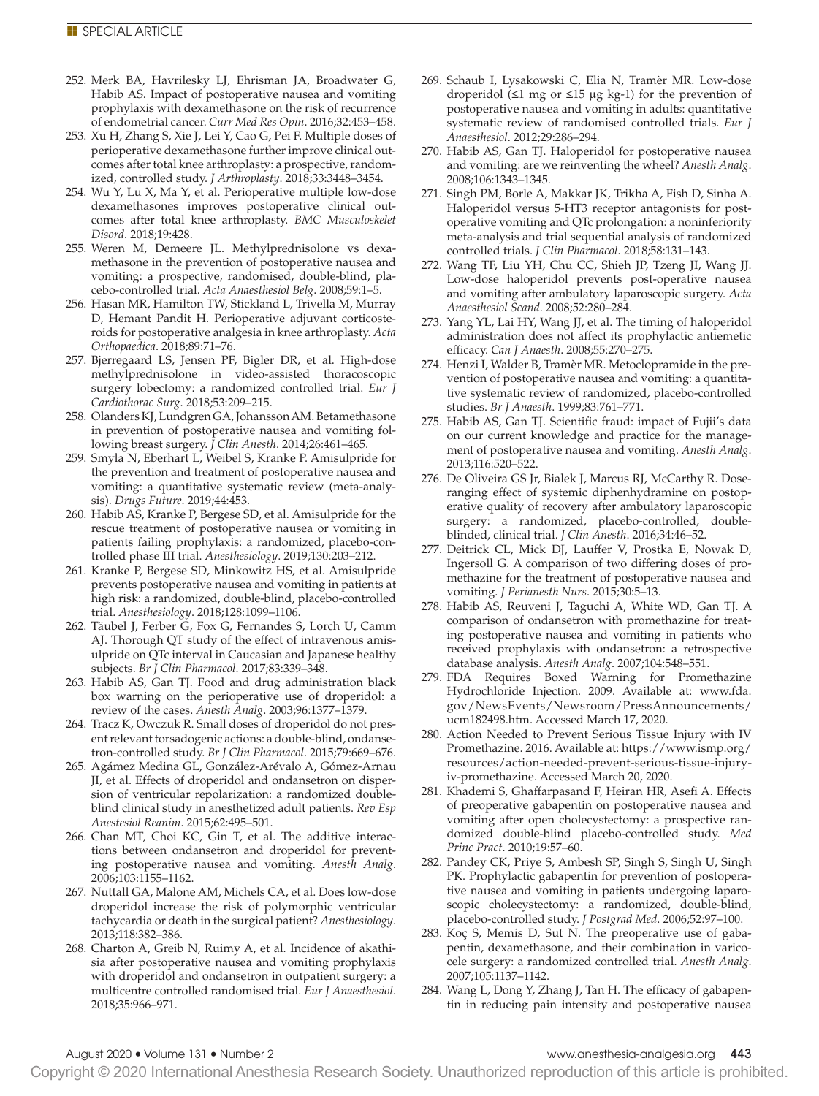- 252. Merk BA, Havrilesky LJ, Ehrisman JA, Broadwater G, Habib AS. Impact of postoperative nausea and vomiting prophylaxis with dexamethasone on the risk of recurrence of endometrial cancer. *Curr Med Res Opin*. 2016;32:453–458.
- 253. Xu H, Zhang S, Xie J, Lei Y, Cao G, Pei F. Multiple doses of perioperative dexamethasone further improve clinical outcomes after total knee arthroplasty: a prospective, randomized, controlled study. *J Arthroplasty*. 2018;33:3448–3454.
- 254. Wu Y, Lu X, Ma Y, et al. Perioperative multiple low-dose dexamethasones improves postoperative clinical outcomes after total knee arthroplasty. *BMC Musculoskelet Disord*. 2018;19:428.
- 255. Weren M, Demeere JL. Methylprednisolone vs dexamethasone in the prevention of postoperative nausea and vomiting: a prospective, randomised, double-blind, placebo-controlled trial. *Acta Anaesthesiol Belg*. 2008;59:1–5.
- 256. Hasan MR, Hamilton TW, Stickland L, Trivella M, Murray D, Hemant Pandit H. Perioperative adjuvant corticosteroids for postoperative analgesia in knee arthroplasty. *Acta Orthopaedica*. 2018;89:71–76.
- 257. Bjerregaard LS, Jensen PF, Bigler DR, et al. High-dose methylprednisolone in video-assisted thoracoscopic surgery lobectomy: a randomized controlled trial. *Eur J Cardiothorac Surg*. 2018;53:209–215.
- 258. Olanders KJ, Lundgren GA, Johansson AM. Betamethasone in prevention of postoperative nausea and vomiting following breast surgery. *J Clin Anesth*. 2014;26:461–465.
- 259. Smyla N, Eberhart L, Weibel S, Kranke P. Amisulpride for the prevention and treatment of postoperative nausea and vomiting: a quantitative systematic review (meta-analysis). *Drugs Future*. 2019;44:453.
- 260. Habib AS, Kranke P, Bergese SD, et al. Amisulpride for the rescue treatment of postoperative nausea or vomiting in patients failing prophylaxis: a randomized, placebo-controlled phase III trial. *Anesthesiology*. 2019;130:203–212.
- 261. Kranke P, Bergese SD, Minkowitz HS, et al. Amisulpride prevents postoperative nausea and vomiting in patients at high risk: a randomized, double-blind, placebo-controlled trial. *Anesthesiology*. 2018;128:1099–1106.
- 262. Täubel J, Ferber G, Fox G, Fernandes S, Lorch U, Camm AJ. Thorough QT study of the effect of intravenous amisulpride on QTc interval in Caucasian and Japanese healthy subjects. *Br J Clin Pharmacol*. 2017;83:339–348.
- 263. Habib AS, Gan TJ. Food and drug administration black box warning on the perioperative use of droperidol: a review of the cases. *Anesth Analg*. 2003;96:1377–1379.
- 264. Tracz K, Owczuk R. Small doses of droperidol do not present relevant torsadogenic actions: a double-blind, ondansetron-controlled study. *Br J Clin Pharmacol*. 2015;79:669–676.
- 265. Agámez Medina GL, González-Arévalo A, Gómez-Arnau JI, et al. Effects of droperidol and ondansetron on dispersion of ventricular repolarization: a randomized doubleblind clinical study in anesthetized adult patients. *Rev Esp Anestesiol Reanim*. 2015;62:495–501.
- 266. Chan MT, Choi KC, Gin T, et al. The additive interactions between ondansetron and droperidol for preventing postoperative nausea and vomiting. *Anesth Analg*. 2006;103:1155–1162.
- 267. Nuttall GA, Malone AM, Michels CA, et al. Does low-dose droperidol increase the risk of polymorphic ventricular tachycardia or death in the surgical patient? *Anesthesiology*. 2013;118:382–386.
- 268. Charton A, Greib N, Ruimy A, et al. Incidence of akathisia after postoperative nausea and vomiting prophylaxis with droperidol and ondansetron in outpatient surgery: a multicentre controlled randomised trial. *Eur J Anaesthesiol*. 2018;35:966–971.
- 269. Schaub I, Lysakowski C, Elia N, Tramèr MR. Low-dose droperidol (≤1 mg or ≤15 μg kg-1) for the prevention of postoperative nausea and vomiting in adults: quantitative systematic review of randomised controlled trials. *Eur J Anaesthesiol*. 2012;29:286–294.
- 270. Habib AS, Gan TJ. Haloperidol for postoperative nausea and vomiting: are we reinventing the wheel? *Anesth Analg*. 2008;106:1343–1345.
- 271. Singh PM, Borle A, Makkar JK, Trikha A, Fish D, Sinha A. Haloperidol versus 5-HT3 receptor antagonists for postoperative vomiting and QTc prolongation: a noninferiority meta-analysis and trial sequential analysis of randomized controlled trials. *J Clin Pharmacol*. 2018;58:131–143.
- 272. Wang TF, Liu YH, Chu CC, Shieh JP, Tzeng JI, Wang JJ. Low-dose haloperidol prevents post-operative nausea and vomiting after ambulatory laparoscopic surgery. *Acta Anaesthesiol Scand*. 2008;52:280–284.
- 273. Yang YL, Lai HY, Wang JJ, et al. The timing of haloperidol administration does not affect its prophylactic antiemetic efficacy. *Can J Anaesth*. 2008;55:270–275.
- 274. Henzi I, Walder B, Tramèr MR. Metoclopramide in the prevention of postoperative nausea and vomiting: a quantitative systematic review of randomized, placebo-controlled studies. *Br J Anaesth*. 1999;83:761–771.
- 275. Habib AS, Gan TJ. Scientific fraud: impact of Fujii's data on our current knowledge and practice for the management of postoperative nausea and vomiting. *Anesth Analg*. 2013;116:520–522.
- 276. De Oliveira GS Jr, Bialek J, Marcus RJ, McCarthy R. Doseranging effect of systemic diphenhydramine on postoperative quality of recovery after ambulatory laparoscopic surgery: a randomized, placebo-controlled, doubleblinded, clinical trial. *J Clin Anesth*. 2016;34:46–52.
- 277. Deitrick CL, Mick DJ, Lauffer V, Prostka E, Nowak D, Ingersoll G. A comparison of two differing doses of promethazine for the treatment of postoperative nausea and vomiting. *J Perianesth Nurs*. 2015;30:5–13.
- 278. Habib AS, Reuveni J, Taguchi A, White WD, Gan TJ. A comparison of ondansetron with promethazine for treating postoperative nausea and vomiting in patients who received prophylaxis with ondansetron: a retrospective database analysis. *Anesth Analg*. 2007;104:548–551.
- 279. FDA Requires Boxed Warning for Promethazine Hydrochloride Injection. 2009. Available at: [www.fda.](http://www.fda.gov/NewsEvents/Newsroom/PressAnnouncements/ucm182498.htm) [gov/NewsEvents/Newsroom/PressAnnouncements/](http://www.fda.gov/NewsEvents/Newsroom/PressAnnouncements/ucm182498.htm) [ucm182498.htm.](http://www.fda.gov/NewsEvents/Newsroom/PressAnnouncements/ucm182498.htm) Accessed March 17, 2020.
- 280. Action Needed to Prevent Serious Tissue Injury with IV Promethazine. 2016. Available at: [https://www.ismp.org/](https://www.ismp.org/resources/action-needed-prevent-serious-tissue-injury-iv-promethazine) [resources/action-needed-prevent-serious-tissue-injury](https://www.ismp.org/resources/action-needed-prevent-serious-tissue-injury-iv-promethazine)[iv-promethazine.](https://www.ismp.org/resources/action-needed-prevent-serious-tissue-injury-iv-promethazine) Accessed March 20, 2020.
- 281. Khademi S, Ghaffarpasand F, Heiran HR, Asefi A. Effects of preoperative gabapentin on postoperative nausea and vomiting after open cholecystectomy: a prospective randomized double-blind placebo-controlled study. *Med Princ Pract*. 2010;19:57–60.
- 282. Pandey CK, Priye S, Ambesh SP, Singh S, Singh U, Singh PK. Prophylactic gabapentin for prevention of postoperative nausea and vomiting in patients undergoing laparoscopic cholecystectomy: a randomized, double-blind, placebo-controlled study. *J Postgrad Med*. 2006;52:97–100.
- 283. Koç S, Memis D, Sut N. The preoperative use of gabapentin, dexamethasone, and their combination in varicocele surgery: a randomized controlled trial. *Anesth Analg*. 2007;105:1137–1142.
- 284. Wang L, Dong Y, Zhang J, Tan H. The efficacy of gabapentin in reducing pain intensity and postoperative nausea

Copyright © 2020 International Anesthesia Research Society. Unauthorized reproduction of this article is prohibited.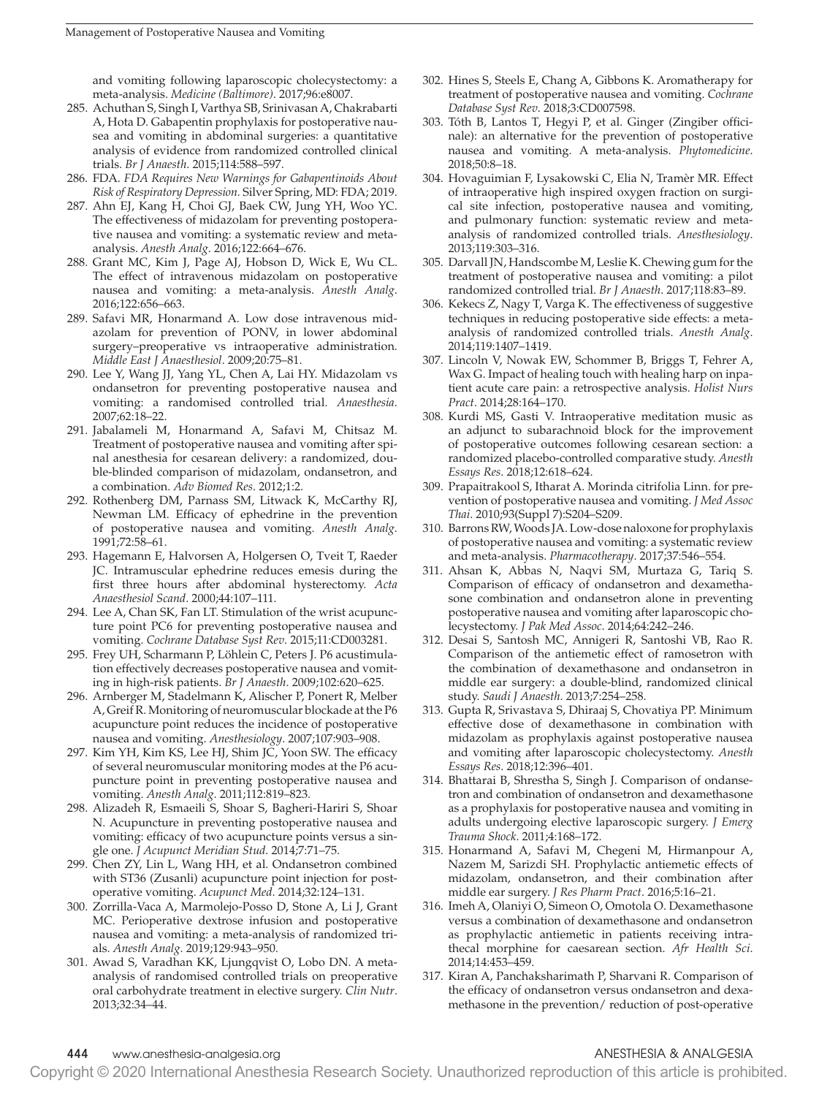and vomiting following laparoscopic cholecystectomy: a meta-analysis. *Medicine (Baltimore)*. 2017;96:e8007.

- 285. Achuthan S, Singh I, Varthya SB, Srinivasan A, Chakrabarti A, Hota D. Gabapentin prophylaxis for postoperative nausea and vomiting in abdominal surgeries: a quantitative analysis of evidence from randomized controlled clinical trials. *Br J Anaesth*. 2015;114:588–597.
- 286. FDA. *FDA Requires New Warnings for Gabapentinoids About Risk of Respiratory Depression.* Silver Spring, MD: FDA; 2019.
- 287. Ahn EJ, Kang H, Choi GJ, Baek CW, Jung YH, Woo YC. The effectiveness of midazolam for preventing postoperative nausea and vomiting: a systematic review and metaanalysis. *Anesth Analg*. 2016;122:664–676.
- 288. Grant MC, Kim J, Page AJ, Hobson D, Wick E, Wu CL. The effect of intravenous midazolam on postoperative nausea and vomiting: a meta-analysis. *Anesth Analg*. 2016;122:656–663.
- 289. Safavi MR, Honarmand A. Low dose intravenous midazolam for prevention of PONV, in lower abdominal surgery–preoperative vs intraoperative administration. *Middle East J Anaesthesiol*. 2009;20:75–81.
- 290. Lee Y, Wang JJ, Yang YL, Chen A, Lai HY. Midazolam vs ondansetron for preventing postoperative nausea and vomiting: a randomised controlled trial. *Anaesthesia*. 2007;62:18–22.
- 291. Jabalameli M, Honarmand A, Safavi M, Chitsaz M. Treatment of postoperative nausea and vomiting after spinal anesthesia for cesarean delivery: a randomized, double-blinded comparison of midazolam, ondansetron, and a combination. *Adv Biomed Res*. 2012;1:2.
- 292. Rothenberg DM, Parnass SM, Litwack K, McCarthy RJ, Newman LM. Efficacy of ephedrine in the prevention of postoperative nausea and vomiting. *Anesth Analg*. 1991;72:58–61.
- 293. Hagemann E, Halvorsen A, Holgersen O, Tveit T, Raeder JC. Intramuscular ephedrine reduces emesis during the first three hours after abdominal hysterectomy. *Acta Anaesthesiol Scand*. 2000;44:107–111.
- 294. Lee A, Chan SK, Fan LT. Stimulation of the wrist acupuncture point PC6 for preventing postoperative nausea and vomiting. *Cochrane Database Syst Rev*. 2015;11:CD003281.
- 295. Frey UH, Scharmann P, Löhlein C, Peters J. P6 acustimulation effectively decreases postoperative nausea and vomiting in high-risk patients. *Br J Anaesth*. 2009;102:620–625.
- 296. Arnberger M, Stadelmann K, Alischer P, Ponert R, Melber A, Greif R. Monitoring of neuromuscular blockade at the P6 acupuncture point reduces the incidence of postoperative nausea and vomiting. *Anesthesiology*. 2007;107:903–908.
- 297. Kim YH, Kim KS, Lee HJ, Shim JC, Yoon SW. The efficacy of several neuromuscular monitoring modes at the P6 acupuncture point in preventing postoperative nausea and vomiting. *Anesth Analg*. 2011;112:819–823.
- 298. Alizadeh R, Esmaeili S, Shoar S, Bagheri-Hariri S, Shoar N. Acupuncture in preventing postoperative nausea and vomiting: efficacy of two acupuncture points versus a single one. *J Acupunct Meridian Stud*. 2014;7:71–75.
- 299. Chen ZY, Lin L, Wang HH, et al. Ondansetron combined with ST36 (Zusanli) acupuncture point injection for postoperative vomiting. *Acupunct Med*. 2014;32:124–131.
- 300. Zorrilla-Vaca A, Marmolejo-Posso D, Stone A, Li J, Grant MC. Perioperative dextrose infusion and postoperative nausea and vomiting: a meta-analysis of randomized trials. *Anesth Analg*. 2019;129:943–950.
- 301. Awad S, Varadhan KK, Ljungqvist O, Lobo DN. A metaanalysis of randomised controlled trials on preoperative oral carbohydrate treatment in elective surgery. *Clin Nutr*. 2013;32:34–44.
- 302. Hines S, Steels E, Chang A, Gibbons K. Aromatherapy for treatment of postoperative nausea and vomiting. *Cochrane Database Syst Rev*. 2018;3:CD007598.
- 303. Tóth B, Lantos T, Hegyi P, et al. Ginger (Zingiber officinale): an alternative for the prevention of postoperative nausea and vomiting. A meta-analysis. *Phytomedicine*. 2018;50:8–18.
- 304. Hovaguimian F, Lysakowski C, Elia N, Tramèr MR. Effect of intraoperative high inspired oxygen fraction on surgical site infection, postoperative nausea and vomiting, and pulmonary function: systematic review and metaanalysis of randomized controlled trials. *Anesthesiology*. 2013;119:303–316.
- 305. Darvall JN, Handscombe M, Leslie K. Chewing gum for the treatment of postoperative nausea and vomiting: a pilot randomized controlled trial. *Br J Anaesth*. 2017;118:83–89.
- 306. Kekecs Z, Nagy T, Varga K. The effectiveness of suggestive techniques in reducing postoperative side effects: a metaanalysis of randomized controlled trials. *Anesth Analg*. 2014;119:1407–1419.
- 307. Lincoln V, Nowak EW, Schommer B, Briggs T, Fehrer A, Wax G. Impact of healing touch with healing harp on inpatient acute care pain: a retrospective analysis. *Holist Nurs Pract*. 2014;28:164–170.
- 308. Kurdi MS, Gasti V. Intraoperative meditation music as an adjunct to subarachnoid block for the improvement of postoperative outcomes following cesarean section: a randomized placebo-controlled comparative study. *Anesth Essays Res*. 2018;12:618–624.
- 309. Prapaitrakool S, Itharat A. Morinda citrifolia Linn. for prevention of postoperative nausea and vomiting. *J Med Assoc Thai*. 2010;93(Suppl 7):S204–S209.
- 310. Barrons RW, Woods JA. Low-dose naloxone for prophylaxis of postoperative nausea and vomiting: a systematic review and meta-analysis. *Pharmacotherapy*. 2017;37:546–554.
- 311. Ahsan K, Abbas N, Naqvi SM, Murtaza G, Tariq S. Comparison of efficacy of ondansetron and dexamethasone combination and ondansetron alone in preventing postoperative nausea and vomiting after laparoscopic cholecystectomy. *J Pak Med Assoc*. 2014;64:242–246.
- 312. Desai S, Santosh MC, Annigeri R, Santoshi VB, Rao R. Comparison of the antiemetic effect of ramosetron with the combination of dexamethasone and ondansetron in middle ear surgery: a double-blind, randomized clinical study. *Saudi J Anaesth*. 2013;7:254–258.
- 313. Gupta R, Srivastava S, Dhiraaj S, Chovatiya PP. Minimum effective dose of dexamethasone in combination with midazolam as prophylaxis against postoperative nausea and vomiting after laparoscopic cholecystectomy. *Anesth Essays Res*. 2018;12:396–401.
- 314. Bhattarai B, Shrestha S, Singh J. Comparison of ondansetron and combination of ondansetron and dexamethasone as a prophylaxis for postoperative nausea and vomiting in adults undergoing elective laparoscopic surgery. *J Emerg Trauma Shock*. 2011;4:168–172.
- 315. Honarmand A, Safavi M, Chegeni M, Hirmanpour A, Nazem M, Sarizdi SH. Prophylactic antiemetic effects of midazolam, ondansetron, and their combination after middle ear surgery. *J Res Pharm Pract*. 2016;5:16–21.
- 316. Imeh A, Olaniyi O, Simeon O, Omotola O. Dexamethasone versus a combination of dexamethasone and ondansetron as prophylactic antiemetic in patients receiving intrathecal morphine for caesarean section. *Afr Health Sci*. 2014;14:453–459.
- 317. Kiran A, Panchaksharimath P, Sharvani R. Comparison of the efficacy of ondansetron versus ondansetron and dexamethasone in the prevention/ reduction of post-operative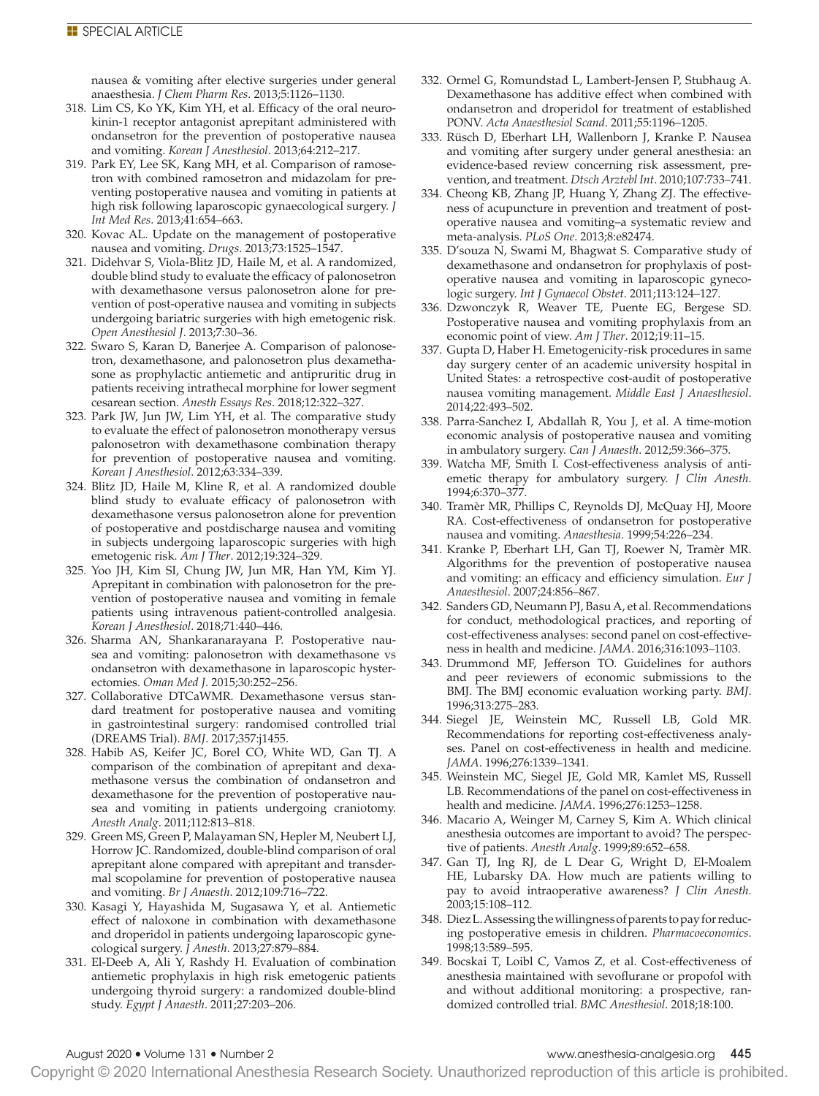nausea & vomiting after elective surgeries under general anaesthesia. *J Chem Pharm Res*. 2013;5:1126–1130.

- 318. Lim CS, Ko YK, Kim YH, et al. Efficacy of the oral neurokinin-1 receptor antagonist aprepitant administered with ondansetron for the prevention of postoperative nausea and vomiting. *Korean J Anesthesiol*. 2013;64:212–217.
- 319. Park EY, Lee SK, Kang MH, et al. Comparison of ramosetron with combined ramosetron and midazolam for preventing postoperative nausea and vomiting in patients at high risk following laparoscopic gynaecological surgery. *J Int Med Res*. 2013;41:654–663.
- 320. Kovac AL. Update on the management of postoperative nausea and vomiting. *Drugs*. 2013;73:1525–1547.
- 321. Didehvar S, Viola-Blitz JD, Haile M, et al. A randomized, double blind study to evaluate the efficacy of palonosetron with dexamethasone versus palonosetron alone for prevention of post-operative nausea and vomiting in subjects undergoing bariatric surgeries with high emetogenic risk. *Open Anesthesiol J*. 2013;7:30–36.
- 322. Swaro S, Karan D, Banerjee A. Comparison of palonosetron, dexamethasone, and palonosetron plus dexamethasone as prophylactic antiemetic and antipruritic drug in patients receiving intrathecal morphine for lower segment cesarean section. *Anesth Essays Res*. 2018;12:322–327.
- 323. Park JW, Jun JW, Lim YH, et al. The comparative study to evaluate the effect of palonosetron monotherapy versus palonosetron with dexamethasone combination therapy for prevention of postoperative nausea and vomiting. *Korean J Anesthesiol*. 2012;63:334–339.
- 324. Blitz JD, Haile M, Kline R, et al. A randomized double blind study to evaluate efficacy of palonosetron with dexamethasone versus palonosetron alone for prevention of postoperative and postdischarge nausea and vomiting in subjects undergoing laparoscopic surgeries with high emetogenic risk. *Am J Ther*. 2012;19:324–329.
- 325. Yoo JH, Kim SI, Chung JW, Jun MR, Han YM, Kim YJ. Aprepitant in combination with palonosetron for the prevention of postoperative nausea and vomiting in female patients using intravenous patient-controlled analgesia. *Korean J Anesthesiol*. 2018;71:440–446.
- 326. Sharma AN, Shankaranarayana P. Postoperative nausea and vomiting: palonosetron with dexamethasone vs ondansetron with dexamethasone in laparoscopic hysterectomies. *Oman Med J*. 2015;30:252–256.
- 327. Collaborative DTCaWMR. Dexamethasone versus standard treatment for postoperative nausea and vomiting in gastrointestinal surgery: randomised controlled trial (DREAMS Trial). *BMJ*. 2017;357:j1455.
- 328. Habib AS, Keifer JC, Borel CO, White WD, Gan TJ. A comparison of the combination of aprepitant and dexamethasone versus the combination of ondansetron and dexamethasone for the prevention of postoperative nausea and vomiting in patients undergoing craniotomy. *Anesth Analg*. 2011;112:813–818.
- 329. Green MS, Green P, Malayaman SN, Hepler M, Neubert LJ, Horrow JC. Randomized, double-blind comparison of oral aprepitant alone compared with aprepitant and transdermal scopolamine for prevention of postoperative nausea and vomiting. *Br J Anaesth*. 2012;109:716–722.
- 330. Kasagi Y, Hayashida M, Sugasawa Y, et al. Antiemetic effect of naloxone in combination with dexamethasone and droperidol in patients undergoing laparoscopic gynecological surgery. *J Anesth*. 2013;27:879–884.
- 331. El-Deeb A, Ali Y, Rashdy H. Evaluation of combination antiemetic prophylaxis in high risk emetogenic patients undergoing thyroid surgery: a randomized double-blind study. *Egypt J Anaesth*. 2011;27:203–206.
- 332. Ormel G, Romundstad L, Lambert-Jensen P, Stubhaug A. Dexamethasone has additive effect when combined with ondansetron and droperidol for treatment of established PONV. *Acta Anaesthesiol Scand*. 2011;55:1196–1205.
- 333. Rüsch D, Eberhart LH, Wallenborn J, Kranke P. Nausea and vomiting after surgery under general anesthesia: an evidence-based review concerning risk assessment, prevention, and treatment. *Dtsch Arztebl Int*. 2010;107:733–741.
- 334. Cheong KB, Zhang JP, Huang Y, Zhang ZJ. The effectiveness of acupuncture in prevention and treatment of postoperative nausea and vomiting–a systematic review and meta-analysis. *PLoS One*. 2013;8:e82474.
- 335. D'souza N, Swami M, Bhagwat S. Comparative study of dexamethasone and ondansetron for prophylaxis of postoperative nausea and vomiting in laparoscopic gynecologic surgery. *Int J Gynaecol Obstet*. 2011;113:124–127.
- 336. Dzwonczyk R, Weaver TE, Puente EG, Bergese SD. Postoperative nausea and vomiting prophylaxis from an economic point of view. *Am J Ther*. 2012;19:11–15.
- 337. Gupta D, Haber H. Emetogenicity-risk procedures in same day surgery center of an academic university hospital in United States: a retrospective cost-audit of postoperative nausea vomiting management. *Middle East J Anaesthesiol*. 2014;22:493–502.
- 338. Parra-Sanchez I, Abdallah R, You J, et al. A time-motion economic analysis of postoperative nausea and vomiting in ambulatory surgery. *Can J Anaesth*. 2012;59:366–375.
- 339. Watcha MF, Smith I. Cost-effectiveness analysis of antiemetic therapy for ambulatory surgery. *J Clin Anesth*. 1994;6:370–377.
- 340. Tramèr MR, Phillips C, Reynolds DJ, McQuay HJ, Moore RA. Cost-effectiveness of ondansetron for postoperative nausea and vomiting. *Anaesthesia*. 1999;54:226–234.
- 341. Kranke P, Eberhart LH, Gan TJ, Roewer N, Tramèr MR. Algorithms for the prevention of postoperative nausea and vomiting: an efficacy and efficiency simulation. *Eur J Anaesthesiol*. 2007;24:856–867.
- 342. Sanders GD, Neumann PJ, Basu A, et al. Recommendations for conduct, methodological practices, and reporting of cost-effectiveness analyses: second panel on cost-effectiveness in health and medicine. *JAMA*. 2016;316:1093–1103.
- 343. Drummond MF, Jefferson TO. Guidelines for authors and peer reviewers of economic submissions to the BMJ. The BMJ economic evaluation working party. *BMJ*. 1996;313:275–283.
- 344. Siegel JE, Weinstein MC, Russell LB, Gold MR. Recommendations for reporting cost-effectiveness analyses. Panel on cost-effectiveness in health and medicine. *JAMA*. 1996;276:1339–1341.
- 345. Weinstein MC, Siegel JE, Gold MR, Kamlet MS, Russell LB. Recommendations of the panel on cost-effectiveness in health and medicine. *JAMA*. 1996;276:1253–1258.
- 346. Macario A, Weinger M, Carney S, Kim A. Which clinical anesthesia outcomes are important to avoid? The perspective of patients. *Anesth Analg*. 1999;89:652–658.
- 347. Gan TJ, Ing RJ, de L Dear G, Wright D, El-Moalem HE, Lubarsky DA. How much are patients willing to pay to avoid intraoperative awareness? *J Clin Anesth*. 2003;15:108–112.
- 348. Diez L. Assessing the willingness of parents to pay for reducing postoperative emesis in children. *Pharmacoeconomics*. 1998;13:589–595.
- 349. Bocskai T, Loibl C, Vamos Z, et al. Cost-effectiveness of anesthesia maintained with sevoflurane or propofol with and without additional monitoring: a prospective, randomized controlled trial. *BMC Anesthesiol*. 2018;18:100.

Copyright © 2020 International Anesthesia Research Society. Unauthorized reproduction of this article is prohibited.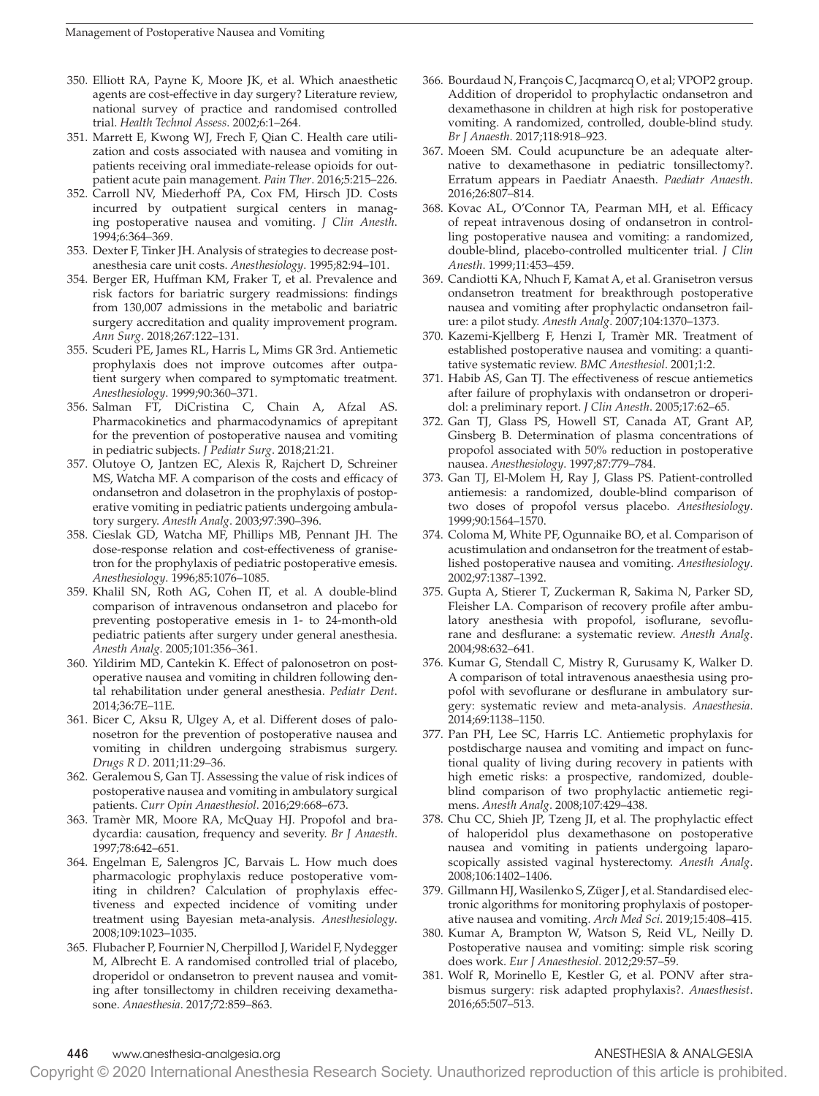- 350. Elliott RA, Payne K, Moore JK, et al. Which anaesthetic agents are cost-effective in day surgery? Literature review, national survey of practice and randomised controlled trial. *Health Technol Assess*. 2002;6:1–264.
- 351. Marrett E, Kwong WJ, Frech F, Qian C. Health care utilization and costs associated with nausea and vomiting in patients receiving oral immediate-release opioids for outpatient acute pain management. *Pain Ther*. 2016;5:215–226.
- 352. Carroll NV, Miederhoff PA, Cox FM, Hirsch JD. Costs incurred by outpatient surgical centers in managing postoperative nausea and vomiting. *J Clin Anesth*. 1994;6:364–369.
- 353. Dexter F, Tinker JH. Analysis of strategies to decrease postanesthesia care unit costs. *Anesthesiology*. 1995;82:94–101.
- 354. Berger ER, Huffman KM, Fraker T, et al. Prevalence and risk factors for bariatric surgery readmissions: findings from 130,007 admissions in the metabolic and bariatric surgery accreditation and quality improvement program. *Ann Surg*. 2018;267:122–131.
- 355. Scuderi PE, James RL, Harris L, Mims GR 3rd. Antiemetic prophylaxis does not improve outcomes after outpatient surgery when compared to symptomatic treatment. *Anesthesiology*. 1999;90:360–371.
- 356. Salman FT, DiCristina C, Chain A, Afzal AS. Pharmacokinetics and pharmacodynamics of aprepitant for the prevention of postoperative nausea and vomiting in pediatric subjects. *J Pediatr Surg*. 2018;21:21.
- 357. Olutoye O, Jantzen EC, Alexis R, Rajchert D, Schreiner MS, Watcha MF. A comparison of the costs and efficacy of ondansetron and dolasetron in the prophylaxis of postoperative vomiting in pediatric patients undergoing ambulatory surgery. *Anesth Analg*. 2003;97:390–396.
- 358. Cieslak GD, Watcha MF, Phillips MB, Pennant JH. The dose-response relation and cost-effectiveness of granisetron for the prophylaxis of pediatric postoperative emesis. *Anesthesiology*. 1996;85:1076–1085.
- 359. Khalil SN, Roth AG, Cohen IT, et al. A double-blind comparison of intravenous ondansetron and placebo for preventing postoperative emesis in 1- to 24-month-old pediatric patients after surgery under general anesthesia. *Anesth Analg*. 2005;101:356–361.
- 360. Yildirim MD, Cantekin K. Effect of palonosetron on postoperative nausea and vomiting in children following dental rehabilitation under general anesthesia. *Pediatr Dent*. 2014;36:7E–11E.
- 361. Bicer C, Aksu R, Ulgey A, et al. Different doses of palonosetron for the prevention of postoperative nausea and vomiting in children undergoing strabismus surgery. *Drugs R D*. 2011;11:29–36.
- 362. Geralemou S, Gan TJ. Assessing the value of risk indices of postoperative nausea and vomiting in ambulatory surgical patients. *Curr Opin Anaesthesiol*. 2016;29:668–673.
- 363. Tramèr MR, Moore RA, McQuay HJ. Propofol and bradycardia: causation, frequency and severity. *Br J Anaesth*. 1997;78:642–651.
- 364. Engelman E, Salengros JC, Barvais L. How much does pharmacologic prophylaxis reduce postoperative vomiting in children? Calculation of prophylaxis effectiveness and expected incidence of vomiting under treatment using Bayesian meta-analysis. *Anesthesiology*. 2008;109:1023–1035.
- 365. Flubacher P, Fournier N, Cherpillod J, Waridel F, Nydegger M, Albrecht E. A randomised controlled trial of placebo, droperidol or ondansetron to prevent nausea and vomiting after tonsillectomy in children receiving dexamethasone. *Anaesthesia*. 2017;72:859–863.
- 366. Bourdaud N, François C, Jacqmarcq O, et al; VPOP2 group. Addition of droperidol to prophylactic ondansetron and dexamethasone in children at high risk for postoperative vomiting. A randomized, controlled, double-blind study. *Br J Anaesth*. 2017;118:918–923.
- 367. Moeen SM. Could acupuncture be an adequate alternative to dexamethasone in pediatric tonsillectomy?. Erratum appears in Paediatr Anaesth. *Paediatr Anaesth*. 2016;26:807–814.
- 368. Kovac AL, O'Connor TA, Pearman MH, et al. Efficacy of repeat intravenous dosing of ondansetron in controlling postoperative nausea and vomiting: a randomized, double-blind, placebo-controlled multicenter trial. *J Clin Anesth*. 1999;11:453–459.
- 369. Candiotti KA, Nhuch F, Kamat A, et al. Granisetron versus ondansetron treatment for breakthrough postoperative nausea and vomiting after prophylactic ondansetron failure: a pilot study. *Anesth Analg*. 2007;104:1370–1373.
- 370. Kazemi-Kjellberg F, Henzi I, Tramèr MR. Treatment of established postoperative nausea and vomiting: a quantitative systematic review. *BMC Anesthesiol*. 2001;1:2.
- 371. Habib AS, Gan TJ. The effectiveness of rescue antiemetics after failure of prophylaxis with ondansetron or droperidol: a preliminary report. *J Clin Anesth*. 2005;17:62–65.
- 372. Gan TJ, Glass PS, Howell ST, Canada AT, Grant AP, Ginsberg B. Determination of plasma concentrations of propofol associated with 50% reduction in postoperative nausea. *Anesthesiology*. 1997;87:779–784.
- 373. Gan TJ, El-Molem H, Ray J, Glass PS. Patient-controlled antiemesis: a randomized, double-blind comparison of two doses of propofol versus placebo. *Anesthesiology*. 1999;90:1564–1570.
- 374. Coloma M, White PF, Ogunnaike BO, et al. Comparison of acustimulation and ondansetron for the treatment of established postoperative nausea and vomiting. *Anesthesiology*. 2002;97:1387–1392.
- 375. Gupta A, Stierer T, Zuckerman R, Sakima N, Parker SD, Fleisher LA. Comparison of recovery profile after ambulatory anesthesia with propofol, isoflurane, sevoflurane and desflurane: a systematic review. *Anesth Analg*. 2004;98:632–641.
- 376. Kumar G, Stendall C, Mistry R, Gurusamy K, Walker D. A comparison of total intravenous anaesthesia using propofol with sevoflurane or desflurane in ambulatory surgery: systematic review and meta-analysis. *Anaesthesia*. 2014;69:1138–1150.
- 377. Pan PH, Lee SC, Harris LC. Antiemetic prophylaxis for postdischarge nausea and vomiting and impact on functional quality of living during recovery in patients with high emetic risks: a prospective, randomized, doubleblind comparison of two prophylactic antiemetic regimens. *Anesth Analg*. 2008;107:429–438.
- 378. Chu CC, Shieh JP, Tzeng JI, et al. The prophylactic effect of haloperidol plus dexamethasone on postoperative nausea and vomiting in patients undergoing laparoscopically assisted vaginal hysterectomy. *Anesth Analg*. 2008;106:1402–1406.
- 379. Gillmann HJ, Wasilenko S, Züger J, et al. Standardised electronic algorithms for monitoring prophylaxis of postoperative nausea and vomiting. *Arch Med Sci*. 2019;15:408–415.
- 380. Kumar A, Brampton W, Watson S, Reid VL, Neilly D. Postoperative nausea and vomiting: simple risk scoring does work. *Eur J Anaesthesiol*. 2012;29:57–59.
- 381. Wolf R, Morinello E, Kestler G, et al. PONV after strabismus surgery: risk adapted prophylaxis?. *Anaesthesist*. 2016;65:507–513.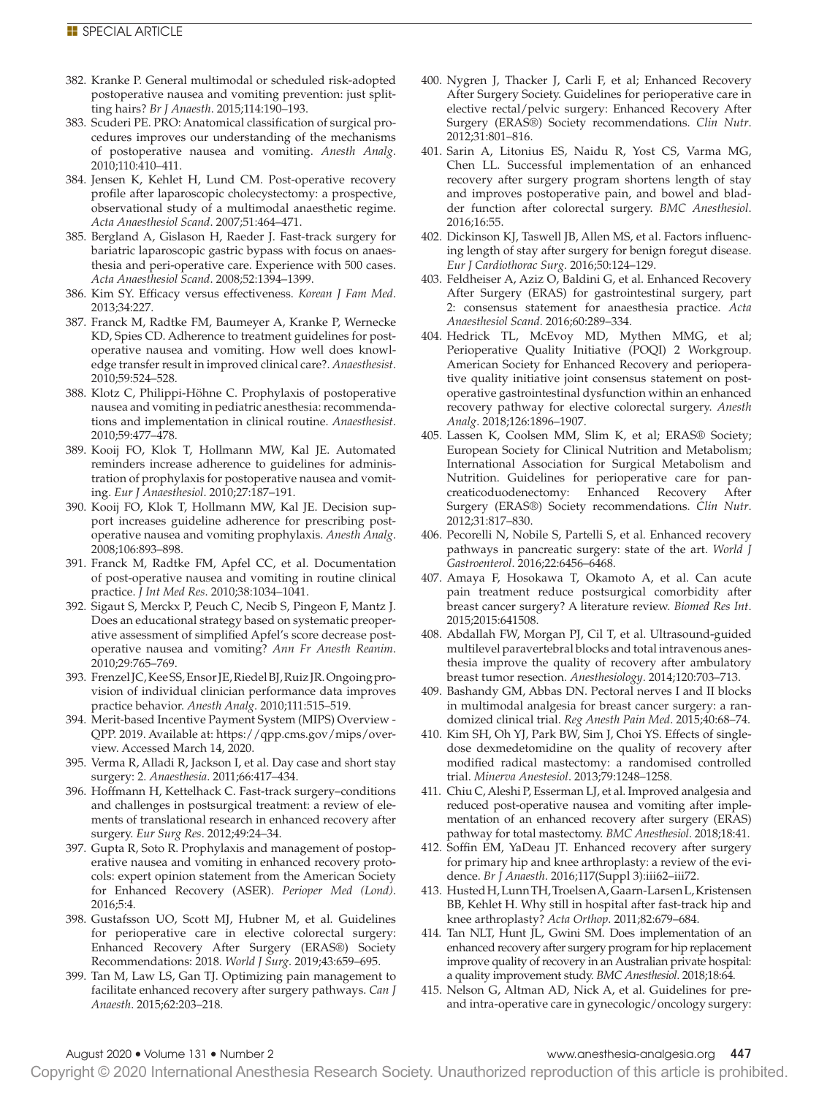- 382. Kranke P. General multimodal or scheduled risk-adopted postoperative nausea and vomiting prevention: just splitting hairs? *Br J Anaesth*. 2015;114:190–193.
- 383. Scuderi PE. PRO: Anatomical classification of surgical procedures improves our understanding of the mechanisms of postoperative nausea and vomiting. *Anesth Analg*. 2010;110:410–411.
- 384. Jensen K, Kehlet H, Lund CM. Post-operative recovery profile after laparoscopic cholecystectomy: a prospective, observational study of a multimodal anaesthetic regime. *Acta Anaesthesiol Scand*. 2007;51:464–471.
- 385. Bergland A, Gislason H, Raeder J. Fast-track surgery for bariatric laparoscopic gastric bypass with focus on anaesthesia and peri-operative care. Experience with 500 cases. *Acta Anaesthesiol Scand*. 2008;52:1394–1399.
- 386. Kim SY. Efficacy versus effectiveness. *Korean J Fam Med*. 2013;34:227.
- 387. Franck M, Radtke FM, Baumeyer A, Kranke P, Wernecke KD, Spies CD. Adherence to treatment guidelines for postoperative nausea and vomiting. How well does knowledge transfer result in improved clinical care?. *Anaesthesist*. 2010;59:524–528.
- 388. Klotz C, Philippi-Höhne C. Prophylaxis of postoperative nausea and vomiting in pediatric anesthesia: recommendations and implementation in clinical routine. *Anaesthesist*. 2010;59:477–478.
- 389. Kooij FO, Klok T, Hollmann MW, Kal JE. Automated reminders increase adherence to guidelines for administration of prophylaxis for postoperative nausea and vomiting. *Eur J Anaesthesiol*. 2010;27:187–191.
- 390. Kooij FO, Klok T, Hollmann MW, Kal JE. Decision support increases guideline adherence for prescribing postoperative nausea and vomiting prophylaxis. *Anesth Analg*. 2008;106:893–898.
- 391. Franck M, Radtke FM, Apfel CC, et al. Documentation of post-operative nausea and vomiting in routine clinical practice. *J Int Med Res*. 2010;38:1034–1041.
- 392. Sigaut S, Merckx P, Peuch C, Necib S, Pingeon F, Mantz J. Does an educational strategy based on systematic preoperative assessment of simplified Apfel's score decrease postoperative nausea and vomiting? *Ann Fr Anesth Reanim*. 2010;29:765–769.
- 393. Frenzel JC, Kee SS, Ensor JE, Riedel BJ, Ruiz JR. Ongoing provision of individual clinician performance data improves practice behavior. *Anesth Analg*. 2010;111:515–519.
- 394. Merit-based Incentive Payment System (MIPS) Overview QPP. 2019. Available at: [https://qpp.cms.gov/mips/over](https://qpp.cms.gov/mips/overview)[view.](https://qpp.cms.gov/mips/overview) Accessed March 14, 2020.
- 395. Verma R, Alladi R, Jackson I, et al. Day case and short stay surgery: 2. *Anaesthesia*. 2011;66:417–434.
- 396. Hoffmann H, Kettelhack C. Fast-track surgery–conditions and challenges in postsurgical treatment: a review of elements of translational research in enhanced recovery after surgery. *Eur Surg Res*. 2012;49:24–34.
- 397. Gupta R, Soto R. Prophylaxis and management of postoperative nausea and vomiting in enhanced recovery protocols: expert opinion statement from the American Society for Enhanced Recovery (ASER). *Perioper Med (Lond)*. 2016;5:4.
- 398. Gustafsson UO, Scott MJ, Hubner M, et al. Guidelines for perioperative care in elective colorectal surgery: Enhanced Recovery After Surgery (ERAS®) Society Recommendations: 2018. *World J Surg*. 2019;43:659–695.
- 399. Tan M, Law LS, Gan TJ. Optimizing pain management to facilitate enhanced recovery after surgery pathways. *Can J Anaesth*. 2015;62:203–218.
- 400. Nygren J, Thacker J, Carli F, et al; Enhanced Recovery After Surgery Society. Guidelines for perioperative care in elective rectal/pelvic surgery: Enhanced Recovery After Surgery (ERAS®) Society recommendations. *Clin Nutr*. 2012;31:801–816.
- 401. Sarin A, Litonius ES, Naidu R, Yost CS, Varma MG, Chen LL. Successful implementation of an enhanced recovery after surgery program shortens length of stay and improves postoperative pain, and bowel and bladder function after colorectal surgery. *BMC Anesthesiol*. 2016;16:55.
- 402. Dickinson KJ, Taswell JB, Allen MS, et al. Factors influencing length of stay after surgery for benign foregut disease. *Eur J Cardiothorac Surg*. 2016;50:124–129.
- 403. Feldheiser A, Aziz O, Baldini G, et al. Enhanced Recovery After Surgery (ERAS) for gastrointestinal surgery, part 2: consensus statement for anaesthesia practice. *Acta Anaesthesiol Scand*. 2016;60:289–334.
- 404. Hedrick TL, McEvoy MD, Mythen MMG, et al; Perioperative Quality Initiative (POQI) 2 Workgroup. American Society for Enhanced Recovery and perioperative quality initiative joint consensus statement on postoperative gastrointestinal dysfunction within an enhanced recovery pathway for elective colorectal surgery. *Anesth Analg*. 2018;126:1896–1907.
- 405. Lassen K, Coolsen MM, Slim K, et al; ERAS® Society; European Society for Clinical Nutrition and Metabolism; International Association for Surgical Metabolism and Nutrition. Guidelines for perioperative care for pancreaticoduodenectomy: Enhanced Recovery After Surgery (ERAS®) Society recommendations. *Clin Nutr*. 2012;31:817–830.
- 406. Pecorelli N, Nobile S, Partelli S, et al. Enhanced recovery pathways in pancreatic surgery: state of the art. *World J Gastroenterol*. 2016;22:6456–6468.
- 407. Amaya F, Hosokawa T, Okamoto A, et al. Can acute pain treatment reduce postsurgical comorbidity after breast cancer surgery? A literature review. *Biomed Res Int*. 2015;2015:641508.
- 408. Abdallah FW, Morgan PJ, Cil T, et al. Ultrasound-guided multilevel paravertebral blocks and total intravenous anesthesia improve the quality of recovery after ambulatory breast tumor resection. *Anesthesiology*. 2014;120:703–713.
- 409. Bashandy GM, Abbas DN. Pectoral nerves I and II blocks in multimodal analgesia for breast cancer surgery: a randomized clinical trial. *Reg Anesth Pain Med*. 2015;40:68–74.
- 410. Kim SH, Oh YJ, Park BW, Sim J, Choi YS. Effects of singledose dexmedetomidine on the quality of recovery after modified radical mastectomy: a randomised controlled trial. *Minerva Anestesiol*. 2013;79:1248–1258.
- 411. Chiu C, Aleshi P, Esserman LJ, et al. Improved analgesia and reduced post-operative nausea and vomiting after implementation of an enhanced recovery after surgery (ERAS) pathway for total mastectomy. *BMC Anesthesiol*. 2018;18:41.
- 412. Soffin EM, YaDeau JT. Enhanced recovery after surgery for primary hip and knee arthroplasty: a review of the evidence. *Br J Anaesth*. 2016;117(Suppl 3):iii62–iii72.
- 413. Husted H, Lunn TH, Troelsen A, Gaarn-Larsen L, Kristensen BB, Kehlet H. Why still in hospital after fast-track hip and knee arthroplasty? *Acta Orthop*. 2011;82:679–684.
- 414. Tan NLT, Hunt JL, Gwini SM. Does implementation of an enhanced recovery after surgery program for hip replacement improve quality of recovery in an Australian private hospital: a quality improvement study. *BMC Anesthesiol*. 2018;18:64.
- 415. Nelson G, Altman AD, Nick A, et al. Guidelines for preand intra-operative care in gynecologic/oncology surgery:

Copyright © 2020 International Anesthesia Research Society. Unauthorized reproduction of this article is prohibited.